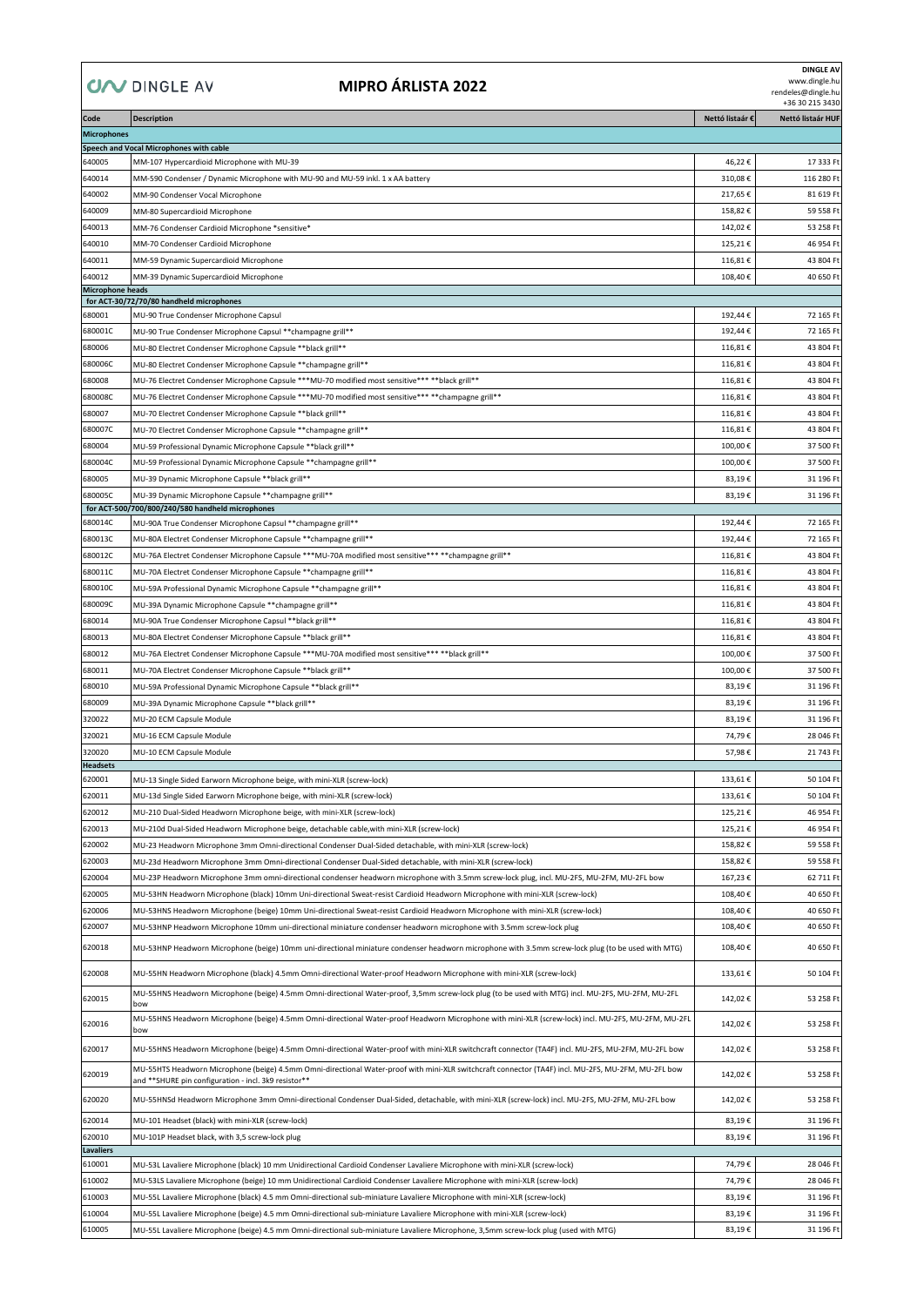## **COV DINGLE AV**

## **MIPRO ÁRLISTA 2022**

**DINGLE AV**

www.dingle.hu rendeles@dingle.hu +36 30 215 3430

| Code                              | <b>Description</b>                                                                                                                                                                                          | Nettó listaár € | Nettó listaár HUF |
|-----------------------------------|-------------------------------------------------------------------------------------------------------------------------------------------------------------------------------------------------------------|-----------------|-------------------|
| <b>Microphones</b>                |                                                                                                                                                                                                             |                 |                   |
|                                   | Speech and Vocal Microphones with cable                                                                                                                                                                     |                 |                   |
| 640005                            | MM-107 Hypercardioid Microphone with MU-39                                                                                                                                                                  | 46,22€          | 17 333 Ft         |
| 640014                            | MM-590 Condenser / Dynamic Microphone with MU-90 and MU-59 inkl. 1 x AA battery                                                                                                                             | 310,08€         | 116 280 Ft        |
| 640002                            | MM-90 Condenser Vocal Microphone                                                                                                                                                                            | 217,65€         | 81 619 Ft         |
| 640009                            | MM-80 Supercardioid Microphone                                                                                                                                                                              | 158,82€         | 59 558 Ft         |
| 640013                            | MM-76 Condenser Cardioid Microphone *sensitive*                                                                                                                                                             | 142,02€         | 53 258 Ft         |
| 640010                            | MM-70 Condenser Cardioid Microphone                                                                                                                                                                         | 125,21€         | 46 954 Ft         |
| 640011                            | MM-59 Dynamic Supercardioid Microphone                                                                                                                                                                      | 116,81€         | 43 804 Ft         |
| 640012<br><b>Microphone heads</b> | MM-39 Dynamic Supercardioid Microphone                                                                                                                                                                      | 108,40€         | 40 650 Ft         |
|                                   | for ACT-30/72/70/80 handheld microphones                                                                                                                                                                    |                 |                   |
| 680001                            | MU-90 True Condenser Microphone Capsul                                                                                                                                                                      | 192,44€         | 72 165 Ft         |
| 680001C                           | MU-90 True Condenser Microphone Capsul ** champagne grill**                                                                                                                                                 | 192,44€         | 72 165 Ft         |
| 680006                            | MU-80 Electret Condenser Microphone Capsule **black grill**                                                                                                                                                 | 116,81€         | 43 804 Ft         |
| 680006C                           | MU-80 Electret Condenser Microphone Capsule **champagne grill**                                                                                                                                             | 116,81€         | 43 804 Ft         |
| 680008                            | MU-76 Electret Condenser Microphone Capsule *** MU-70 modified most sensitive*** ** black grill**                                                                                                           | 116,81€         | 43 804 Ft         |
| 680008C                           | MU-76 Electret Condenser Microphone Capsule ***MU-70 modified most sensitive*** **champagne grill**                                                                                                         | 116,81€         | 43 804 Ft         |
| 680007                            | MU-70 Electret Condenser Microphone Capsule **black grill**                                                                                                                                                 | 116,81€         | 43 804 Ft         |
| 680007C                           | MU-70 Electret Condenser Microphone Capsule ** champagne grill**                                                                                                                                            | 116,81€         | 43 804 Ft         |
| 680004                            | MU-59 Professional Dynamic Microphone Capsule ** black grill**                                                                                                                                              | 100,00€         | 37 500 Ft         |
| 680004C                           | MU-59 Professional Dynamic Microphone Capsule ** champagne grill**                                                                                                                                          | 100,00€         | 37 500 Ft         |
| 680005                            | MU-39 Dynamic Microphone Capsule ** black grill**                                                                                                                                                           | 83,19€          | 31 196 Ft         |
| 680005C                           | MU-39 Dynamic Microphone Capsule ** champagne grill**<br>for ACT-500/700/800/240/580 handheld microphones                                                                                                   | 83,19€          | 31 196 Ft         |
| 680014C                           | MU-90A True Condenser Microphone Capsul ** champagne grill**                                                                                                                                                | 192,44€         | 72 165 Ft         |
| 680013C                           | MU-80A Electret Condenser Microphone Capsule ** champagne grill**                                                                                                                                           | 192,44€         | 72 165 Ft         |
| 680012C                           | MU-76A Electret Condenser Microphone Capsule ***MU-70A modified most sensitive*** **champagne grill**                                                                                                       | 116,81€         | 43 804 Ft         |
| 680011C                           | MU-70A Electret Condenser Microphone Capsule ** champagne grill**                                                                                                                                           | 116,81€         | 43 804 Ft         |
| 680010C                           | MU-59A Professional Dynamic Microphone Capsule ** champagne grill**                                                                                                                                         | 116,81€         | 43 804 Ft         |
| 680009C                           | MU-39A Dynamic Microphone Capsule ** champagne grill**                                                                                                                                                      | 116,81€         | 43 804 Ft         |
| 680014                            | MU-90A True Condenser Microphone Capsul ** black grill**                                                                                                                                                    | 116,81€         | 43 804 Ft         |
| 680013                            | MU-80A Electret Condenser Microphone Capsule ** black grill**                                                                                                                                               | 116,81€         | 43 804 Ft         |
| 680012                            | **MU-76A Electret Condenser Microphone Capsule ***MU-70A modified most sensitive*** **black grill**                                                                                                         | 100,00€         | 37 500 Ft         |
| 680011                            | MU-70A Electret Condenser Microphone Capsule ** black grill**                                                                                                                                               | 100,00€         | 37 500 Ft         |
| 680010                            | MU-59A Professional Dynamic Microphone Capsule ** black grill **                                                                                                                                            | 83,19€          | 31 196 Ft         |
| 680009                            | MU-39A Dynamic Microphone Capsule ** black grill**                                                                                                                                                          | 83,19€          | 31 196 Ft         |
| 320022                            | MU-20 ECM Capsule Module                                                                                                                                                                                    | 83,19€          | 31 196 Ft         |
| 320021                            | MU-16 ECM Capsule Module                                                                                                                                                                                    | 74,79€          | 28 046 Ft         |
| 320020                            | MU-10 ECM Capsule Module                                                                                                                                                                                    | 57,98€          | 21 743 Ft         |
| <b>Headsets</b><br>620001         |                                                                                                                                                                                                             | 133,61€         | 50 104 Ft         |
| 620011                            | MU-13 Single Sided Earworn Microphone beige, with mini-XLR (screw-lock)                                                                                                                                     | 133.61€         | 50 104 Ft         |
| 620012                            | MU-13d Single Sided Earworn Microphone beige, with mini-XLR (screw-lock)<br>MU-210 Dual-Sided Headworn Microphone beige, with mini-XLR (screw-lock)                                                         | 125,21€         | 46 954 Ft         |
| 620013                            | MU-210d Dual-Sided Headworn Microphone beige, detachable cable, with mini-XLR (screw-lock)                                                                                                                  | 125,21€         | 46 954 Ft         |
| 620002                            | MU-23 Headworn Microphone 3mm Omni-directional Condenser Dual-Sided detachable, with mini-XLR (screw-lock)                                                                                                  | 158,82€         | 59 558 Ft         |
| 620003                            | MU-23d Headworn Microphone 3mm Omni-directional Condenser Dual-Sided detachable, with mini-XLR (screw-lock)                                                                                                 | 158,82€         | 59 558 Ft         |
| 620004                            | MU-23P Headworn Microphone 3mm omni-directional condenser headworn microphone with 3.5mm screw-lock plug, incl. MU-2FS, MU-2FM, MU-2FL bow                                                                  | 167,23€         | 62 711 Ft         |
| 620005                            | MU-53HN Headworn Microphone (black) 10mm Uni-directional Sweat-resist Cardioid Headworn Microphone with mini-XLR (screw-lock)                                                                               | 108,40€         | 40 650 Ft         |
| 620006                            | MU-53HNS Headworn Microphone (beige) 10mm Uni-directional Sweat-resist Cardioid Headworn Microphone with mini-XLR (screw-lock)                                                                              | 108,40€         | 40 650 Ft         |
| 620007                            | MU-53HNP Headworn Microphone 10mm uni-directional miniature condenser headworn microphone with 3.5mm screw-lock plug                                                                                        | 108,40€         | 40 650 Ft         |
| 620018                            | MU-53HNP Headworn Microphone (beige) 10mm uni-directional miniature condenser headworn microphone with 3.5mm screw-lock plug (to be used with MTG)                                                          | 108,40€         | 40 650 Ft         |
| 620008                            | MU-55HN Headworn Microphone (black) 4.5mm Omni-directional Water-proof Headworn Microphone with mini-XLR (screw-lock)                                                                                       | 133,61€         | 50 104 Ft         |
| 620015                            | MU-55HNS Headworn Microphone (beige) 4.5mm Omni-directional Water-proof, 3,5mm screw-lock plug (to be used with MTG) incl. MU-2FS, MU-2FM, MU-2FL<br>bow                                                    | 142,02€         | 53 258 Ft         |
| 620016                            | MU-55HNS Headworn Microphone (beige) 4.5mm Omni-directional Water-proof Headworn Microphone with mini-XLR (screw-lock) incl. MU-2FS, MU-2FM, MU-2FL<br>bow                                                  | 142,02€         | 53 258 Ft         |
| 620017                            | MU-55HNS Headworn Microphone (beige) 4.5mm Omni-directional Water-proof with mini-XLR switchcraft connector (TA4F) incl. MU-2FS, MU-2FM, MU-2FL bow                                                         | 142,02€         | 53 258 Ft         |
| 620019                            | MU-55HTS Headworn Microphone (beige) 4.5mm Omni-directional Water-proof with mini-XLR switchcraft connector (TA4F) incl. MU-2FS, MU-2FM, MU-2FL bow<br>and **SHURE pin configuration - incl. 3k9 resistor** | 142,02€         | 53 258 Ft         |
| 620020                            | MU-55HNSd Headworn Microphone 3mm Omni-directional Condenser Dual-Sided, detachable, with mini-XLR (screw-lock) incl. MU-2FS, MU-2FM, MU-2FL bow                                                            | 142,02€         | 53 258 Ft         |
| 620014                            | MU-101 Headset (black) with mini-XLR (screw-lock)                                                                                                                                                           | 83,19€          | 31 196 Ft         |
| 620010                            | MU-101P Headset black, with 3,5 screw-lock plug                                                                                                                                                             | 83,19€          | 31 196 Ft         |
| <b>Lavaliers</b>                  |                                                                                                                                                                                                             |                 |                   |
| 610001                            | MU-53L Lavaliere Microphone (black) 10 mm Unidirectional Cardioid Condenser Lavaliere Microphone with mini-XLR (screw-lock)                                                                                 | 74,79€          | 28 046 Ft         |
| 610002                            | MU-53LS Lavaliere Microphone (beige) 10 mm Unidirectional Cardioid Condenser Lavaliere Microphone with mini-XLR (screw-lock)                                                                                | 74,79€          | 28 046 Ft         |
| 610003                            | MU-55L Lavaliere Microphone (black) 4.5 mm Omni-directional sub-miniature Lavaliere Microphone with mini-XLR (screw-lock)                                                                                   | 83,19€          | 31 196 Ft         |
| 610004                            | MU-55L Lavaliere Microphone (beige) 4.5 mm Omni-directional sub-miniature Lavaliere Microphone with mini-XLR (screw-lock)                                                                                   | 83,19€          | 31 196 Ft         |
| 610005                            | MU-55L Lavaliere Microphone (beige) 4.5 mm Omni-directional sub-miniature Lavaliere Microphone, 3,5mm screw-lock plug (used with MTG)                                                                       | 83,19€          | 31 196 Ft         |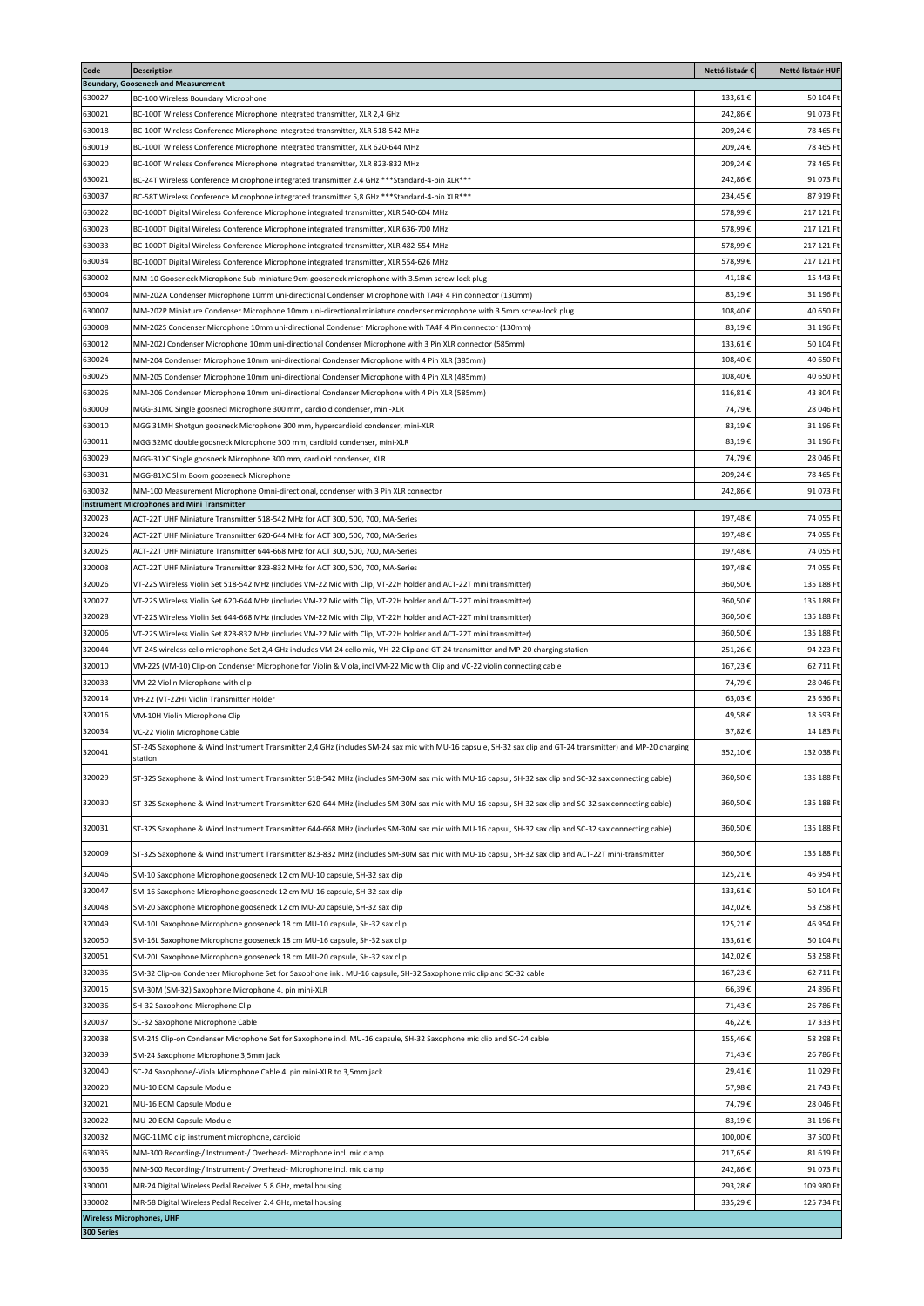| Code                                           | <b>Description</b><br><b>Boundary, Gooseneck and Measurement</b>                                                                                                                                                                       | Nettó listaár €    | Nettó listaár HUF        |
|------------------------------------------------|----------------------------------------------------------------------------------------------------------------------------------------------------------------------------------------------------------------------------------------|--------------------|--------------------------|
| 630027                                         | BC-100 Wireless Boundary Microphone                                                                                                                                                                                                    | 133,61€            | 50 104 Ft                |
| 630021                                         | BC-100T Wireless Conference Microphone integrated transmitter, XLR 2,4 GHz                                                                                                                                                             | 242,86€            | 91 073 Ft                |
| 630018                                         | BC-100T Wireless Conference Microphone integrated transmitter, XLR 518-542 MHz                                                                                                                                                         | 209,24€            | 78 465 Ft                |
| 630019                                         | BC-100T Wireless Conference Microphone integrated transmitter, XLR 620-644 MHz                                                                                                                                                         | 209,24€            | 78 465 Ft                |
| 630020                                         | BC-100T Wireless Conference Microphone integrated transmitter, XLR 823-832 MHz                                                                                                                                                         | 209,24€            | 78 465 Ft                |
| 630021                                         | BC-24T Wireless Conference Microphone integrated transmitter 2.4 GHz *** Standard-4-pin XLR ***                                                                                                                                        | 242,86€            | 91 073 Ft                |
| 630037                                         | BC-58T Wireless Conference Microphone integrated transmitter 5,8 GHz *** Standard-4-pin XLR ***                                                                                                                                        | 234,45€            | 87 919 Ft                |
| 630022                                         | BC-100DT Digital Wireless Conference Microphone integrated transmitter, XLR 540-604 MHz                                                                                                                                                | 578,99€            | 217 121 Ft               |
| 630023<br>630033                               | BC-100DT Digital Wireless Conference Microphone integrated transmitter, XLR 636-700 MHz<br>BC-100DT Digital Wireless Conference Microphone integrated transmitter, XLR 482-554 MHz                                                     | 578,99€<br>578.99€ | 217 121 Ft<br>217 121 Ft |
| 630034                                         | BC-100DT Digital Wireless Conference Microphone integrated transmitter, XLR 554-626 MHz                                                                                                                                                | 578.99€            | 217 121 Ft               |
| 630002                                         | MM-10 Gooseneck Microphone Sub-miniature 9cm gooseneck microphone with 3.5mm screw-lock plug                                                                                                                                           | 41,18€             | 15 443 Ft                |
| 630004                                         | MM-202A Condenser Microphone 10mm uni-directional Condenser Microphone with TA4F 4 Pin connector (130mm)                                                                                                                               | 83,19€             | 31 196 Ft                |
| 630007                                         | MM-202P Miniature Condenser Microphone 10mm uni-directional miniature condenser microphone with 3.5mm screw-lock plug                                                                                                                  | 108,40€            | 40 650 Ft                |
| 630008                                         | MM-202S Condenser Microphone 10mm uni-directional Condenser Microphone with TA4F 4 Pin connector (130mm)                                                                                                                               | 83,19€             | 31 196 Ft                |
| 630012                                         | MM-202J Condenser Microphone 10mm uni-directional Condenser Microphone with 3 Pin XLR connector (585mm)                                                                                                                                | 133,61€            | 50 104 Ft                |
| 630024                                         | MM-204 Condenser Microphone 10mm uni-directional Condenser Microphone with 4 Pin XLR (385mm)                                                                                                                                           | 108,40€            | 40 650 Ft                |
| 630025                                         | (485mm) MM-205 Condenser Microphone 10mm uni-directional Condenser Microphone with 4 Pin XLR                                                                                                                                           | 108,40€            | 40 650 Ft                |
| 630026                                         | (585mm) MM-206 Condenser Microphone 10mm uni-directional Condenser Microphone with 4 Pin XLR                                                                                                                                           | 116,81€            | 43 804 Ft                |
| 630009                                         | MGG-31MC Single goosnecl Microphone 300 mm, cardioid condenser, mini-XLR                                                                                                                                                               | 74,79€             | 28 046 Ft                |
| 630010<br>630011                               | MGG 31MH Shotgun goosneck Microphone 300 mm, hypercardioid condenser, mini-XLR                                                                                                                                                         | 83,19€<br>83,19€   | 31 196 Ft<br>31 196 Ft   |
| 630029                                         | MGG 32MC double goosneck Microphone 300 mm, cardioid condenser, mini-XLR<br>MGG-31XC Single goosneck Microphone 300 mm, cardioid condenser, XLR                                                                                        | 74,79€             | 28 046 Ft                |
| 630031                                         | MGG-81XC Slim Boom gooseneck Microphone                                                                                                                                                                                                | 209,24€            | 78 465 Ft                |
| 630032                                         | MM-100 Measurement Microphone Omni-directional, condenser with 3 Pin XLR connector                                                                                                                                                     | 242,86€            | 91 073 Ft                |
|                                                | <b>Instrument Microphones and Mini Transmitter</b>                                                                                                                                                                                     |                    |                          |
| 320023                                         | ACT-22T UHF Miniature Transmitter 518-542 MHz for ACT 300, 500, 700, MA-Series                                                                                                                                                         | 197,48€            | 74 055 Ft                |
| 320024                                         | ACT-22T UHF Miniature Transmitter 620-644 MHz for ACT 300, 500, 700, MA-Series                                                                                                                                                         | 197,48€            | 74 055 Ft                |
| 320025                                         | ACT-22T UHF Miniature Transmitter 644-668 MHz for ACT 300, 500, 700, MA-Series                                                                                                                                                         | 197,48€            | 74 055 Ft                |
| 320003<br>320026                               | ACT-22T UHF Miniature Transmitter 823-832 MHz for ACT 300, 500, 700, MA-Series                                                                                                                                                         | 197,48€<br>360,50€ | 74 055 Ft<br>135 188 Ft  |
| 320027                                         | VT-22S Wireless Violin Set 518-542 MHz (includes VM-22 Mic with Clip, VT-22H holder and ACT-22T mini transmitter)<br>VT-22S Wireless Violin Set 620-644 MHz (includes VM-22 Mic with Clip, VT-22H holder and ACT-22T mini transmitter) | 360,50€            | 135 188 Ft               |
| 320028                                         | /T-22S Wireless Violin Set 644-668 MHz (includes VM-22 Mic with Clip, VT-22H holder and ACT-22T mini transmitter)                                                                                                                      | 360,50€            | 135 188 Ft               |
| 320006                                         | VT-22S Wireless Violin Set 823-832 MHz (includes VM-22 Mic with Clip, VT-22H holder and ACT-22T mini transmitter)                                                                                                                      | 360,50€            | 135 188 Ft               |
| 320044                                         | VT-24S wireless cello microphone Set 2,4 GHz includes VM-24 cello mic, VH-22 Clip and GT-24 transmitter and MP-20 charging station                                                                                                     | 251,26€            | 94 223 Ft                |
| 320010                                         | VM-22S (VM-10) Clip-on Condenser Microphone for Violin & Viola, incl VM-22 Mic with Clip and VC-22 violin connecting cable                                                                                                             | 167,23€            | 62 711 Ft                |
| 320033                                         | VM-22 Violin Microphone with clip                                                                                                                                                                                                      | 74,79€             | 28 046 Ft                |
| 320014                                         | VH-22 (VT-22H) Violin Transmitter Holder                                                                                                                                                                                               | 63,03€             | 23 636 Ft                |
| 320016                                         | VM-10H Violin Microphone Clip                                                                                                                                                                                                          | 49,58€             | 18 593 Ft                |
| 320034                                         | VC-22 Violin Microphone Cable                                                                                                                                                                                                          | 37,82€             | 14 183 Ft                |
| 320041                                         | ST-24S Saxophone & Wind Instrument Transmitter 2,4 GHz (includes SM-24 sax mic with MU-16 capsule, SH-32 sax clip and GT-24 transmitter) and MP-20 charging<br>station                                                                 | 352.10€            | 132 038 Ft               |
| 320029                                         | ST-32S Saxophone & Wind Instrument Transmitter 518-542 MHz (includes SM-30M sax mic with MU-16 capsul, SH-32 sax clip and SC-32 sax connecting cable)                                                                                  | 360,50€            | 135 188 Ft               |
| 320030                                         | ST-32S Saxophone & Wind Instrument Transmitter 620-644 MHz (includes SM-30M sax mic with MU-16 capsul, SH-32 sax clip and SC-32 sax connecting cable)                                                                                  | 360,50€            | 135 188 Ft               |
| 320031                                         | ST-32S Saxophone & Wind Instrument Transmitter 644-668 MHz (includes SM-30M sax mic with MU-16 capsul, SH-32 sax clip and SC-32 sax connecting cable)                                                                                  | 360,50€            | 135 188 Ft               |
| 320009                                         | ST-32S Saxophone & Wind Instrument Transmitter 823-832 MHz (includes SM-30M sax mic with MU-16 capsul, SH-32 sax clip and ACT-22T mini-transmitter                                                                                     | 360,50€            | 135 188 Ft               |
| 320046                                         | SM-10 Saxophone Microphone gooseneck 12 cm MU-10 capsule, SH-32 sax clip                                                                                                                                                               | 125,21€            | 46 954 Ft                |
| 320047                                         | SM-16 Saxophone Microphone gooseneck 12 cm MU-16 capsule, SH-32 sax clip                                                                                                                                                               | 133,61€            | 50 104 Ft                |
| 320048                                         | SM-20 Saxophone Microphone gooseneck 12 cm MU-20 capsule, SH-32 sax clip                                                                                                                                                               | 142,02€            | 53 258 Ft                |
| 320049                                         | SM-10L Saxophone Microphone gooseneck 18 cm MU-10 capsule, SH-32 sax clip                                                                                                                                                              | 125,21€            | 46 954 Ft                |
| 320050                                         | SM-16L Saxophone Microphone gooseneck 18 cm MU-16 capsule, SH-32 sax clip                                                                                                                                                              | 133,61€            | 50 104 Ft                |
| 320051                                         | SM-20L Saxophone Microphone gooseneck 18 cm MU-20 capsule, SH-32 sax clip                                                                                                                                                              | 142,02€            | 53 258 F                 |
| 320035                                         | SM-32 Clip-on Condenser Microphone Set for Saxophone inkl. MU-16 capsule, SH-32 Saxophone mic clip and SC-32 cable                                                                                                                     | 167,23€            | 62 711 Ft                |
| 320015                                         | SM-30M (SM-32) Saxophone Microphone 4. pin mini-XLR                                                                                                                                                                                    | 66,39€             | 24 896 Ft                |
| 320036                                         | SH-32 Saxophone Microphone Clip                                                                                                                                                                                                        | 71,43€             | 26 786 Ft                |
| 320037<br>320038                               | SC-32 Saxophone Microphone Cable                                                                                                                                                                                                       | 46,22€<br>155,46€  | 17 333 F<br>58 298 Ft    |
| 320039                                         | SM-24S Clip-on Condenser Microphone Set for Saxophone inkl. MU-16 capsule, SH-32 Saxophone mic clip and SC-24 cable<br>SM-24 Saxophone Microphone 3,5mm jack                                                                           | 71,43€             | 26 786 Ft                |
| 320040                                         | SC-24 Saxophone/-Viola Microphone Cable 4. pin mini-XLR to 3,5mm jack                                                                                                                                                                  | 29,41€             | 11 029 Ft                |
| 320020                                         | MU-10 ECM Capsule Module                                                                                                                                                                                                               | 57,98€             | 21 743 Ft                |
| 320021                                         | MU-16 ECM Capsule Module                                                                                                                                                                                                               | 74,79€             | 28 046 Ft                |
| 320022                                         | MU-20 ECM Capsule Module                                                                                                                                                                                                               | 83,19€             | 31 196 Ft                |
| 320032                                         | MGC-11MC clip instrument microphone, cardioid                                                                                                                                                                                          | 100,00€            | 37 500 Ft                |
| 630035                                         | MM-300 Recording-/ Instrument-/ Overhead- Microphone incl. mic clamp                                                                                                                                                                   | 217,65€            | 81 619 Ft                |
| 630036                                         | MM-500 Recording-/ Instrument-/ Overhead- Microphone incl. mic clamp                                                                                                                                                                   | 242,86€            | 91 073 Ft                |
| 330001                                         | MR-24 Digital Wireless Pedal Receiver 5.8 GHz, metal housing                                                                                                                                                                           | 293,28€            | 109 980 Ft               |
| 330002                                         | MR-58 Digital Wireless Pedal Receiver 2.4 GHz, metal housing                                                                                                                                                                           | 335,29€            | 125 734 Ft               |
| <b>Wireless Microphones, UHF</b><br>300 Series |                                                                                                                                                                                                                                        |                    |                          |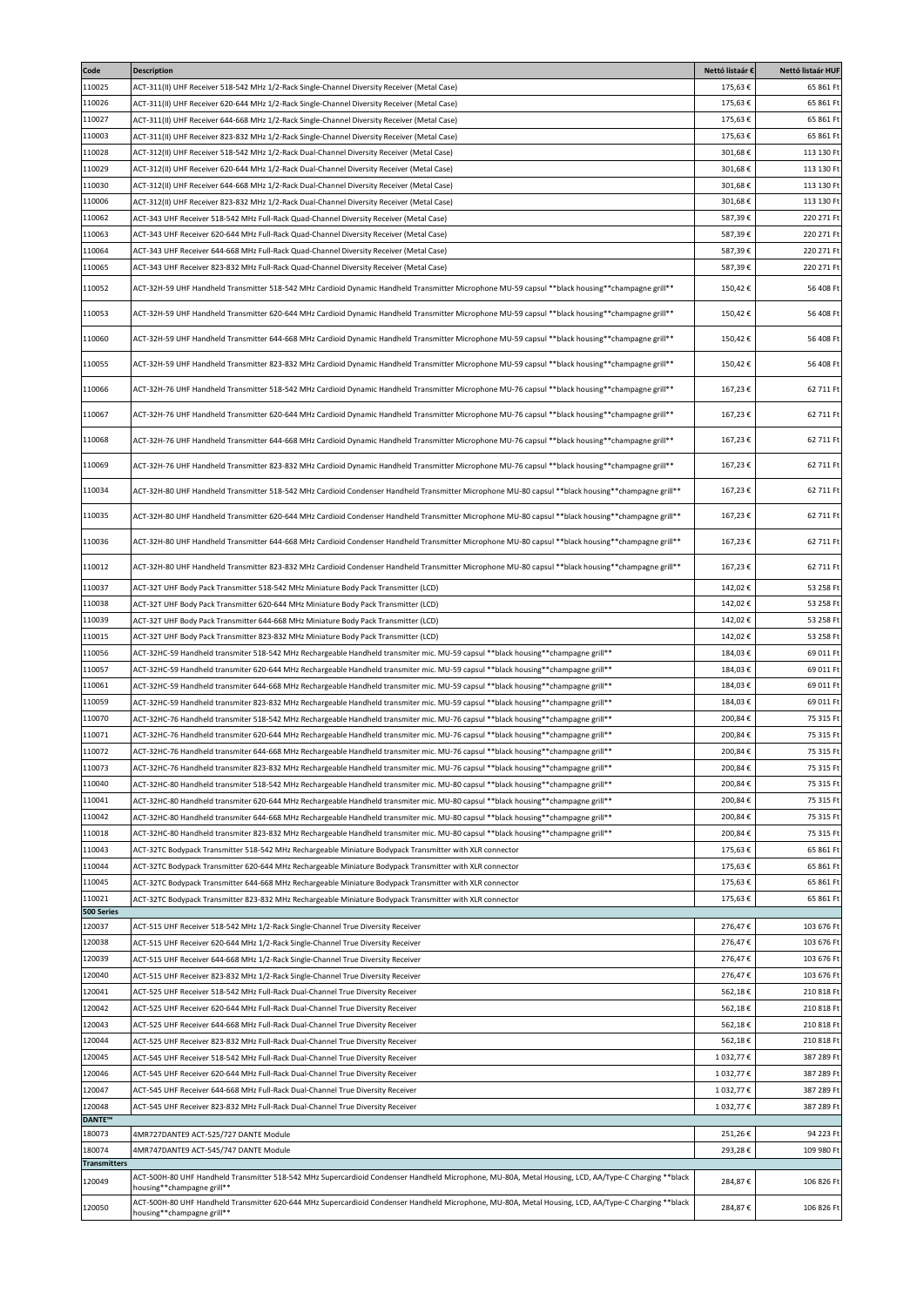| Code                    | <b>Description</b>                                                                                                                                                                 | Nettó listaár € | Nettó listaár HUF |
|-------------------------|------------------------------------------------------------------------------------------------------------------------------------------------------------------------------------|-----------------|-------------------|
| 110025                  | ACT-311(II) UHF Receiver 518-542 MHz 1/2-Rack Single-Channel Diversity Receiver (Metal Case)                                                                                       | 175,63€         | 65 861 Ft         |
| 110026                  | ACT-311(II) UHF Receiver 620-644 MHz 1/2-Rack Single-Channel Diversity Receiver (Metal Case)                                                                                       | 175,63€         | 65 861 Ft         |
| 110027                  | ACT-311(II) UHF Receiver 644-668 MHz 1/2-Rack Single-Channel Diversity Receiver (Metal Case)                                                                                       | 175,63€         | 65 861 Ft         |
| 110003                  | (Metal Case) ACT-311(II) UHF Receiver 823-832 MHz 1/2-Rack Single-Channel Diversity Receiver (Metal Case                                                                           | 175,63€         | 65 861 Ft         |
| 110028                  | ACT-312(II) UHF Receiver 518-542 MHz 1/2-Rack Dual-Channel Diversity Receiver (Metal Case)                                                                                         | 301,68€         | 113 130 Ft        |
| 110029                  | ACT-312(II) UHF Receiver 620-644 MHz 1/2-Rack Dual-Channel Diversity Receiver (Metal Case)                                                                                         | 301,68€         | 113 130 Ft        |
| 110030                  | ACT-312(II) UHF Receiver 644-668 MHz 1/2-Rack Dual-Channel Diversity Receiver (Metal Case)                                                                                         | 301,68€         | 113 130 Ft        |
| 110006                  | ACT-312(II) UHF Receiver 823-832 MHz 1/2-Rack Dual-Channel Diversity Receiver (Metal Case)                                                                                         | 301,68€         | 113 130 Ft        |
| 110062                  | ACT-343 UHF Receiver 518-542 MHz Full-Rack Quad-Channel Diversity Receiver (Metal Case)                                                                                            | 587,39€         | 220 271 Ft        |
| 110063                  | ACT-343 UHF Receiver 620-644 MHz Full-Rack Quad-Channel Diversity Receiver (Metal Case)                                                                                            | 587,39€         | 220 271 Ft        |
| 110064                  | ACT-343 UHF Receiver 644-668 MHz Full-Rack Quad-Channel Diversity Receiver (Metal Case)                                                                                            | 587,39€         | 220 271 Ft        |
| 110065                  | ACT-343 UHF Receiver 823-832 MHz Full-Rack Quad-Channel Diversity Receiver (Metal Case)                                                                                            | 587,39€         | 220 271 Ft        |
| 110052                  | ** ACT-32H-59 UHF Handheld Transmitter 518-542 MHz Cardioid Dynamic Handheld Transmitter Microphone MU-59 capsul **black housing**champagne grill**                                | 150,42€         | 56 408 Ft         |
| 110053                  | ** ACT-32H-59 UHF Handheld Transmitter 620-644 MHz Cardioid Dynamic Handheld Transmitter Microphone MU-59 capsul **black housing**champagne grill**                                | 150,42€         | 56 408 Ft         |
| 110060                  | ** ACT-32H-59 UHF Handheld Transmitter 644-668 MHz Cardioid Dynamic Handheld Transmitter Microphone MU-59 capsul **black housing**champagne grill**                                | 150,42€         | 56 408 Ft         |
| 110055                  | ** ACT-32H-59 UHF Handheld Transmitter 823-832 MHz Cardioid Dynamic Handheld Transmitter Microphone MU-59 capsul **black housing**champagne grill**                                | 150,42€         | 56 408 Ft         |
| 110066                  | ** ACT-32H-76 UHF Handheld Transmitter 518-542 MHz Cardioid Dynamic Handheld Transmitter Microphone MU-76 capsul **black housing**champagne grill**                                | 167,23€         | 62 711 Ft         |
| 110067                  | ** ACT-32H-76 UHF Handheld Transmitter 620-644 MHz Cardioid Dynamic Handheld Transmitter Microphone MU-76 capsul **black housing**champagne grill**                                | 167,23€         | 62 711 Ft         |
| 110068                  | ** ACT-32H-76 UHF Handheld Transmitter 644-668 MHz Cardioid Dynamic Handheld Transmitter Microphone MU-76 capsul **black housing**champagne grill**                                | 167,23€         | 62 711 Ft         |
| 110069                  | ** ACT-32H-76 UHF Handheld Transmitter 823-832 MHz Cardioid Dynamic Handheld Transmitter Microphone MU-76 capsul **black housing**champagne grill**                                | 167,23€         | 62 711 Ft         |
| 110034                  | ACT-32H-80 UHF Handheld Transmitter 518-542 MHz Cardioid Condenser Handheld Transmitter Microphone MU-80 capsul **black housing**champagne grill**                                 | 167,23€         | 62 711 Ft         |
| 110035                  | ACT-32H-80 UHF Handheld Transmitter 620-644 MHz Cardioid Condenser Handheld Transmitter Microphone MU-80 capsul **black housing**champagne grill**                                 | 167,23€         | 62 711 Ft         |
| 110036                  | ACT-32H-80 UHF Handheld Transmitter 644-668 MHz Cardioid Condenser Handheld Transmitter Microphone MU-80 capsul **black housing**champagne grill**                                 | 167,23€         | 62 711 Ft         |
| 110012                  | ACT-32H-80 UHF Handheld Transmitter 823-832 MHz Cardioid Condenser Handheld Transmitter Microphone MU-80 capsul **black housing**champagne grill**                                 | 167,23€         | 62 711 Ft         |
| 110037                  | ACT-32T UHF Body Pack Transmitter 518-542 MHz Miniature Body Pack Transmitter (LCD)                                                                                                | 142,02€         | 53 258 Ft         |
| 110038                  | ACT-32T UHF Body Pack Transmitter 620-644 MHz Miniature Body Pack Transmitter (LCD)                                                                                                | 142,02€         | 53 258 Ft         |
| 110039                  | ACT-32T UHF Body Pack Transmitter 644-668 MHz Miniature Body Pack Transmitter (LCD)                                                                                                | 142,02€         | 53 258 Ft         |
| 110015                  | ACT-32T UHF Body Pack Transmitter 823-832 MHz Miniature Body Pack Transmitter (LCD)                                                                                                | 142,02€         | 53 258 Ft         |
| 110056                  | ACT-32HC-59 Handheld transmiter 518-542 MHz Rechargeable Handheld transmiter mic. MU-59 capsul **black housing**champagne grill**                                                  | 184,03€         | 69 011 Ft         |
| 110057                  | **Inferences Handheld transmiter 620-644 MHz Rechargeable Handheld transmiter mic. MU-59 capsul **black housing**champagne grill**                                                 | 184,03€         | 69 011 Ft         |
| 110061                  | **Inferences Handheld transmiter 644-668 MHz Rechargeable Handheld transmiter mic. MU-59 capsul **black housing**champagne grill**                                                 | 184,03€         | 69 011 Ft         |
| 110059                  | ** ACT-32HC-59 Handheld transmiter 823-832 MHz Rechargeable Handheld transmiter mic. MU-59 capsul **black housing**champagne grill**                                               | 184,03€         | 69 011 Ft         |
| 110070                  | ** ACT-32HC-76 Handheld transmiter 518-542 MHz Rechargeable Handheld transmiter mic. MU-76 capsul **black housing**champagne grill**                                               | 200,84€         | 75 315 Ft         |
| 110071                  | ** ACT-32HC-76 Handheld transmiter 620-644 MHz Rechargeable Handheld transmiter mic. MU-76 capsul **black housing**champagne grill**                                               | 200,84€         | 75 315 Ft         |
| 110072                  | ACT-32HC-76 Handheld transmiter 644-668 MHz Rechargeable Handheld transmiter mic. MU-76 capsul **black housing**champagne grill**                                                  | 200,84€         | 75 315 Ft         |
| 110073                  | ACT-32HC-76 Handheld transmiter 823-832 MHz Rechargeable Handheld transmiter mic. MU-76 capsul **black housing**champagne grill**                                                  | 200,84€         | 75 315 Ft         |
| 110040                  | ** ACT-32HC-80 Handheld transmiter 518-542 MHz Rechargeable Handheld transmiter mic. MU-80 capsul **black housing**champagne grill**                                               | 200,84€         | 75 315 Ft         |
| 110041                  | **IDE-32HC-80 Handheld transmiter 620-644 MHz Rechargeable Handheld transmiter mic. MU-80 capsul **black housing**champagne grill**                                                | 200,84€         | 75 315 Ft         |
| 110042                  | ** ACT-32HC-80 Handheld transmiter 644-668 MHz Rechargeable Handheld transmiter mic. MU-80 capsul **black housing**champagne grill**                                               | 200,84€         | 75 315 Ft         |
| 110018                  | ** ACT-32HC-80 Handheld transmiter 823-832 MHz Rechargeable Handheld transmiter mic. MU-80 capsul **black housing**champagne grill**                                               | 200,84€         | 75 315 Ft         |
| 110043                  | ACT-32TC Bodypack Transmitter 518-542 MHz Rechargeable Miniature Bodypack Transmitter with XLR connector                                                                           | 175,63€         | 65 861 Ft         |
| 110044                  | ACT-32TC Bodypack Transmitter 620-644 MHz Rechargeable Miniature Bodypack Transmitter with XLR connector                                                                           | 175,63€         | 65 861 Ft         |
| 110045                  | ACT-32TC Bodypack Transmitter 644-668 MHz Rechargeable Miniature Bodypack Transmitter with XLR connector                                                                           | 175,63€         | 65 861 Ft         |
| 110021                  | ACT-32TC Bodypack Transmitter 823-832 MHz Rechargeable Miniature Bodypack Transmitter with XLR connector                                                                           | 175,63€         | 65 861 Ft         |
| 500 Series              |                                                                                                                                                                                    |                 |                   |
| 120037                  | ACT-515 UHF Receiver 518-542 MHz 1/2-Rack Single-Channel True Diversity Receiver                                                                                                   | 276,47€         | 103 676 Ft        |
| 120038                  | ACT-515 UHF Receiver 620-644 MHz 1/2-Rack Single-Channel True Diversity Receiver                                                                                                   | 276,47€         | 103 676 Ft        |
| 120039                  | ACT-515 UHF Receiver 644-668 MHz 1/2-Rack Single-Channel True Diversity Receiver                                                                                                   | 276,47€         | 103 676 Ft        |
| 120040                  | ACT-515 UHF Receiver 823-832 MHz 1/2-Rack Single-Channel True Diversity Receiver                                                                                                   | 276,47€         | 103 676 Ft        |
| 120041                  | ACT-525 UHF Receiver 518-542 MHz Full-Rack Dual-Channel True Diversity Receiver                                                                                                    | 562,18€         | 210 818 Ft        |
| 120042                  | ACT-525 UHF Receiver 620-644 MHz Full-Rack Dual-Channel True Diversity Receiver                                                                                                    | 562,18€         | 210 818 Ft        |
| 120043                  | ACT-525 UHF Receiver 644-668 MHz Full-Rack Dual-Channel True Diversity Receiver                                                                                                    | 562,18€         | 210 818 Ft        |
| 120044                  | ACT-525 UHF Receiver 823-832 MHz Full-Rack Dual-Channel True Diversity Receiver                                                                                                    | 562,18€         | 210 818 Ft        |
| 120045                  | ACT-545 UHF Receiver 518-542 MHz Full-Rack Dual-Channel True Diversity Receiver                                                                                                    | 1032,77€        | 387 289 Ft        |
| 120046                  | ACT-545 UHF Receiver 620-644 MHz Full-Rack Dual-Channel True Diversity Receiver                                                                                                    | 1 032,77 €      | 387 289 Ft        |
| 120047                  | ACT-545 UHF Receiver 644-668 MHz Full-Rack Dual-Channel True Diversity Receiver                                                                                                    | 1 032,77 €      | 387 289 Ft        |
| 120048                  | ACT-545 UHF Receiver 823-832 MHz Full-Rack Dual-Channel True Diversity Receiver                                                                                                    | 1032,77€        | 387 289 Ft        |
| <b>DANTE™</b><br>180073 | 4MR727DANTE9 ACT-525/727 DANTE Module                                                                                                                                              | 251,26€         | 94 223 Ft         |
| 180074                  | 4MR747DANTE9 ACT-545/747 DANTE Module                                                                                                                                              | 293,28€         | 109 980 Ft        |
| <b>Transmitters</b>     |                                                                                                                                                                                    |                 |                   |
| 120049                  | ACT-500H-80 UHF Handheld Transmitter 518-542 MHz Supercardioid Condenser Handheld Microphone, MU-80A, Metal Housing, LCD, AA/Type-C Charging **black<br>housing**champagne grill** | 284,87€         | 106 826 Ft        |
| 120050                  | ACT-500H-80 UHF Handheld Transmitter 620-644 MHz Supercardioid Condenser Handheld Microphone, MU-80A, Metal Housing, LCD, AA/Type-C Charging **black<br>housing**champagne grill** | 284,87€         | 106 826 Ft        |
|                         |                                                                                                                                                                                    |                 |                   |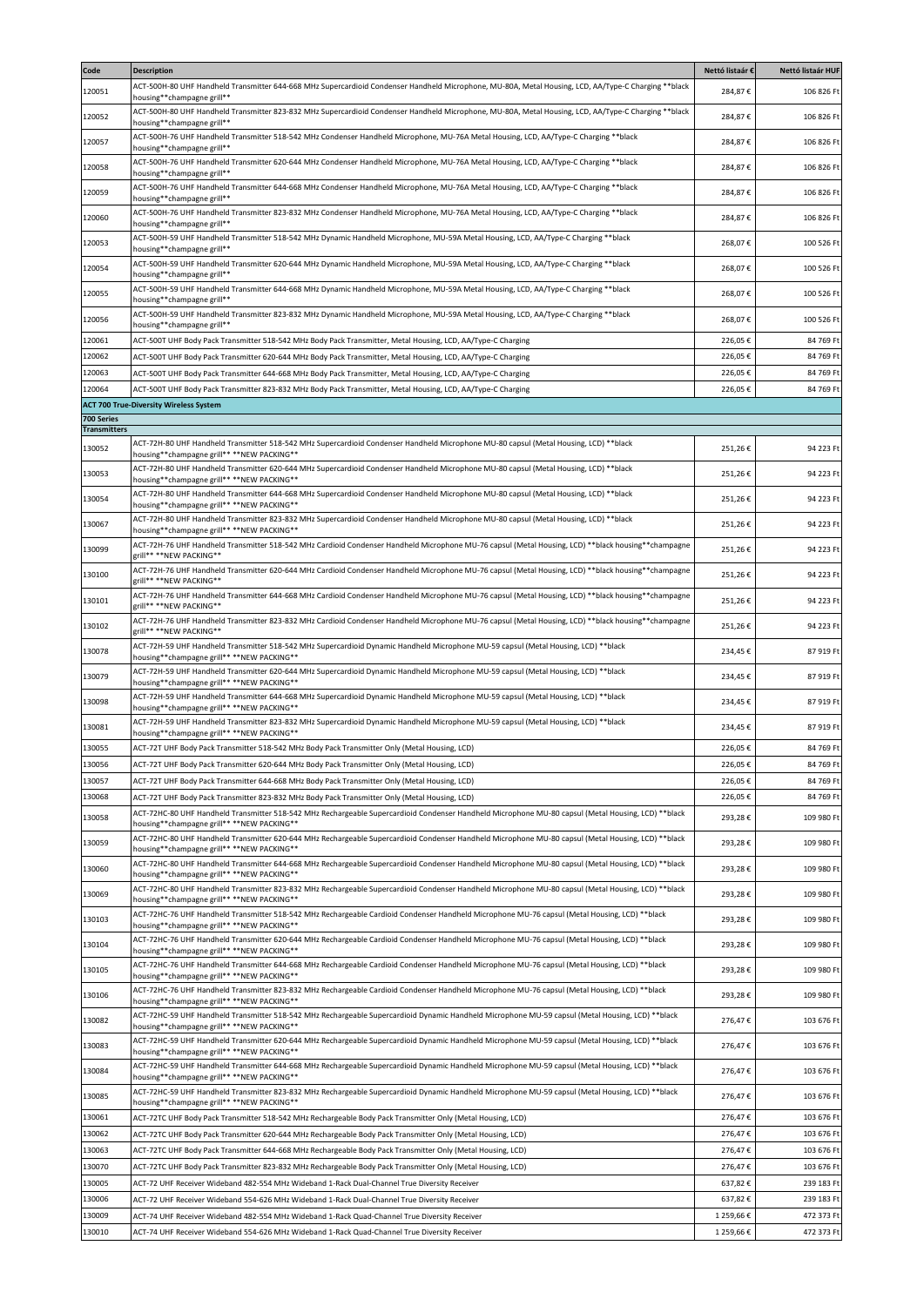| ACT-500H-80 UHF Handheld Transmitter 644-668 MHz Supercardioid Condenser Handheld Microphone, MU-80A, Metal Housing, LCD, AA/Type-C Charging **black<br>120051<br>284,87€<br>106 826 Ft<br>housing**champagne grill**<br>ACT-500H-80 UHF Handheld Transmitter 823-832 MHz Supercardioid Condenser Handheld Microphone, MU-80A, Metal Housing, LCD, AA/Type-C Charging **black<br>284,87€<br>106 826 Ft<br>housing**champagne grill**<br>ACT-500H-76 UHF Handheld Transmitter 518-542 MHz Condenser Handheld Microphone, MU-76A Metal Housing, LCD, AA/Type-C Charging **black<br>120057<br>284,87€<br>106 826 Ft<br>housing**champagne grill**<br>ACT-500H-76 UHF Handheld Transmitter 620-644 MHz Condenser Handheld Microphone, MU-76A Metal Housing, LCD, AA/Type-C Charging **black<br>284,87€<br>106 826 Ft<br>housing**champagne grill**<br>ACT-500H-76 UHF Handheld Transmitter 644-668 MHz Condenser Handheld Microphone, MU-76A Metal Housing, LCD, AA/Type-C Charging **black<br>284,87€<br>106 826 Ft<br>nousing**champagne grill**<br>ACT-500H-76 UHF Handheld Transmitter 823-832 MHz Condenser Handheld Microphone, MU-76A Metal Housing, LCD, AA/Type-C Charging **black<br>120060<br>284,87€<br>106 826 Ft<br>housing**champagne grill**<br>ACT-500H-59 UHF Handheld Transmitter 518-542 MHz Dynamic Handheld Microphone, MU-59A Metal Housing, LCD, AA/Type-C Charging **black<br>268,07€<br>100 526 Ft<br>housing**champagne grill**<br>ACT-500H-59 UHF Handheld Transmitter 620-644 MHz Dynamic Handheld Microphone, MU-59A Metal Housing, LCD, AA/Type-C Charging **black<br>120054<br>268,07€<br>100 526 Ft<br>housing**champagne grill**<br>ACT-500H-59 UHF Handheld Transmitter 644-668 MHz Dynamic Handheld Microphone, MU-59A Metal Housing, LCD, AA/Type-C Charging **black<br>120055<br>268,07€<br>100 526 Ft<br>housing**champagne grill**<br>ACT-500H-59 UHF Handheld Transmitter 823-832 MHz Dynamic Handheld Microphone, MU-59A Metal Housing, LCD, AA/Type-C Charging **black<br>120056<br>268,07€<br>100 526 Ft<br>housing**champagne grill**<br>120061<br>226,05€<br>ACT-500T UHF Body Pack Transmitter 518-542 MHz Body Pack Transmitter, Metal Housing, LCD, AA/Type-C Charging<br>84 769 Ft<br>120062<br>226,05€<br>84 769 Ft<br>ACT-500T UHF Body Pack Transmitter 620-644 MHz Body Pack Transmitter, Metal Housing, LCD, AA/Type-C Charging<br>120063<br>226,05€<br>84 769 Ft<br>ACT-500T UHF Body Pack Transmitter 644-668 MHz Body Pack Transmitter, Metal Housing, LCD, AA/Type-C Charging<br>120064<br>226,05€<br>84 769 Ft<br>ACT-500T UHF Body Pack Transmitter 823-832 MHz Body Pack Transmitter, Metal Housing, LCD, AA/Type-C Charging<br><b>ACT 700 True-Diversity Wireless System</b><br><b>Transmitters</b><br>ACT-72H-80 UHF Handheld Transmitter 518-542 MHz Supercardioid Condenser Handheld Microphone MU-80 capsul (Metal Housing, LCD) **black<br>130052<br>251,26€<br>94 223 Ft<br>housing**champagne grill** **NEW PACKING**<br>ACT-72H-80 UHF Handheld Transmitter 620-644 MHz Supercardioid Condenser Handheld Microphone MU-80 capsul (Metal Housing, LCD) **black<br>130053<br>251,26€<br>94 223 Ft<br>housing**champagne grill** **NEW PACKING**<br>ACT-72H-80 UHF Handheld Transmitter 644-668 MHz Supercardioid Condenser Handheld Microphone MU-80 capsul (Metal Housing, LCD) **black<br>130054<br>251,26€<br>94 223 Ft<br>housing**champagne grill** **NEW PACKING**<br>ACT-72H-80 UHF Handheld Transmitter 823-832 MHz Supercardioid Condenser Handheld Microphone MU-80 capsul (Metal Housing, LCD) **black<br>130067<br>251,26€<br>94 223 Ft<br>housing**champagne grill** **NEW PACKING**<br>ACT-72H-76 UHF Handheld Transmitter 518-542 MHz Cardioid Condenser Handheld Microphone MU-76 capsul (Metal Housing, LCD) **black housing**champagne<br>130099<br>251,26€<br>94 223 Ft<br>grill** **NEW PACKING**<br>ACT-72H-76 UHF Handheld Transmitter 620-644 MHz Cardioid Condenser Handheld Microphone MU-76 capsul (Metal Housing, LCD) **black housing**champagne<br>130100<br>251,26€<br>94 223 Ft<br>zrill** **NEW PACKING**<br>ACT-72H-76 UHF Handheld Transmitter 644-668 MHz Cardioid Condenser Handheld Microphone MU-76 capsul (Metal Housing, LCD) **black housing**champagne<br>130101<br>251,26€<br>94 223 Ft<br>grill** **NEW PACKING**<br>ACT-72H-76 UHF Handheld Transmitter 823-832 MHz Cardioid Condenser Handheld Microphone MU-76 capsul (Metal Housing, LCD) **black housing**champagne<br>130102<br>251,26€<br>94 223 Ft<br>zrill** **NEW PACKING**<br>ACT-72H-59 UHF Handheld Transmitter 518-542 MHz Supercardioid Dynamic Handheld Microphone MU-59 capsul (Metal Housing, LCD) **black<br>130078<br>87 919 Ft<br>234,45€<br>housing**champagne grill** **NEW PACKING**<br>ACT-72H-59 UHF Handheld Transmitter 620-644 MHz Supercardioid Dynamic Handheld Microphone MU-59 capsul (Metal Housing, LCD) **black<br>234,45€<br>87 919 Ft<br>housing**champagne grill** **NEW PACKING**<br>ACT-72H-59 UHF Handheld Transmitter 644-668 MHz Supercardioid Dynamic Handheld Microphone MU-59 capsul (Metal Housing, LCD) **black<br>130098<br>234,45€<br>87 919 Ft<br>housing**champagne grill** **NEW PACKING**<br>ACT-72H-59 UHF Handheld Transmitter 823-832 MHz Supercardioid Dynamic Handheld Microphone MU-59 capsul (Metal Housing, LCD) **black<br>130081<br>234,45€<br>87 919 Ft<br>housing**champagne grill** **NEW PACKING**<br>226,05€<br>130055<br>ACT-72T UHF Body Pack Transmitter 518-542 MHz Body Pack Transmitter Only (Metal Housing, LCD)<br>84 769 Ft<br>130056<br>226,05€<br>84 769 Ft<br>ACT-72T UHF Body Pack Transmitter 620-644 MHz Body Pack Transmitter Only (Metal Housing, LCD)<br>130057<br>226,05€<br>84 769 Ft<br>ACT-72T UHF Body Pack Transmitter 644-668 MHz Body Pack Transmitter Only (Metal Housing, LCD)<br>130068<br>226,05€<br>84 769 Ft<br>ACT-72T UHF Body Pack Transmitter 823-832 MHz Body Pack Transmitter Only (Metal Housing, LCD)<br>ACT-72HC-80 UHF Handheld Transmitter 518-542 MHz Rechargeable Supercardioid Condenser Handheld Microphone MU-80 capsul (Metal Housing, LCD) **black<br>130058<br>293,28€<br>109 980 Ft<br>housing**champagne grill** **NEW PACKING**<br>ACT-72HC-80 UHF Handheld Transmitter 620-644 MHz Rechargeable Supercardioid Condenser Handheld Microphone MU-80 capsul (Metal Housing, LCD) **black<br>293,28€<br>109 980 Ft<br>housing**champagne grill** **NEW PACKING**<br>ACT-72HC-80 UHF Handheld Transmitter 644-668 MHz Rechargeable Supercardioid Condenser Handheld Microphone MU-80 capsul (Metal Housing, LCD) **black<br>130060<br>293,28€<br>109 980 Ft<br>housing**champagne grill** **NEW PACKING**<br>ACT-72HC-80 UHF Handheld Transmitter 823-832 MHz Rechargeable Supercardioid Condenser Handheld Microphone MU-80 capsul (Metal Housing, LCD) **black<br>293,28€<br>109 980 Ft<br>housing**champagne grill** **NEW PACKING**<br>ACT-72HC-76 UHF Handheld Transmitter 518-542 MHz Rechargeable Cardioid Condenser Handheld Microphone MU-76 capsul (Metal Housing, LCD) **black<br>293,28€<br>109 980 Ft<br>housing**champagne grill** **NEW PACKING**<br>ACT-72HC-76 UHF Handheld Transmitter 620-644 MHz Rechargeable Cardioid Condenser Handheld Microphone MU-76 capsul (Metal Housing, LCD) **black<br>130104<br>293,28€<br>109 980 Ft<br>housing**champagne grill** **NEW PACKING**<br>ACT-72HC-76 UHF Handheld Transmitter 644-668 MHz Rechargeable Cardioid Condenser Handheld Microphone MU-76 capsul (Metal Housing, LCD) **black<br>293,28€<br>109 980 Ft<br>housing**champagne grill** **NEW PACKING**<br>ACT-72HC-76 UHF Handheld Transmitter 823-832 MHz Rechargeable Cardioid Condenser Handheld Microphone MU-76 capsul (Metal Housing, LCD) **black<br>293,28€<br>109 980 Ft<br>housing**champagne grill** **NEW PACKING**<br>ACT-72HC-59 UHF Handheld Transmitter 518-542 MHz Rechargeable Supercardioid Dynamic Handheld Microphone MU-59 capsul (Metal Housing, LCD) **black<br>276,47€<br>103 676 Ft<br>housing**champagne grill** **NEW PACKING**<br>ACT-72HC-59 UHF Handheld Transmitter 620-644 MHz Rechargeable Supercardioid Dynamic Handheld Microphone MU-59 capsul (Metal Housing, LCD) **black<br>130083<br>276,47€<br>103 676 Ft<br>housing**champagne grill** **NEW PACKING**<br>ACT-72HC-59 UHF Handheld Transmitter 644-668 MHz Rechargeable Supercardioid Dynamic Handheld Microphone MU-59 capsul (Metal Housing, LCD) **black<br>130084<br>276,47€<br>103 676 Ft<br>housing**champagne grill** **NEW PACKING**<br>ACT-72HC-59 UHF Handheld Transmitter 823-832 MHz Rechargeable Supercardioid Dynamic Handheld Microphone MU-59 capsul (Metal Housing, LCD) **black<br>130085<br>276,47€<br>103 676 Ft<br>housing**champagne grill** **NEW PACKING**<br>130061<br>276,47€<br>103 676 Ft<br>ACT-72TC UHF Body Pack Transmitter 518-542 MHz Rechargeable Body Pack Transmitter Only (Metal Housing, LCD)<br>130062<br>276,47€<br>103 676 Ft<br>ACT-72TC UHF Body Pack Transmitter 620-644 MHz Rechargeable Body Pack Transmitter Only (Metal Housing, LCD)<br>130063<br>276,47€<br>ACT-72TC UHF Body Pack Transmitter 644-668 MHz Rechargeable Body Pack Transmitter Only (Metal Housing, LCD)<br>103 676 Ft<br>130070<br>276,47€<br>103 676 Ft<br>ACT-72TC UHF Body Pack Transmitter 823-832 MHz Rechargeable Body Pack Transmitter Only (Metal Housing, LCD)<br>130005<br>637,82€<br>239 183 Ft<br>ACT-72 UHF Receiver Wideband 482-554 MHz Wideband 1-Rack Dual-Channel True Diversity Receiver<br>130006<br>ACT-72 UHF Receiver Wideband 554-626 MHz Wideband 1-Rack Dual-Channel True Diversity Receiver<br>637,82€<br>239 183 Ft<br>130009<br>1 259,66 €<br>472 373 Ft<br>ACT-74 UHF Receiver Wideband 482-554 MHz Wideband 1-Rack Quad-Channel True Diversity Receiver<br>130010<br>1 259,66 €<br>472 373 Ft<br>ACT-74 UHF Receiver Wideband 554-626 MHz Wideband 1-Rack Quad-Channel True Diversity Receiver | Code       | <b>Description</b> | Nettó listaár € | Nettó listaár HUF |
|--------------------------------------------------------------------------------------------------------------------------------------------------------------------------------------------------------------------------------------------------------------------------------------------------------------------------------------------------------------------------------------------------------------------------------------------------------------------------------------------------------------------------------------------------------------------------------------------------------------------------------------------------------------------------------------------------------------------------------------------------------------------------------------------------------------------------------------------------------------------------------------------------------------------------------------------------------------------------------------------------------------------------------------------------------------------------------------------------------------------------------------------------------------------------------------------------------------------------------------------------------------------------------------------------------------------------------------------------------------------------------------------------------------------------------------------------------------------------------------------------------------------------------------------------------------------------------------------------------------------------------------------------------------------------------------------------------------------------------------------------------------------------------------------------------------------------------------------------------------------------------------------------------------------------------------------------------------------------------------------------------------------------------------------------------------------------------------------------------------------------------------------------------------------------------------------------------------------------------------------------------------------------------------------------------------------------------------------------------------------------------------------------------------------------------------------------------------------------------------------------------------------------------------------------------------------------------------------------------------------------------------------------------------------------------------------------------------------------------------------------------------------------------------------------------------------------------------------------------------------------------------------------------------------------------------------------------------------------------------------------------------------------------------------------------------------------------------------------------------------------------------------------------------------------------------------------------------------------------------------------------------------------------------------------------------------------------------------------------------------------------------------------------------------------------------------------------------------------------------------------------------------------------------------------------------------------------------------------------------------------------------------------------------------------------------------------------------------------------------------------------------------------------------------------------------------------------------------------------------------------------------------------------------------------------------------------------------------------------------------------------------------------------------------------------------------------------------------------------------------------------------------------------------------------------------------------------------------------------------------------------------------------------------------------------------------------------------------------------------------------------------------------------------------------------------------------------------------------------------------------------------------------------------------------------------------------------------------------------------------------------------------------------------------------------------------------------------------------------------------------------------------------------------------------------------------------------------------------------------------------------------------------------------------------------------------------------------------------------------------------------------------------------------------------------------------------------------------------------------------------------------------------------------------------------------------------------------------------------------------------------------------------------------------------------------------------------------------------------------------------------------------------------------------------------------------------------------------------------------------------------------------------------------------------------------------------------------------------------------------------------------------------------------------------------------------------------------------------------------------------------------------------------------------------------------------------------------------------------------------------------------------------------------------------------------------------------------------------------------------------------------------------------------------------------------------------------------------------------------------------------------------------------------------------------------------------------------------------------------------------------------------------------------------------------------------------------------------------------------------------------------------------------------------------------------------------------------------------------------------------------------------------------------------------------------------------------------------------------------------------------------------------------------------------------------------------------------------------------------------------------------------------------------------------------------------------------------------------------------------------------------------------------------------------------------------------------------------------------------------------------------------------------------------------------------------------------------------------------------------------------------------------------------------------------------------------------------------------------------------------------------------------------------------------------------------------------------------------------------------------------------------------------------------------------------------------------------------------------------------------------------------------------------------------------------------------------------------------------------------------------------------------------------------------------------------------------------------------------------------------------------------------------------------------------------------------------------------------------------------------------------------------------------------------------------------------------------------------------------------------------------------------------------------------------------------------------------------------------------------------------------------------------------------------------------------------------------------------------------------------------------------------------------------------------------------------------------------------------------------------------------------------------------------------------------------------------------------------------------------------------------------------------------------------------------------------------------------------------------------------------------------------------------------------------------------------------------------------------------------------------------------------------------------------------------------------------------------------------------------------------------------------------------------------------------------------------------------------------------------------------------------------------------------------------------------------------------------------------------------------------------------------------------------------------------------------------------------------------------------------------------------------------------------------------------------------------------------------------------------------------------------------------------------------------------------------------------------------------------------------------------------------------------------------------------------------------------------------------------------------------------------------------------------------------------------------------------------------------------------------------------------------------------------------------------------------------------------------------------------------------------------------------------------------------------------------------|------------|--------------------|-----------------|-------------------|
|                                                                                                                                                                                                                                                                                                                                                                                                                                                                                                                                                                                                                                                                                                                                                                                                                                                                                                                                                                                                                                                                                                                                                                                                                                                                                                                                                                                                                                                                                                                                                                                                                                                                                                                                                                                                                                                                                                                                                                                                                                                                                                                                                                                                                                                                                                                                                                                                                                                                                                                                                                                                                                                                                                                                                                                                                                                                                                                                                                                                                                                                                                                                                                                                                                                                                                                                                                                                                                                                                                                                                                                                                                                                                                                                                                                                                                                                                                                                                                                                                                                                                                                                                                                                                                                                                                                                                                                                                                                                                                                                                                                                                                                                                                                                                                                                                                                                                                                                                                                                                                                                                                                                                                                                                                                                                                                                                                                                                                                                                                                                                                                                                                                                                                                                                                                                                                                                                                                                                                                                                                                                                                                                                                                                                                                                                                                                                                                                                                                                                                                                                                                                                                                                                                                                                                                                                                                                                                                                                                                                                                                                                                                                                                                                                                                                                                                                                                                                                                                                                                                                                                                                                                                                                                                                                                                                                                                                                                                                                                                                                                                                                                                                                                                                                                                                                                                                                                                                                                                                                                                                                                                                                                                                                                                                                                                                                                                                                                                                                                                                                                                                                                                                                                                                                                                                                                                                                                                                                                                                                                                                                                                                                                                                                                                                                                                                                                                                                                                                                        |            |                    |                 |                   |
|                                                                                                                                                                                                                                                                                                                                                                                                                                                                                                                                                                                                                                                                                                                                                                                                                                                                                                                                                                                                                                                                                                                                                                                                                                                                                                                                                                                                                                                                                                                                                                                                                                                                                                                                                                                                                                                                                                                                                                                                                                                                                                                                                                                                                                                                                                                                                                                                                                                                                                                                                                                                                                                                                                                                                                                                                                                                                                                                                                                                                                                                                                                                                                                                                                                                                                                                                                                                                                                                                                                                                                                                                                                                                                                                                                                                                                                                                                                                                                                                                                                                                                                                                                                                                                                                                                                                                                                                                                                                                                                                                                                                                                                                                                                                                                                                                                                                                                                                                                                                                                                                                                                                                                                                                                                                                                                                                                                                                                                                                                                                                                                                                                                                                                                                                                                                                                                                                                                                                                                                                                                                                                                                                                                                                                                                                                                                                                                                                                                                                                                                                                                                                                                                                                                                                                                                                                                                                                                                                                                                                                                                                                                                                                                                                                                                                                                                                                                                                                                                                                                                                                                                                                                                                                                                                                                                                                                                                                                                                                                                                                                                                                                                                                                                                                                                                                                                                                                                                                                                                                                                                                                                                                                                                                                                                                                                                                                                                                                                                                                                                                                                                                                                                                                                                                                                                                                                                                                                                                                                                                                                                                                                                                                                                                                                                                                                                                                                                                                                                        | 120052     |                    |                 |                   |
|                                                                                                                                                                                                                                                                                                                                                                                                                                                                                                                                                                                                                                                                                                                                                                                                                                                                                                                                                                                                                                                                                                                                                                                                                                                                                                                                                                                                                                                                                                                                                                                                                                                                                                                                                                                                                                                                                                                                                                                                                                                                                                                                                                                                                                                                                                                                                                                                                                                                                                                                                                                                                                                                                                                                                                                                                                                                                                                                                                                                                                                                                                                                                                                                                                                                                                                                                                                                                                                                                                                                                                                                                                                                                                                                                                                                                                                                                                                                                                                                                                                                                                                                                                                                                                                                                                                                                                                                                                                                                                                                                                                                                                                                                                                                                                                                                                                                                                                                                                                                                                                                                                                                                                                                                                                                                                                                                                                                                                                                                                                                                                                                                                                                                                                                                                                                                                                                                                                                                                                                                                                                                                                                                                                                                                                                                                                                                                                                                                                                                                                                                                                                                                                                                                                                                                                                                                                                                                                                                                                                                                                                                                                                                                                                                                                                                                                                                                                                                                                                                                                                                                                                                                                                                                                                                                                                                                                                                                                                                                                                                                                                                                                                                                                                                                                                                                                                                                                                                                                                                                                                                                                                                                                                                                                                                                                                                                                                                                                                                                                                                                                                                                                                                                                                                                                                                                                                                                                                                                                                                                                                                                                                                                                                                                                                                                                                                                                                                                                                                        |            |                    |                 |                   |
|                                                                                                                                                                                                                                                                                                                                                                                                                                                                                                                                                                                                                                                                                                                                                                                                                                                                                                                                                                                                                                                                                                                                                                                                                                                                                                                                                                                                                                                                                                                                                                                                                                                                                                                                                                                                                                                                                                                                                                                                                                                                                                                                                                                                                                                                                                                                                                                                                                                                                                                                                                                                                                                                                                                                                                                                                                                                                                                                                                                                                                                                                                                                                                                                                                                                                                                                                                                                                                                                                                                                                                                                                                                                                                                                                                                                                                                                                                                                                                                                                                                                                                                                                                                                                                                                                                                                                                                                                                                                                                                                                                                                                                                                                                                                                                                                                                                                                                                                                                                                                                                                                                                                                                                                                                                                                                                                                                                                                                                                                                                                                                                                                                                                                                                                                                                                                                                                                                                                                                                                                                                                                                                                                                                                                                                                                                                                                                                                                                                                                                                                                                                                                                                                                                                                                                                                                                                                                                                                                                                                                                                                                                                                                                                                                                                                                                                                                                                                                                                                                                                                                                                                                                                                                                                                                                                                                                                                                                                                                                                                                                                                                                                                                                                                                                                                                                                                                                                                                                                                                                                                                                                                                                                                                                                                                                                                                                                                                                                                                                                                                                                                                                                                                                                                                                                                                                                                                                                                                                                                                                                                                                                                                                                                                                                                                                                                                                                                                                                                                        | 120058     |                    |                 |                   |
|                                                                                                                                                                                                                                                                                                                                                                                                                                                                                                                                                                                                                                                                                                                                                                                                                                                                                                                                                                                                                                                                                                                                                                                                                                                                                                                                                                                                                                                                                                                                                                                                                                                                                                                                                                                                                                                                                                                                                                                                                                                                                                                                                                                                                                                                                                                                                                                                                                                                                                                                                                                                                                                                                                                                                                                                                                                                                                                                                                                                                                                                                                                                                                                                                                                                                                                                                                                                                                                                                                                                                                                                                                                                                                                                                                                                                                                                                                                                                                                                                                                                                                                                                                                                                                                                                                                                                                                                                                                                                                                                                                                                                                                                                                                                                                                                                                                                                                                                                                                                                                                                                                                                                                                                                                                                                                                                                                                                                                                                                                                                                                                                                                                                                                                                                                                                                                                                                                                                                                                                                                                                                                                                                                                                                                                                                                                                                                                                                                                                                                                                                                                                                                                                                                                                                                                                                                                                                                                                                                                                                                                                                                                                                                                                                                                                                                                                                                                                                                                                                                                                                                                                                                                                                                                                                                                                                                                                                                                                                                                                                                                                                                                                                                                                                                                                                                                                                                                                                                                                                                                                                                                                                                                                                                                                                                                                                                                                                                                                                                                                                                                                                                                                                                                                                                                                                                                                                                                                                                                                                                                                                                                                                                                                                                                                                                                                                                                                                                                                                        | 120059     |                    |                 |                   |
|                                                                                                                                                                                                                                                                                                                                                                                                                                                                                                                                                                                                                                                                                                                                                                                                                                                                                                                                                                                                                                                                                                                                                                                                                                                                                                                                                                                                                                                                                                                                                                                                                                                                                                                                                                                                                                                                                                                                                                                                                                                                                                                                                                                                                                                                                                                                                                                                                                                                                                                                                                                                                                                                                                                                                                                                                                                                                                                                                                                                                                                                                                                                                                                                                                                                                                                                                                                                                                                                                                                                                                                                                                                                                                                                                                                                                                                                                                                                                                                                                                                                                                                                                                                                                                                                                                                                                                                                                                                                                                                                                                                                                                                                                                                                                                                                                                                                                                                                                                                                                                                                                                                                                                                                                                                                                                                                                                                                                                                                                                                                                                                                                                                                                                                                                                                                                                                                                                                                                                                                                                                                                                                                                                                                                                                                                                                                                                                                                                                                                                                                                                                                                                                                                                                                                                                                                                                                                                                                                                                                                                                                                                                                                                                                                                                                                                                                                                                                                                                                                                                                                                                                                                                                                                                                                                                                                                                                                                                                                                                                                                                                                                                                                                                                                                                                                                                                                                                                                                                                                                                                                                                                                                                                                                                                                                                                                                                                                                                                                                                                                                                                                                                                                                                                                                                                                                                                                                                                                                                                                                                                                                                                                                                                                                                                                                                                                                                                                                                                                        |            |                    |                 |                   |
|                                                                                                                                                                                                                                                                                                                                                                                                                                                                                                                                                                                                                                                                                                                                                                                                                                                                                                                                                                                                                                                                                                                                                                                                                                                                                                                                                                                                                                                                                                                                                                                                                                                                                                                                                                                                                                                                                                                                                                                                                                                                                                                                                                                                                                                                                                                                                                                                                                                                                                                                                                                                                                                                                                                                                                                                                                                                                                                                                                                                                                                                                                                                                                                                                                                                                                                                                                                                                                                                                                                                                                                                                                                                                                                                                                                                                                                                                                                                                                                                                                                                                                                                                                                                                                                                                                                                                                                                                                                                                                                                                                                                                                                                                                                                                                                                                                                                                                                                                                                                                                                                                                                                                                                                                                                                                                                                                                                                                                                                                                                                                                                                                                                                                                                                                                                                                                                                                                                                                                                                                                                                                                                                                                                                                                                                                                                                                                                                                                                                                                                                                                                                                                                                                                                                                                                                                                                                                                                                                                                                                                                                                                                                                                                                                                                                                                                                                                                                                                                                                                                                                                                                                                                                                                                                                                                                                                                                                                                                                                                                                                                                                                                                                                                                                                                                                                                                                                                                                                                                                                                                                                                                                                                                                                                                                                                                                                                                                                                                                                                                                                                                                                                                                                                                                                                                                                                                                                                                                                                                                                                                                                                                                                                                                                                                                                                                                                                                                                                                                        | 120053     |                    |                 |                   |
|                                                                                                                                                                                                                                                                                                                                                                                                                                                                                                                                                                                                                                                                                                                                                                                                                                                                                                                                                                                                                                                                                                                                                                                                                                                                                                                                                                                                                                                                                                                                                                                                                                                                                                                                                                                                                                                                                                                                                                                                                                                                                                                                                                                                                                                                                                                                                                                                                                                                                                                                                                                                                                                                                                                                                                                                                                                                                                                                                                                                                                                                                                                                                                                                                                                                                                                                                                                                                                                                                                                                                                                                                                                                                                                                                                                                                                                                                                                                                                                                                                                                                                                                                                                                                                                                                                                                                                                                                                                                                                                                                                                                                                                                                                                                                                                                                                                                                                                                                                                                                                                                                                                                                                                                                                                                                                                                                                                                                                                                                                                                                                                                                                                                                                                                                                                                                                                                                                                                                                                                                                                                                                                                                                                                                                                                                                                                                                                                                                                                                                                                                                                                                                                                                                                                                                                                                                                                                                                                                                                                                                                                                                                                                                                                                                                                                                                                                                                                                                                                                                                                                                                                                                                                                                                                                                                                                                                                                                                                                                                                                                                                                                                                                                                                                                                                                                                                                                                                                                                                                                                                                                                                                                                                                                                                                                                                                                                                                                                                                                                                                                                                                                                                                                                                                                                                                                                                                                                                                                                                                                                                                                                                                                                                                                                                                                                                                                                                                                                                                        |            |                    |                 |                   |
|                                                                                                                                                                                                                                                                                                                                                                                                                                                                                                                                                                                                                                                                                                                                                                                                                                                                                                                                                                                                                                                                                                                                                                                                                                                                                                                                                                                                                                                                                                                                                                                                                                                                                                                                                                                                                                                                                                                                                                                                                                                                                                                                                                                                                                                                                                                                                                                                                                                                                                                                                                                                                                                                                                                                                                                                                                                                                                                                                                                                                                                                                                                                                                                                                                                                                                                                                                                                                                                                                                                                                                                                                                                                                                                                                                                                                                                                                                                                                                                                                                                                                                                                                                                                                                                                                                                                                                                                                                                                                                                                                                                                                                                                                                                                                                                                                                                                                                                                                                                                                                                                                                                                                                                                                                                                                                                                                                                                                                                                                                                                                                                                                                                                                                                                                                                                                                                                                                                                                                                                                                                                                                                                                                                                                                                                                                                                                                                                                                                                                                                                                                                                                                                                                                                                                                                                                                                                                                                                                                                                                                                                                                                                                                                                                                                                                                                                                                                                                                                                                                                                                                                                                                                                                                                                                                                                                                                                                                                                                                                                                                                                                                                                                                                                                                                                                                                                                                                                                                                                                                                                                                                                                                                                                                                                                                                                                                                                                                                                                                                                                                                                                                                                                                                                                                                                                                                                                                                                                                                                                                                                                                                                                                                                                                                                                                                                                                                                                                                                                        |            |                    |                 |                   |
|                                                                                                                                                                                                                                                                                                                                                                                                                                                                                                                                                                                                                                                                                                                                                                                                                                                                                                                                                                                                                                                                                                                                                                                                                                                                                                                                                                                                                                                                                                                                                                                                                                                                                                                                                                                                                                                                                                                                                                                                                                                                                                                                                                                                                                                                                                                                                                                                                                                                                                                                                                                                                                                                                                                                                                                                                                                                                                                                                                                                                                                                                                                                                                                                                                                                                                                                                                                                                                                                                                                                                                                                                                                                                                                                                                                                                                                                                                                                                                                                                                                                                                                                                                                                                                                                                                                                                                                                                                                                                                                                                                                                                                                                                                                                                                                                                                                                                                                                                                                                                                                                                                                                                                                                                                                                                                                                                                                                                                                                                                                                                                                                                                                                                                                                                                                                                                                                                                                                                                                                                                                                                                                                                                                                                                                                                                                                                                                                                                                                                                                                                                                                                                                                                                                                                                                                                                                                                                                                                                                                                                                                                                                                                                                                                                                                                                                                                                                                                                                                                                                                                                                                                                                                                                                                                                                                                                                                                                                                                                                                                                                                                                                                                                                                                                                                                                                                                                                                                                                                                                                                                                                                                                                                                                                                                                                                                                                                                                                                                                                                                                                                                                                                                                                                                                                                                                                                                                                                                                                                                                                                                                                                                                                                                                                                                                                                                                                                                                                                                        |            |                    |                 |                   |
|                                                                                                                                                                                                                                                                                                                                                                                                                                                                                                                                                                                                                                                                                                                                                                                                                                                                                                                                                                                                                                                                                                                                                                                                                                                                                                                                                                                                                                                                                                                                                                                                                                                                                                                                                                                                                                                                                                                                                                                                                                                                                                                                                                                                                                                                                                                                                                                                                                                                                                                                                                                                                                                                                                                                                                                                                                                                                                                                                                                                                                                                                                                                                                                                                                                                                                                                                                                                                                                                                                                                                                                                                                                                                                                                                                                                                                                                                                                                                                                                                                                                                                                                                                                                                                                                                                                                                                                                                                                                                                                                                                                                                                                                                                                                                                                                                                                                                                                                                                                                                                                                                                                                                                                                                                                                                                                                                                                                                                                                                                                                                                                                                                                                                                                                                                                                                                                                                                                                                                                                                                                                                                                                                                                                                                                                                                                                                                                                                                                                                                                                                                                                                                                                                                                                                                                                                                                                                                                                                                                                                                                                                                                                                                                                                                                                                                                                                                                                                                                                                                                                                                                                                                                                                                                                                                                                                                                                                                                                                                                                                                                                                                                                                                                                                                                                                                                                                                                                                                                                                                                                                                                                                                                                                                                                                                                                                                                                                                                                                                                                                                                                                                                                                                                                                                                                                                                                                                                                                                                                                                                                                                                                                                                                                                                                                                                                                                                                                                                                                        |            |                    |                 |                   |
|                                                                                                                                                                                                                                                                                                                                                                                                                                                                                                                                                                                                                                                                                                                                                                                                                                                                                                                                                                                                                                                                                                                                                                                                                                                                                                                                                                                                                                                                                                                                                                                                                                                                                                                                                                                                                                                                                                                                                                                                                                                                                                                                                                                                                                                                                                                                                                                                                                                                                                                                                                                                                                                                                                                                                                                                                                                                                                                                                                                                                                                                                                                                                                                                                                                                                                                                                                                                                                                                                                                                                                                                                                                                                                                                                                                                                                                                                                                                                                                                                                                                                                                                                                                                                                                                                                                                                                                                                                                                                                                                                                                                                                                                                                                                                                                                                                                                                                                                                                                                                                                                                                                                                                                                                                                                                                                                                                                                                                                                                                                                                                                                                                                                                                                                                                                                                                                                                                                                                                                                                                                                                                                                                                                                                                                                                                                                                                                                                                                                                                                                                                                                                                                                                                                                                                                                                                                                                                                                                                                                                                                                                                                                                                                                                                                                                                                                                                                                                                                                                                                                                                                                                                                                                                                                                                                                                                                                                                                                                                                                                                                                                                                                                                                                                                                                                                                                                                                                                                                                                                                                                                                                                                                                                                                                                                                                                                                                                                                                                                                                                                                                                                                                                                                                                                                                                                                                                                                                                                                                                                                                                                                                                                                                                                                                                                                                                                                                                                                                                        |            |                    |                 |                   |
|                                                                                                                                                                                                                                                                                                                                                                                                                                                                                                                                                                                                                                                                                                                                                                                                                                                                                                                                                                                                                                                                                                                                                                                                                                                                                                                                                                                                                                                                                                                                                                                                                                                                                                                                                                                                                                                                                                                                                                                                                                                                                                                                                                                                                                                                                                                                                                                                                                                                                                                                                                                                                                                                                                                                                                                                                                                                                                                                                                                                                                                                                                                                                                                                                                                                                                                                                                                                                                                                                                                                                                                                                                                                                                                                                                                                                                                                                                                                                                                                                                                                                                                                                                                                                                                                                                                                                                                                                                                                                                                                                                                                                                                                                                                                                                                                                                                                                                                                                                                                                                                                                                                                                                                                                                                                                                                                                                                                                                                                                                                                                                                                                                                                                                                                                                                                                                                                                                                                                                                                                                                                                                                                                                                                                                                                                                                                                                                                                                                                                                                                                                                                                                                                                                                                                                                                                                                                                                                                                                                                                                                                                                                                                                                                                                                                                                                                                                                                                                                                                                                                                                                                                                                                                                                                                                                                                                                                                                                                                                                                                                                                                                                                                                                                                                                                                                                                                                                                                                                                                                                                                                                                                                                                                                                                                                                                                                                                                                                                                                                                                                                                                                                                                                                                                                                                                                                                                                                                                                                                                                                                                                                                                                                                                                                                                                                                                                                                                                                                                        |            |                    |                 |                   |
|                                                                                                                                                                                                                                                                                                                                                                                                                                                                                                                                                                                                                                                                                                                                                                                                                                                                                                                                                                                                                                                                                                                                                                                                                                                                                                                                                                                                                                                                                                                                                                                                                                                                                                                                                                                                                                                                                                                                                                                                                                                                                                                                                                                                                                                                                                                                                                                                                                                                                                                                                                                                                                                                                                                                                                                                                                                                                                                                                                                                                                                                                                                                                                                                                                                                                                                                                                                                                                                                                                                                                                                                                                                                                                                                                                                                                                                                                                                                                                                                                                                                                                                                                                                                                                                                                                                                                                                                                                                                                                                                                                                                                                                                                                                                                                                                                                                                                                                                                                                                                                                                                                                                                                                                                                                                                                                                                                                                                                                                                                                                                                                                                                                                                                                                                                                                                                                                                                                                                                                                                                                                                                                                                                                                                                                                                                                                                                                                                                                                                                                                                                                                                                                                                                                                                                                                                                                                                                                                                                                                                                                                                                                                                                                                                                                                                                                                                                                                                                                                                                                                                                                                                                                                                                                                                                                                                                                                                                                                                                                                                                                                                                                                                                                                                                                                                                                                                                                                                                                                                                                                                                                                                                                                                                                                                                                                                                                                                                                                                                                                                                                                                                                                                                                                                                                                                                                                                                                                                                                                                                                                                                                                                                                                                                                                                                                                                                                                                                                                                        |            |                    |                 |                   |
|                                                                                                                                                                                                                                                                                                                                                                                                                                                                                                                                                                                                                                                                                                                                                                                                                                                                                                                                                                                                                                                                                                                                                                                                                                                                                                                                                                                                                                                                                                                                                                                                                                                                                                                                                                                                                                                                                                                                                                                                                                                                                                                                                                                                                                                                                                                                                                                                                                                                                                                                                                                                                                                                                                                                                                                                                                                                                                                                                                                                                                                                                                                                                                                                                                                                                                                                                                                                                                                                                                                                                                                                                                                                                                                                                                                                                                                                                                                                                                                                                                                                                                                                                                                                                                                                                                                                                                                                                                                                                                                                                                                                                                                                                                                                                                                                                                                                                                                                                                                                                                                                                                                                                                                                                                                                                                                                                                                                                                                                                                                                                                                                                                                                                                                                                                                                                                                                                                                                                                                                                                                                                                                                                                                                                                                                                                                                                                                                                                                                                                                                                                                                                                                                                                                                                                                                                                                                                                                                                                                                                                                                                                                                                                                                                                                                                                                                                                                                                                                                                                                                                                                                                                                                                                                                                                                                                                                                                                                                                                                                                                                                                                                                                                                                                                                                                                                                                                                                                                                                                                                                                                                                                                                                                                                                                                                                                                                                                                                                                                                                                                                                                                                                                                                                                                                                                                                                                                                                                                                                                                                                                                                                                                                                                                                                                                                                                                                                                                                                                        |            |                    |                 |                   |
|                                                                                                                                                                                                                                                                                                                                                                                                                                                                                                                                                                                                                                                                                                                                                                                                                                                                                                                                                                                                                                                                                                                                                                                                                                                                                                                                                                                                                                                                                                                                                                                                                                                                                                                                                                                                                                                                                                                                                                                                                                                                                                                                                                                                                                                                                                                                                                                                                                                                                                                                                                                                                                                                                                                                                                                                                                                                                                                                                                                                                                                                                                                                                                                                                                                                                                                                                                                                                                                                                                                                                                                                                                                                                                                                                                                                                                                                                                                                                                                                                                                                                                                                                                                                                                                                                                                                                                                                                                                                                                                                                                                                                                                                                                                                                                                                                                                                                                                                                                                                                                                                                                                                                                                                                                                                                                                                                                                                                                                                                                                                                                                                                                                                                                                                                                                                                                                                                                                                                                                                                                                                                                                                                                                                                                                                                                                                                                                                                                                                                                                                                                                                                                                                                                                                                                                                                                                                                                                                                                                                                                                                                                                                                                                                                                                                                                                                                                                                                                                                                                                                                                                                                                                                                                                                                                                                                                                                                                                                                                                                                                                                                                                                                                                                                                                                                                                                                                                                                                                                                                                                                                                                                                                                                                                                                                                                                                                                                                                                                                                                                                                                                                                                                                                                                                                                                                                                                                                                                                                                                                                                                                                                                                                                                                                                                                                                                                                                                                                                                        | 700 Series |                    |                 |                   |
|                                                                                                                                                                                                                                                                                                                                                                                                                                                                                                                                                                                                                                                                                                                                                                                                                                                                                                                                                                                                                                                                                                                                                                                                                                                                                                                                                                                                                                                                                                                                                                                                                                                                                                                                                                                                                                                                                                                                                                                                                                                                                                                                                                                                                                                                                                                                                                                                                                                                                                                                                                                                                                                                                                                                                                                                                                                                                                                                                                                                                                                                                                                                                                                                                                                                                                                                                                                                                                                                                                                                                                                                                                                                                                                                                                                                                                                                                                                                                                                                                                                                                                                                                                                                                                                                                                                                                                                                                                                                                                                                                                                                                                                                                                                                                                                                                                                                                                                                                                                                                                                                                                                                                                                                                                                                                                                                                                                                                                                                                                                                                                                                                                                                                                                                                                                                                                                                                                                                                                                                                                                                                                                                                                                                                                                                                                                                                                                                                                                                                                                                                                                                                                                                                                                                                                                                                                                                                                                                                                                                                                                                                                                                                                                                                                                                                                                                                                                                                                                                                                                                                                                                                                                                                                                                                                                                                                                                                                                                                                                                                                                                                                                                                                                                                                                                                                                                                                                                                                                                                                                                                                                                                                                                                                                                                                                                                                                                                                                                                                                                                                                                                                                                                                                                                                                                                                                                                                                                                                                                                                                                                                                                                                                                                                                                                                                                                                                                                                                                                        |            |                    |                 |                   |
|                                                                                                                                                                                                                                                                                                                                                                                                                                                                                                                                                                                                                                                                                                                                                                                                                                                                                                                                                                                                                                                                                                                                                                                                                                                                                                                                                                                                                                                                                                                                                                                                                                                                                                                                                                                                                                                                                                                                                                                                                                                                                                                                                                                                                                                                                                                                                                                                                                                                                                                                                                                                                                                                                                                                                                                                                                                                                                                                                                                                                                                                                                                                                                                                                                                                                                                                                                                                                                                                                                                                                                                                                                                                                                                                                                                                                                                                                                                                                                                                                                                                                                                                                                                                                                                                                                                                                                                                                                                                                                                                                                                                                                                                                                                                                                                                                                                                                                                                                                                                                                                                                                                                                                                                                                                                                                                                                                                                                                                                                                                                                                                                                                                                                                                                                                                                                                                                                                                                                                                                                                                                                                                                                                                                                                                                                                                                                                                                                                                                                                                                                                                                                                                                                                                                                                                                                                                                                                                                                                                                                                                                                                                                                                                                                                                                                                                                                                                                                                                                                                                                                                                                                                                                                                                                                                                                                                                                                                                                                                                                                                                                                                                                                                                                                                                                                                                                                                                                                                                                                                                                                                                                                                                                                                                                                                                                                                                                                                                                                                                                                                                                                                                                                                                                                                                                                                                                                                                                                                                                                                                                                                                                                                                                                                                                                                                                                                                                                                                                                        |            |                    |                 |                   |
|                                                                                                                                                                                                                                                                                                                                                                                                                                                                                                                                                                                                                                                                                                                                                                                                                                                                                                                                                                                                                                                                                                                                                                                                                                                                                                                                                                                                                                                                                                                                                                                                                                                                                                                                                                                                                                                                                                                                                                                                                                                                                                                                                                                                                                                                                                                                                                                                                                                                                                                                                                                                                                                                                                                                                                                                                                                                                                                                                                                                                                                                                                                                                                                                                                                                                                                                                                                                                                                                                                                                                                                                                                                                                                                                                                                                                                                                                                                                                                                                                                                                                                                                                                                                                                                                                                                                                                                                                                                                                                                                                                                                                                                                                                                                                                                                                                                                                                                                                                                                                                                                                                                                                                                                                                                                                                                                                                                                                                                                                                                                                                                                                                                                                                                                                                                                                                                                                                                                                                                                                                                                                                                                                                                                                                                                                                                                                                                                                                                                                                                                                                                                                                                                                                                                                                                                                                                                                                                                                                                                                                                                                                                                                                                                                                                                                                                                                                                                                                                                                                                                                                                                                                                                                                                                                                                                                                                                                                                                                                                                                                                                                                                                                                                                                                                                                                                                                                                                                                                                                                                                                                                                                                                                                                                                                                                                                                                                                                                                                                                                                                                                                                                                                                                                                                                                                                                                                                                                                                                                                                                                                                                                                                                                                                                                                                                                                                                                                                                                                        |            |                    |                 |                   |
|                                                                                                                                                                                                                                                                                                                                                                                                                                                                                                                                                                                                                                                                                                                                                                                                                                                                                                                                                                                                                                                                                                                                                                                                                                                                                                                                                                                                                                                                                                                                                                                                                                                                                                                                                                                                                                                                                                                                                                                                                                                                                                                                                                                                                                                                                                                                                                                                                                                                                                                                                                                                                                                                                                                                                                                                                                                                                                                                                                                                                                                                                                                                                                                                                                                                                                                                                                                                                                                                                                                                                                                                                                                                                                                                                                                                                                                                                                                                                                                                                                                                                                                                                                                                                                                                                                                                                                                                                                                                                                                                                                                                                                                                                                                                                                                                                                                                                                                                                                                                                                                                                                                                                                                                                                                                                                                                                                                                                                                                                                                                                                                                                                                                                                                                                                                                                                                                                                                                                                                                                                                                                                                                                                                                                                                                                                                                                                                                                                                                                                                                                                                                                                                                                                                                                                                                                                                                                                                                                                                                                                                                                                                                                                                                                                                                                                                                                                                                                                                                                                                                                                                                                                                                                                                                                                                                                                                                                                                                                                                                                                                                                                                                                                                                                                                                                                                                                                                                                                                                                                                                                                                                                                                                                                                                                                                                                                                                                                                                                                                                                                                                                                                                                                                                                                                                                                                                                                                                                                                                                                                                                                                                                                                                                                                                                                                                                                                                                                                                                        |            |                    |                 |                   |
|                                                                                                                                                                                                                                                                                                                                                                                                                                                                                                                                                                                                                                                                                                                                                                                                                                                                                                                                                                                                                                                                                                                                                                                                                                                                                                                                                                                                                                                                                                                                                                                                                                                                                                                                                                                                                                                                                                                                                                                                                                                                                                                                                                                                                                                                                                                                                                                                                                                                                                                                                                                                                                                                                                                                                                                                                                                                                                                                                                                                                                                                                                                                                                                                                                                                                                                                                                                                                                                                                                                                                                                                                                                                                                                                                                                                                                                                                                                                                                                                                                                                                                                                                                                                                                                                                                                                                                                                                                                                                                                                                                                                                                                                                                                                                                                                                                                                                                                                                                                                                                                                                                                                                                                                                                                                                                                                                                                                                                                                                                                                                                                                                                                                                                                                                                                                                                                                                                                                                                                                                                                                                                                                                                                                                                                                                                                                                                                                                                                                                                                                                                                                                                                                                                                                                                                                                                                                                                                                                                                                                                                                                                                                                                                                                                                                                                                                                                                                                                                                                                                                                                                                                                                                                                                                                                                                                                                                                                                                                                                                                                                                                                                                                                                                                                                                                                                                                                                                                                                                                                                                                                                                                                                                                                                                                                                                                                                                                                                                                                                                                                                                                                                                                                                                                                                                                                                                                                                                                                                                                                                                                                                                                                                                                                                                                                                                                                                                                                                                                        |            |                    |                 |                   |
|                                                                                                                                                                                                                                                                                                                                                                                                                                                                                                                                                                                                                                                                                                                                                                                                                                                                                                                                                                                                                                                                                                                                                                                                                                                                                                                                                                                                                                                                                                                                                                                                                                                                                                                                                                                                                                                                                                                                                                                                                                                                                                                                                                                                                                                                                                                                                                                                                                                                                                                                                                                                                                                                                                                                                                                                                                                                                                                                                                                                                                                                                                                                                                                                                                                                                                                                                                                                                                                                                                                                                                                                                                                                                                                                                                                                                                                                                                                                                                                                                                                                                                                                                                                                                                                                                                                                                                                                                                                                                                                                                                                                                                                                                                                                                                                                                                                                                                                                                                                                                                                                                                                                                                                                                                                                                                                                                                                                                                                                                                                                                                                                                                                                                                                                                                                                                                                                                                                                                                                                                                                                                                                                                                                                                                                                                                                                                                                                                                                                                                                                                                                                                                                                                                                                                                                                                                                                                                                                                                                                                                                                                                                                                                                                                                                                                                                                                                                                                                                                                                                                                                                                                                                                                                                                                                                                                                                                                                                                                                                                                                                                                                                                                                                                                                                                                                                                                                                                                                                                                                                                                                                                                                                                                                                                                                                                                                                                                                                                                                                                                                                                                                                                                                                                                                                                                                                                                                                                                                                                                                                                                                                                                                                                                                                                                                                                                                                                                                                                                        |            |                    |                 |                   |
|                                                                                                                                                                                                                                                                                                                                                                                                                                                                                                                                                                                                                                                                                                                                                                                                                                                                                                                                                                                                                                                                                                                                                                                                                                                                                                                                                                                                                                                                                                                                                                                                                                                                                                                                                                                                                                                                                                                                                                                                                                                                                                                                                                                                                                                                                                                                                                                                                                                                                                                                                                                                                                                                                                                                                                                                                                                                                                                                                                                                                                                                                                                                                                                                                                                                                                                                                                                                                                                                                                                                                                                                                                                                                                                                                                                                                                                                                                                                                                                                                                                                                                                                                                                                                                                                                                                                                                                                                                                                                                                                                                                                                                                                                                                                                                                                                                                                                                                                                                                                                                                                                                                                                                                                                                                                                                                                                                                                                                                                                                                                                                                                                                                                                                                                                                                                                                                                                                                                                                                                                                                                                                                                                                                                                                                                                                                                                                                                                                                                                                                                                                                                                                                                                                                                                                                                                                                                                                                                                                                                                                                                                                                                                                                                                                                                                                                                                                                                                                                                                                                                                                                                                                                                                                                                                                                                                                                                                                                                                                                                                                                                                                                                                                                                                                                                                                                                                                                                                                                                                                                                                                                                                                                                                                                                                                                                                                                                                                                                                                                                                                                                                                                                                                                                                                                                                                                                                                                                                                                                                                                                                                                                                                                                                                                                                                                                                                                                                                                                                        |            |                    |                 |                   |
|                                                                                                                                                                                                                                                                                                                                                                                                                                                                                                                                                                                                                                                                                                                                                                                                                                                                                                                                                                                                                                                                                                                                                                                                                                                                                                                                                                                                                                                                                                                                                                                                                                                                                                                                                                                                                                                                                                                                                                                                                                                                                                                                                                                                                                                                                                                                                                                                                                                                                                                                                                                                                                                                                                                                                                                                                                                                                                                                                                                                                                                                                                                                                                                                                                                                                                                                                                                                                                                                                                                                                                                                                                                                                                                                                                                                                                                                                                                                                                                                                                                                                                                                                                                                                                                                                                                                                                                                                                                                                                                                                                                                                                                                                                                                                                                                                                                                                                                                                                                                                                                                                                                                                                                                                                                                                                                                                                                                                                                                                                                                                                                                                                                                                                                                                                                                                                                                                                                                                                                                                                                                                                                                                                                                                                                                                                                                                                                                                                                                                                                                                                                                                                                                                                                                                                                                                                                                                                                                                                                                                                                                                                                                                                                                                                                                                                                                                                                                                                                                                                                                                                                                                                                                                                                                                                                                                                                                                                                                                                                                                                                                                                                                                                                                                                                                                                                                                                                                                                                                                                                                                                                                                                                                                                                                                                                                                                                                                                                                                                                                                                                                                                                                                                                                                                                                                                                                                                                                                                                                                                                                                                                                                                                                                                                                                                                                                                                                                                                                                        |            |                    |                 |                   |
|                                                                                                                                                                                                                                                                                                                                                                                                                                                                                                                                                                                                                                                                                                                                                                                                                                                                                                                                                                                                                                                                                                                                                                                                                                                                                                                                                                                                                                                                                                                                                                                                                                                                                                                                                                                                                                                                                                                                                                                                                                                                                                                                                                                                                                                                                                                                                                                                                                                                                                                                                                                                                                                                                                                                                                                                                                                                                                                                                                                                                                                                                                                                                                                                                                                                                                                                                                                                                                                                                                                                                                                                                                                                                                                                                                                                                                                                                                                                                                                                                                                                                                                                                                                                                                                                                                                                                                                                                                                                                                                                                                                                                                                                                                                                                                                                                                                                                                                                                                                                                                                                                                                                                                                                                                                                                                                                                                                                                                                                                                                                                                                                                                                                                                                                                                                                                                                                                                                                                                                                                                                                                                                                                                                                                                                                                                                                                                                                                                                                                                                                                                                                                                                                                                                                                                                                                                                                                                                                                                                                                                                                                                                                                                                                                                                                                                                                                                                                                                                                                                                                                                                                                                                                                                                                                                                                                                                                                                                                                                                                                                                                                                                                                                                                                                                                                                                                                                                                                                                                                                                                                                                                                                                                                                                                                                                                                                                                                                                                                                                                                                                                                                                                                                                                                                                                                                                                                                                                                                                                                                                                                                                                                                                                                                                                                                                                                                                                                                                                                        |            |                    |                 |                   |
|                                                                                                                                                                                                                                                                                                                                                                                                                                                                                                                                                                                                                                                                                                                                                                                                                                                                                                                                                                                                                                                                                                                                                                                                                                                                                                                                                                                                                                                                                                                                                                                                                                                                                                                                                                                                                                                                                                                                                                                                                                                                                                                                                                                                                                                                                                                                                                                                                                                                                                                                                                                                                                                                                                                                                                                                                                                                                                                                                                                                                                                                                                                                                                                                                                                                                                                                                                                                                                                                                                                                                                                                                                                                                                                                                                                                                                                                                                                                                                                                                                                                                                                                                                                                                                                                                                                                                                                                                                                                                                                                                                                                                                                                                                                                                                                                                                                                                                                                                                                                                                                                                                                                                                                                                                                                                                                                                                                                                                                                                                                                                                                                                                                                                                                                                                                                                                                                                                                                                                                                                                                                                                                                                                                                                                                                                                                                                                                                                                                                                                                                                                                                                                                                                                                                                                                                                                                                                                                                                                                                                                                                                                                                                                                                                                                                                                                                                                                                                                                                                                                                                                                                                                                                                                                                                                                                                                                                                                                                                                                                                                                                                                                                                                                                                                                                                                                                                                                                                                                                                                                                                                                                                                                                                                                                                                                                                                                                                                                                                                                                                                                                                                                                                                                                                                                                                                                                                                                                                                                                                                                                                                                                                                                                                                                                                                                                                                                                                                                                                        | 130079     |                    |                 |                   |
|                                                                                                                                                                                                                                                                                                                                                                                                                                                                                                                                                                                                                                                                                                                                                                                                                                                                                                                                                                                                                                                                                                                                                                                                                                                                                                                                                                                                                                                                                                                                                                                                                                                                                                                                                                                                                                                                                                                                                                                                                                                                                                                                                                                                                                                                                                                                                                                                                                                                                                                                                                                                                                                                                                                                                                                                                                                                                                                                                                                                                                                                                                                                                                                                                                                                                                                                                                                                                                                                                                                                                                                                                                                                                                                                                                                                                                                                                                                                                                                                                                                                                                                                                                                                                                                                                                                                                                                                                                                                                                                                                                                                                                                                                                                                                                                                                                                                                                                                                                                                                                                                                                                                                                                                                                                                                                                                                                                                                                                                                                                                                                                                                                                                                                                                                                                                                                                                                                                                                                                                                                                                                                                                                                                                                                                                                                                                                                                                                                                                                                                                                                                                                                                                                                                                                                                                                                                                                                                                                                                                                                                                                                                                                                                                                                                                                                                                                                                                                                                                                                                                                                                                                                                                                                                                                                                                                                                                                                                                                                                                                                                                                                                                                                                                                                                                                                                                                                                                                                                                                                                                                                                                                                                                                                                                                                                                                                                                                                                                                                                                                                                                                                                                                                                                                                                                                                                                                                                                                                                                                                                                                                                                                                                                                                                                                                                                                                                                                                                                                        |            |                    |                 |                   |
|                                                                                                                                                                                                                                                                                                                                                                                                                                                                                                                                                                                                                                                                                                                                                                                                                                                                                                                                                                                                                                                                                                                                                                                                                                                                                                                                                                                                                                                                                                                                                                                                                                                                                                                                                                                                                                                                                                                                                                                                                                                                                                                                                                                                                                                                                                                                                                                                                                                                                                                                                                                                                                                                                                                                                                                                                                                                                                                                                                                                                                                                                                                                                                                                                                                                                                                                                                                                                                                                                                                                                                                                                                                                                                                                                                                                                                                                                                                                                                                                                                                                                                                                                                                                                                                                                                                                                                                                                                                                                                                                                                                                                                                                                                                                                                                                                                                                                                                                                                                                                                                                                                                                                                                                                                                                                                                                                                                                                                                                                                                                                                                                                                                                                                                                                                                                                                                                                                                                                                                                                                                                                                                                                                                                                                                                                                                                                                                                                                                                                                                                                                                                                                                                                                                                                                                                                                                                                                                                                                                                                                                                                                                                                                                                                                                                                                                                                                                                                                                                                                                                                                                                                                                                                                                                                                                                                                                                                                                                                                                                                                                                                                                                                                                                                                                                                                                                                                                                                                                                                                                                                                                                                                                                                                                                                                                                                                                                                                                                                                                                                                                                                                                                                                                                                                                                                                                                                                                                                                                                                                                                                                                                                                                                                                                                                                                                                                                                                                                                                        |            |                    |                 |                   |
|                                                                                                                                                                                                                                                                                                                                                                                                                                                                                                                                                                                                                                                                                                                                                                                                                                                                                                                                                                                                                                                                                                                                                                                                                                                                                                                                                                                                                                                                                                                                                                                                                                                                                                                                                                                                                                                                                                                                                                                                                                                                                                                                                                                                                                                                                                                                                                                                                                                                                                                                                                                                                                                                                                                                                                                                                                                                                                                                                                                                                                                                                                                                                                                                                                                                                                                                                                                                                                                                                                                                                                                                                                                                                                                                                                                                                                                                                                                                                                                                                                                                                                                                                                                                                                                                                                                                                                                                                                                                                                                                                                                                                                                                                                                                                                                                                                                                                                                                                                                                                                                                                                                                                                                                                                                                                                                                                                                                                                                                                                                                                                                                                                                                                                                                                                                                                                                                                                                                                                                                                                                                                                                                                                                                                                                                                                                                                                                                                                                                                                                                                                                                                                                                                                                                                                                                                                                                                                                                                                                                                                                                                                                                                                                                                                                                                                                                                                                                                                                                                                                                                                                                                                                                                                                                                                                                                                                                                                                                                                                                                                                                                                                                                                                                                                                                                                                                                                                                                                                                                                                                                                                                                                                                                                                                                                                                                                                                                                                                                                                                                                                                                                                                                                                                                                                                                                                                                                                                                                                                                                                                                                                                                                                                                                                                                                                                                                                                                                                                                        |            |                    |                 |                   |
|                                                                                                                                                                                                                                                                                                                                                                                                                                                                                                                                                                                                                                                                                                                                                                                                                                                                                                                                                                                                                                                                                                                                                                                                                                                                                                                                                                                                                                                                                                                                                                                                                                                                                                                                                                                                                                                                                                                                                                                                                                                                                                                                                                                                                                                                                                                                                                                                                                                                                                                                                                                                                                                                                                                                                                                                                                                                                                                                                                                                                                                                                                                                                                                                                                                                                                                                                                                                                                                                                                                                                                                                                                                                                                                                                                                                                                                                                                                                                                                                                                                                                                                                                                                                                                                                                                                                                                                                                                                                                                                                                                                                                                                                                                                                                                                                                                                                                                                                                                                                                                                                                                                                                                                                                                                                                                                                                                                                                                                                                                                                                                                                                                                                                                                                                                                                                                                                                                                                                                                                                                                                                                                                                                                                                                                                                                                                                                                                                                                                                                                                                                                                                                                                                                                                                                                                                                                                                                                                                                                                                                                                                                                                                                                                                                                                                                                                                                                                                                                                                                                                                                                                                                                                                                                                                                                                                                                                                                                                                                                                                                                                                                                                                                                                                                                                                                                                                                                                                                                                                                                                                                                                                                                                                                                                                                                                                                                                                                                                                                                                                                                                                                                                                                                                                                                                                                                                                                                                                                                                                                                                                                                                                                                                                                                                                                                                                                                                                                                                                        |            |                    |                 |                   |
|                                                                                                                                                                                                                                                                                                                                                                                                                                                                                                                                                                                                                                                                                                                                                                                                                                                                                                                                                                                                                                                                                                                                                                                                                                                                                                                                                                                                                                                                                                                                                                                                                                                                                                                                                                                                                                                                                                                                                                                                                                                                                                                                                                                                                                                                                                                                                                                                                                                                                                                                                                                                                                                                                                                                                                                                                                                                                                                                                                                                                                                                                                                                                                                                                                                                                                                                                                                                                                                                                                                                                                                                                                                                                                                                                                                                                                                                                                                                                                                                                                                                                                                                                                                                                                                                                                                                                                                                                                                                                                                                                                                                                                                                                                                                                                                                                                                                                                                                                                                                                                                                                                                                                                                                                                                                                                                                                                                                                                                                                                                                                                                                                                                                                                                                                                                                                                                                                                                                                                                                                                                                                                                                                                                                                                                                                                                                                                                                                                                                                                                                                                                                                                                                                                                                                                                                                                                                                                                                                                                                                                                                                                                                                                                                                                                                                                                                                                                                                                                                                                                                                                                                                                                                                                                                                                                                                                                                                                                                                                                                                                                                                                                                                                                                                                                                                                                                                                                                                                                                                                                                                                                                                                                                                                                                                                                                                                                                                                                                                                                                                                                                                                                                                                                                                                                                                                                                                                                                                                                                                                                                                                                                                                                                                                                                                                                                                                                                                                                                                        |            |                    |                 |                   |
|                                                                                                                                                                                                                                                                                                                                                                                                                                                                                                                                                                                                                                                                                                                                                                                                                                                                                                                                                                                                                                                                                                                                                                                                                                                                                                                                                                                                                                                                                                                                                                                                                                                                                                                                                                                                                                                                                                                                                                                                                                                                                                                                                                                                                                                                                                                                                                                                                                                                                                                                                                                                                                                                                                                                                                                                                                                                                                                                                                                                                                                                                                                                                                                                                                                                                                                                                                                                                                                                                                                                                                                                                                                                                                                                                                                                                                                                                                                                                                                                                                                                                                                                                                                                                                                                                                                                                                                                                                                                                                                                                                                                                                                                                                                                                                                                                                                                                                                                                                                                                                                                                                                                                                                                                                                                                                                                                                                                                                                                                                                                                                                                                                                                                                                                                                                                                                                                                                                                                                                                                                                                                                                                                                                                                                                                                                                                                                                                                                                                                                                                                                                                                                                                                                                                                                                                                                                                                                                                                                                                                                                                                                                                                                                                                                                                                                                                                                                                                                                                                                                                                                                                                                                                                                                                                                                                                                                                                                                                                                                                                                                                                                                                                                                                                                                                                                                                                                                                                                                                                                                                                                                                                                                                                                                                                                                                                                                                                                                                                                                                                                                                                                                                                                                                                                                                                                                                                                                                                                                                                                                                                                                                                                                                                                                                                                                                                                                                                                                                                        |            |                    |                 |                   |
|                                                                                                                                                                                                                                                                                                                                                                                                                                                                                                                                                                                                                                                                                                                                                                                                                                                                                                                                                                                                                                                                                                                                                                                                                                                                                                                                                                                                                                                                                                                                                                                                                                                                                                                                                                                                                                                                                                                                                                                                                                                                                                                                                                                                                                                                                                                                                                                                                                                                                                                                                                                                                                                                                                                                                                                                                                                                                                                                                                                                                                                                                                                                                                                                                                                                                                                                                                                                                                                                                                                                                                                                                                                                                                                                                                                                                                                                                                                                                                                                                                                                                                                                                                                                                                                                                                                                                                                                                                                                                                                                                                                                                                                                                                                                                                                                                                                                                                                                                                                                                                                                                                                                                                                                                                                                                                                                                                                                                                                                                                                                                                                                                                                                                                                                                                                                                                                                                                                                                                                                                                                                                                                                                                                                                                                                                                                                                                                                                                                                                                                                                                                                                                                                                                                                                                                                                                                                                                                                                                                                                                                                                                                                                                                                                                                                                                                                                                                                                                                                                                                                                                                                                                                                                                                                                                                                                                                                                                                                                                                                                                                                                                                                                                                                                                                                                                                                                                                                                                                                                                                                                                                                                                                                                                                                                                                                                                                                                                                                                                                                                                                                                                                                                                                                                                                                                                                                                                                                                                                                                                                                                                                                                                                                                                                                                                                                                                                                                                                                                        |            |                    |                 |                   |
|                                                                                                                                                                                                                                                                                                                                                                                                                                                                                                                                                                                                                                                                                                                                                                                                                                                                                                                                                                                                                                                                                                                                                                                                                                                                                                                                                                                                                                                                                                                                                                                                                                                                                                                                                                                                                                                                                                                                                                                                                                                                                                                                                                                                                                                                                                                                                                                                                                                                                                                                                                                                                                                                                                                                                                                                                                                                                                                                                                                                                                                                                                                                                                                                                                                                                                                                                                                                                                                                                                                                                                                                                                                                                                                                                                                                                                                                                                                                                                                                                                                                                                                                                                                                                                                                                                                                                                                                                                                                                                                                                                                                                                                                                                                                                                                                                                                                                                                                                                                                                                                                                                                                                                                                                                                                                                                                                                                                                                                                                                                                                                                                                                                                                                                                                                                                                                                                                                                                                                                                                                                                                                                                                                                                                                                                                                                                                                                                                                                                                                                                                                                                                                                                                                                                                                                                                                                                                                                                                                                                                                                                                                                                                                                                                                                                                                                                                                                                                                                                                                                                                                                                                                                                                                                                                                                                                                                                                                                                                                                                                                                                                                                                                                                                                                                                                                                                                                                                                                                                                                                                                                                                                                                                                                                                                                                                                                                                                                                                                                                                                                                                                                                                                                                                                                                                                                                                                                                                                                                                                                                                                                                                                                                                                                                                                                                                                                                                                                                                                        | 130059     |                    |                 |                   |
|                                                                                                                                                                                                                                                                                                                                                                                                                                                                                                                                                                                                                                                                                                                                                                                                                                                                                                                                                                                                                                                                                                                                                                                                                                                                                                                                                                                                                                                                                                                                                                                                                                                                                                                                                                                                                                                                                                                                                                                                                                                                                                                                                                                                                                                                                                                                                                                                                                                                                                                                                                                                                                                                                                                                                                                                                                                                                                                                                                                                                                                                                                                                                                                                                                                                                                                                                                                                                                                                                                                                                                                                                                                                                                                                                                                                                                                                                                                                                                                                                                                                                                                                                                                                                                                                                                                                                                                                                                                                                                                                                                                                                                                                                                                                                                                                                                                                                                                                                                                                                                                                                                                                                                                                                                                                                                                                                                                                                                                                                                                                                                                                                                                                                                                                                                                                                                                                                                                                                                                                                                                                                                                                                                                                                                                                                                                                                                                                                                                                                                                                                                                                                                                                                                                                                                                                                                                                                                                                                                                                                                                                                                                                                                                                                                                                                                                                                                                                                                                                                                                                                                                                                                                                                                                                                                                                                                                                                                                                                                                                                                                                                                                                                                                                                                                                                                                                                                                                                                                                                                                                                                                                                                                                                                                                                                                                                                                                                                                                                                                                                                                                                                                                                                                                                                                                                                                                                                                                                                                                                                                                                                                                                                                                                                                                                                                                                                                                                                                                                        |            |                    |                 |                   |
|                                                                                                                                                                                                                                                                                                                                                                                                                                                                                                                                                                                                                                                                                                                                                                                                                                                                                                                                                                                                                                                                                                                                                                                                                                                                                                                                                                                                                                                                                                                                                                                                                                                                                                                                                                                                                                                                                                                                                                                                                                                                                                                                                                                                                                                                                                                                                                                                                                                                                                                                                                                                                                                                                                                                                                                                                                                                                                                                                                                                                                                                                                                                                                                                                                                                                                                                                                                                                                                                                                                                                                                                                                                                                                                                                                                                                                                                                                                                                                                                                                                                                                                                                                                                                                                                                                                                                                                                                                                                                                                                                                                                                                                                                                                                                                                                                                                                                                                                                                                                                                                                                                                                                                                                                                                                                                                                                                                                                                                                                                                                                                                                                                                                                                                                                                                                                                                                                                                                                                                                                                                                                                                                                                                                                                                                                                                                                                                                                                                                                                                                                                                                                                                                                                                                                                                                                                                                                                                                                                                                                                                                                                                                                                                                                                                                                                                                                                                                                                                                                                                                                                                                                                                                                                                                                                                                                                                                                                                                                                                                                                                                                                                                                                                                                                                                                                                                                                                                                                                                                                                                                                                                                                                                                                                                                                                                                                                                                                                                                                                                                                                                                                                                                                                                                                                                                                                                                                                                                                                                                                                                                                                                                                                                                                                                                                                                                                                                                                                                                        | 130069     |                    |                 |                   |
|                                                                                                                                                                                                                                                                                                                                                                                                                                                                                                                                                                                                                                                                                                                                                                                                                                                                                                                                                                                                                                                                                                                                                                                                                                                                                                                                                                                                                                                                                                                                                                                                                                                                                                                                                                                                                                                                                                                                                                                                                                                                                                                                                                                                                                                                                                                                                                                                                                                                                                                                                                                                                                                                                                                                                                                                                                                                                                                                                                                                                                                                                                                                                                                                                                                                                                                                                                                                                                                                                                                                                                                                                                                                                                                                                                                                                                                                                                                                                                                                                                                                                                                                                                                                                                                                                                                                                                                                                                                                                                                                                                                                                                                                                                                                                                                                                                                                                                                                                                                                                                                                                                                                                                                                                                                                                                                                                                                                                                                                                                                                                                                                                                                                                                                                                                                                                                                                                                                                                                                                                                                                                                                                                                                                                                                                                                                                                                                                                                                                                                                                                                                                                                                                                                                                                                                                                                                                                                                                                                                                                                                                                                                                                                                                                                                                                                                                                                                                                                                                                                                                                                                                                                                                                                                                                                                                                                                                                                                                                                                                                                                                                                                                                                                                                                                                                                                                                                                                                                                                                                                                                                                                                                                                                                                                                                                                                                                                                                                                                                                                                                                                                                                                                                                                                                                                                                                                                                                                                                                                                                                                                                                                                                                                                                                                                                                                                                                                                                                                                        | 130103     |                    |                 |                   |
|                                                                                                                                                                                                                                                                                                                                                                                                                                                                                                                                                                                                                                                                                                                                                                                                                                                                                                                                                                                                                                                                                                                                                                                                                                                                                                                                                                                                                                                                                                                                                                                                                                                                                                                                                                                                                                                                                                                                                                                                                                                                                                                                                                                                                                                                                                                                                                                                                                                                                                                                                                                                                                                                                                                                                                                                                                                                                                                                                                                                                                                                                                                                                                                                                                                                                                                                                                                                                                                                                                                                                                                                                                                                                                                                                                                                                                                                                                                                                                                                                                                                                                                                                                                                                                                                                                                                                                                                                                                                                                                                                                                                                                                                                                                                                                                                                                                                                                                                                                                                                                                                                                                                                                                                                                                                                                                                                                                                                                                                                                                                                                                                                                                                                                                                                                                                                                                                                                                                                                                                                                                                                                                                                                                                                                                                                                                                                                                                                                                                                                                                                                                                                                                                                                                                                                                                                                                                                                                                                                                                                                                                                                                                                                                                                                                                                                                                                                                                                                                                                                                                                                                                                                                                                                                                                                                                                                                                                                                                                                                                                                                                                                                                                                                                                                                                                                                                                                                                                                                                                                                                                                                                                                                                                                                                                                                                                                                                                                                                                                                                                                                                                                                                                                                                                                                                                                                                                                                                                                                                                                                                                                                                                                                                                                                                                                                                                                                                                                                                                        |            |                    |                 |                   |
|                                                                                                                                                                                                                                                                                                                                                                                                                                                                                                                                                                                                                                                                                                                                                                                                                                                                                                                                                                                                                                                                                                                                                                                                                                                                                                                                                                                                                                                                                                                                                                                                                                                                                                                                                                                                                                                                                                                                                                                                                                                                                                                                                                                                                                                                                                                                                                                                                                                                                                                                                                                                                                                                                                                                                                                                                                                                                                                                                                                                                                                                                                                                                                                                                                                                                                                                                                                                                                                                                                                                                                                                                                                                                                                                                                                                                                                                                                                                                                                                                                                                                                                                                                                                                                                                                                                                                                                                                                                                                                                                                                                                                                                                                                                                                                                                                                                                                                                                                                                                                                                                                                                                                                                                                                                                                                                                                                                                                                                                                                                                                                                                                                                                                                                                                                                                                                                                                                                                                                                                                                                                                                                                                                                                                                                                                                                                                                                                                                                                                                                                                                                                                                                                                                                                                                                                                                                                                                                                                                                                                                                                                                                                                                                                                                                                                                                                                                                                                                                                                                                                                                                                                                                                                                                                                                                                                                                                                                                                                                                                                                                                                                                                                                                                                                                                                                                                                                                                                                                                                                                                                                                                                                                                                                                                                                                                                                                                                                                                                                                                                                                                                                                                                                                                                                                                                                                                                                                                                                                                                                                                                                                                                                                                                                                                                                                                                                                                                                                                                        | 130105     |                    |                 |                   |
|                                                                                                                                                                                                                                                                                                                                                                                                                                                                                                                                                                                                                                                                                                                                                                                                                                                                                                                                                                                                                                                                                                                                                                                                                                                                                                                                                                                                                                                                                                                                                                                                                                                                                                                                                                                                                                                                                                                                                                                                                                                                                                                                                                                                                                                                                                                                                                                                                                                                                                                                                                                                                                                                                                                                                                                                                                                                                                                                                                                                                                                                                                                                                                                                                                                                                                                                                                                                                                                                                                                                                                                                                                                                                                                                                                                                                                                                                                                                                                                                                                                                                                                                                                                                                                                                                                                                                                                                                                                                                                                                                                                                                                                                                                                                                                                                                                                                                                                                                                                                                                                                                                                                                                                                                                                                                                                                                                                                                                                                                                                                                                                                                                                                                                                                                                                                                                                                                                                                                                                                                                                                                                                                                                                                                                                                                                                                                                                                                                                                                                                                                                                                                                                                                                                                                                                                                                                                                                                                                                                                                                                                                                                                                                                                                                                                                                                                                                                                                                                                                                                                                                                                                                                                                                                                                                                                                                                                                                                                                                                                                                                                                                                                                                                                                                                                                                                                                                                                                                                                                                                                                                                                                                                                                                                                                                                                                                                                                                                                                                                                                                                                                                                                                                                                                                                                                                                                                                                                                                                                                                                                                                                                                                                                                                                                                                                                                                                                                                                                                        | 130106     |                    |                 |                   |
|                                                                                                                                                                                                                                                                                                                                                                                                                                                                                                                                                                                                                                                                                                                                                                                                                                                                                                                                                                                                                                                                                                                                                                                                                                                                                                                                                                                                                                                                                                                                                                                                                                                                                                                                                                                                                                                                                                                                                                                                                                                                                                                                                                                                                                                                                                                                                                                                                                                                                                                                                                                                                                                                                                                                                                                                                                                                                                                                                                                                                                                                                                                                                                                                                                                                                                                                                                                                                                                                                                                                                                                                                                                                                                                                                                                                                                                                                                                                                                                                                                                                                                                                                                                                                                                                                                                                                                                                                                                                                                                                                                                                                                                                                                                                                                                                                                                                                                                                                                                                                                                                                                                                                                                                                                                                                                                                                                                                                                                                                                                                                                                                                                                                                                                                                                                                                                                                                                                                                                                                                                                                                                                                                                                                                                                                                                                                                                                                                                                                                                                                                                                                                                                                                                                                                                                                                                                                                                                                                                                                                                                                                                                                                                                                                                                                                                                                                                                                                                                                                                                                                                                                                                                                                                                                                                                                                                                                                                                                                                                                                                                                                                                                                                                                                                                                                                                                                                                                                                                                                                                                                                                                                                                                                                                                                                                                                                                                                                                                                                                                                                                                                                                                                                                                                                                                                                                                                                                                                                                                                                                                                                                                                                                                                                                                                                                                                                                                                                                                                        | 130082     |                    |                 |                   |
|                                                                                                                                                                                                                                                                                                                                                                                                                                                                                                                                                                                                                                                                                                                                                                                                                                                                                                                                                                                                                                                                                                                                                                                                                                                                                                                                                                                                                                                                                                                                                                                                                                                                                                                                                                                                                                                                                                                                                                                                                                                                                                                                                                                                                                                                                                                                                                                                                                                                                                                                                                                                                                                                                                                                                                                                                                                                                                                                                                                                                                                                                                                                                                                                                                                                                                                                                                                                                                                                                                                                                                                                                                                                                                                                                                                                                                                                                                                                                                                                                                                                                                                                                                                                                                                                                                                                                                                                                                                                                                                                                                                                                                                                                                                                                                                                                                                                                                                                                                                                                                                                                                                                                                                                                                                                                                                                                                                                                                                                                                                                                                                                                                                                                                                                                                                                                                                                                                                                                                                                                                                                                                                                                                                                                                                                                                                                                                                                                                                                                                                                                                                                                                                                                                                                                                                                                                                                                                                                                                                                                                                                                                                                                                                                                                                                                                                                                                                                                                                                                                                                                                                                                                                                                                                                                                                                                                                                                                                                                                                                                                                                                                                                                                                                                                                                                                                                                                                                                                                                                                                                                                                                                                                                                                                                                                                                                                                                                                                                                                                                                                                                                                                                                                                                                                                                                                                                                                                                                                                                                                                                                                                                                                                                                                                                                                                                                                                                                                                                                        |            |                    |                 |                   |
|                                                                                                                                                                                                                                                                                                                                                                                                                                                                                                                                                                                                                                                                                                                                                                                                                                                                                                                                                                                                                                                                                                                                                                                                                                                                                                                                                                                                                                                                                                                                                                                                                                                                                                                                                                                                                                                                                                                                                                                                                                                                                                                                                                                                                                                                                                                                                                                                                                                                                                                                                                                                                                                                                                                                                                                                                                                                                                                                                                                                                                                                                                                                                                                                                                                                                                                                                                                                                                                                                                                                                                                                                                                                                                                                                                                                                                                                                                                                                                                                                                                                                                                                                                                                                                                                                                                                                                                                                                                                                                                                                                                                                                                                                                                                                                                                                                                                                                                                                                                                                                                                                                                                                                                                                                                                                                                                                                                                                                                                                                                                                                                                                                                                                                                                                                                                                                                                                                                                                                                                                                                                                                                                                                                                                                                                                                                                                                                                                                                                                                                                                                                                                                                                                                                                                                                                                                                                                                                                                                                                                                                                                                                                                                                                                                                                                                                                                                                                                                                                                                                                                                                                                                                                                                                                                                                                                                                                                                                                                                                                                                                                                                                                                                                                                                                                                                                                                                                                                                                                                                                                                                                                                                                                                                                                                                                                                                                                                                                                                                                                                                                                                                                                                                                                                                                                                                                                                                                                                                                                                                                                                                                                                                                                                                                                                                                                                                                                                                                                                        |            |                    |                 |                   |
|                                                                                                                                                                                                                                                                                                                                                                                                                                                                                                                                                                                                                                                                                                                                                                                                                                                                                                                                                                                                                                                                                                                                                                                                                                                                                                                                                                                                                                                                                                                                                                                                                                                                                                                                                                                                                                                                                                                                                                                                                                                                                                                                                                                                                                                                                                                                                                                                                                                                                                                                                                                                                                                                                                                                                                                                                                                                                                                                                                                                                                                                                                                                                                                                                                                                                                                                                                                                                                                                                                                                                                                                                                                                                                                                                                                                                                                                                                                                                                                                                                                                                                                                                                                                                                                                                                                                                                                                                                                                                                                                                                                                                                                                                                                                                                                                                                                                                                                                                                                                                                                                                                                                                                                                                                                                                                                                                                                                                                                                                                                                                                                                                                                                                                                                                                                                                                                                                                                                                                                                                                                                                                                                                                                                                                                                                                                                                                                                                                                                                                                                                                                                                                                                                                                                                                                                                                                                                                                                                                                                                                                                                                                                                                                                                                                                                                                                                                                                                                                                                                                                                                                                                                                                                                                                                                                                                                                                                                                                                                                                                                                                                                                                                                                                                                                                                                                                                                                                                                                                                                                                                                                                                                                                                                                                                                                                                                                                                                                                                                                                                                                                                                                                                                                                                                                                                                                                                                                                                                                                                                                                                                                                                                                                                                                                                                                                                                                                                                                                                        |            |                    |                 |                   |
|                                                                                                                                                                                                                                                                                                                                                                                                                                                                                                                                                                                                                                                                                                                                                                                                                                                                                                                                                                                                                                                                                                                                                                                                                                                                                                                                                                                                                                                                                                                                                                                                                                                                                                                                                                                                                                                                                                                                                                                                                                                                                                                                                                                                                                                                                                                                                                                                                                                                                                                                                                                                                                                                                                                                                                                                                                                                                                                                                                                                                                                                                                                                                                                                                                                                                                                                                                                                                                                                                                                                                                                                                                                                                                                                                                                                                                                                                                                                                                                                                                                                                                                                                                                                                                                                                                                                                                                                                                                                                                                                                                                                                                                                                                                                                                                                                                                                                                                                                                                                                                                                                                                                                                                                                                                                                                                                                                                                                                                                                                                                                                                                                                                                                                                                                                                                                                                                                                                                                                                                                                                                                                                                                                                                                                                                                                                                                                                                                                                                                                                                                                                                                                                                                                                                                                                                                                                                                                                                                                                                                                                                                                                                                                                                                                                                                                                                                                                                                                                                                                                                                                                                                                                                                                                                                                                                                                                                                                                                                                                                                                                                                                                                                                                                                                                                                                                                                                                                                                                                                                                                                                                                                                                                                                                                                                                                                                                                                                                                                                                                                                                                                                                                                                                                                                                                                                                                                                                                                                                                                                                                                                                                                                                                                                                                                                                                                                                                                                                                                        |            |                    |                 |                   |
|                                                                                                                                                                                                                                                                                                                                                                                                                                                                                                                                                                                                                                                                                                                                                                                                                                                                                                                                                                                                                                                                                                                                                                                                                                                                                                                                                                                                                                                                                                                                                                                                                                                                                                                                                                                                                                                                                                                                                                                                                                                                                                                                                                                                                                                                                                                                                                                                                                                                                                                                                                                                                                                                                                                                                                                                                                                                                                                                                                                                                                                                                                                                                                                                                                                                                                                                                                                                                                                                                                                                                                                                                                                                                                                                                                                                                                                                                                                                                                                                                                                                                                                                                                                                                                                                                                                                                                                                                                                                                                                                                                                                                                                                                                                                                                                                                                                                                                                                                                                                                                                                                                                                                                                                                                                                                                                                                                                                                                                                                                                                                                                                                                                                                                                                                                                                                                                                                                                                                                                                                                                                                                                                                                                                                                                                                                                                                                                                                                                                                                                                                                                                                                                                                                                                                                                                                                                                                                                                                                                                                                                                                                                                                                                                                                                                                                                                                                                                                                                                                                                                                                                                                                                                                                                                                                                                                                                                                                                                                                                                                                                                                                                                                                                                                                                                                                                                                                                                                                                                                                                                                                                                                                                                                                                                                                                                                                                                                                                                                                                                                                                                                                                                                                                                                                                                                                                                                                                                                                                                                                                                                                                                                                                                                                                                                                                                                                                                                                                                                        |            |                    |                 |                   |
|                                                                                                                                                                                                                                                                                                                                                                                                                                                                                                                                                                                                                                                                                                                                                                                                                                                                                                                                                                                                                                                                                                                                                                                                                                                                                                                                                                                                                                                                                                                                                                                                                                                                                                                                                                                                                                                                                                                                                                                                                                                                                                                                                                                                                                                                                                                                                                                                                                                                                                                                                                                                                                                                                                                                                                                                                                                                                                                                                                                                                                                                                                                                                                                                                                                                                                                                                                                                                                                                                                                                                                                                                                                                                                                                                                                                                                                                                                                                                                                                                                                                                                                                                                                                                                                                                                                                                                                                                                                                                                                                                                                                                                                                                                                                                                                                                                                                                                                                                                                                                                                                                                                                                                                                                                                                                                                                                                                                                                                                                                                                                                                                                                                                                                                                                                                                                                                                                                                                                                                                                                                                                                                                                                                                                                                                                                                                                                                                                                                                                                                                                                                                                                                                                                                                                                                                                                                                                                                                                                                                                                                                                                                                                                                                                                                                                                                                                                                                                                                                                                                                                                                                                                                                                                                                                                                                                                                                                                                                                                                                                                                                                                                                                                                                                                                                                                                                                                                                                                                                                                                                                                                                                                                                                                                                                                                                                                                                                                                                                                                                                                                                                                                                                                                                                                                                                                                                                                                                                                                                                                                                                                                                                                                                                                                                                                                                                                                                                                                                                        |            |                    |                 |                   |
|                                                                                                                                                                                                                                                                                                                                                                                                                                                                                                                                                                                                                                                                                                                                                                                                                                                                                                                                                                                                                                                                                                                                                                                                                                                                                                                                                                                                                                                                                                                                                                                                                                                                                                                                                                                                                                                                                                                                                                                                                                                                                                                                                                                                                                                                                                                                                                                                                                                                                                                                                                                                                                                                                                                                                                                                                                                                                                                                                                                                                                                                                                                                                                                                                                                                                                                                                                                                                                                                                                                                                                                                                                                                                                                                                                                                                                                                                                                                                                                                                                                                                                                                                                                                                                                                                                                                                                                                                                                                                                                                                                                                                                                                                                                                                                                                                                                                                                                                                                                                                                                                                                                                                                                                                                                                                                                                                                                                                                                                                                                                                                                                                                                                                                                                                                                                                                                                                                                                                                                                                                                                                                                                                                                                                                                                                                                                                                                                                                                                                                                                                                                                                                                                                                                                                                                                                                                                                                                                                                                                                                                                                                                                                                                                                                                                                                                                                                                                                                                                                                                                                                                                                                                                                                                                                                                                                                                                                                                                                                                                                                                                                                                                                                                                                                                                                                                                                                                                                                                                                                                                                                                                                                                                                                                                                                                                                                                                                                                                                                                                                                                                                                                                                                                                                                                                                                                                                                                                                                                                                                                                                                                                                                                                                                                                                                                                                                                                                                                                                        |            |                    |                 |                   |
|                                                                                                                                                                                                                                                                                                                                                                                                                                                                                                                                                                                                                                                                                                                                                                                                                                                                                                                                                                                                                                                                                                                                                                                                                                                                                                                                                                                                                                                                                                                                                                                                                                                                                                                                                                                                                                                                                                                                                                                                                                                                                                                                                                                                                                                                                                                                                                                                                                                                                                                                                                                                                                                                                                                                                                                                                                                                                                                                                                                                                                                                                                                                                                                                                                                                                                                                                                                                                                                                                                                                                                                                                                                                                                                                                                                                                                                                                                                                                                                                                                                                                                                                                                                                                                                                                                                                                                                                                                                                                                                                                                                                                                                                                                                                                                                                                                                                                                                                                                                                                                                                                                                                                                                                                                                                                                                                                                                                                                                                                                                                                                                                                                                                                                                                                                                                                                                                                                                                                                                                                                                                                                                                                                                                                                                                                                                                                                                                                                                                                                                                                                                                                                                                                                                                                                                                                                                                                                                                                                                                                                                                                                                                                                                                                                                                                                                                                                                                                                                                                                                                                                                                                                                                                                                                                                                                                                                                                                                                                                                                                                                                                                                                                                                                                                                                                                                                                                                                                                                                                                                                                                                                                                                                                                                                                                                                                                                                                                                                                                                                                                                                                                                                                                                                                                                                                                                                                                                                                                                                                                                                                                                                                                                                                                                                                                                                                                                                                                                                                        |            |                    |                 |                   |
|                                                                                                                                                                                                                                                                                                                                                                                                                                                                                                                                                                                                                                                                                                                                                                                                                                                                                                                                                                                                                                                                                                                                                                                                                                                                                                                                                                                                                                                                                                                                                                                                                                                                                                                                                                                                                                                                                                                                                                                                                                                                                                                                                                                                                                                                                                                                                                                                                                                                                                                                                                                                                                                                                                                                                                                                                                                                                                                                                                                                                                                                                                                                                                                                                                                                                                                                                                                                                                                                                                                                                                                                                                                                                                                                                                                                                                                                                                                                                                                                                                                                                                                                                                                                                                                                                                                                                                                                                                                                                                                                                                                                                                                                                                                                                                                                                                                                                                                                                                                                                                                                                                                                                                                                                                                                                                                                                                                                                                                                                                                                                                                                                                                                                                                                                                                                                                                                                                                                                                                                                                                                                                                                                                                                                                                                                                                                                                                                                                                                                                                                                                                                                                                                                                                                                                                                                                                                                                                                                                                                                                                                                                                                                                                                                                                                                                                                                                                                                                                                                                                                                                                                                                                                                                                                                                                                                                                                                                                                                                                                                                                                                                                                                                                                                                                                                                                                                                                                                                                                                                                                                                                                                                                                                                                                                                                                                                                                                                                                                                                                                                                                                                                                                                                                                                                                                                                                                                                                                                                                                                                                                                                                                                                                                                                                                                                                                                                                                                                                                        |            |                    |                 |                   |
|                                                                                                                                                                                                                                                                                                                                                                                                                                                                                                                                                                                                                                                                                                                                                                                                                                                                                                                                                                                                                                                                                                                                                                                                                                                                                                                                                                                                                                                                                                                                                                                                                                                                                                                                                                                                                                                                                                                                                                                                                                                                                                                                                                                                                                                                                                                                                                                                                                                                                                                                                                                                                                                                                                                                                                                                                                                                                                                                                                                                                                                                                                                                                                                                                                                                                                                                                                                                                                                                                                                                                                                                                                                                                                                                                                                                                                                                                                                                                                                                                                                                                                                                                                                                                                                                                                                                                                                                                                                                                                                                                                                                                                                                                                                                                                                                                                                                                                                                                                                                                                                                                                                                                                                                                                                                                                                                                                                                                                                                                                                                                                                                                                                                                                                                                                                                                                                                                                                                                                                                                                                                                                                                                                                                                                                                                                                                                                                                                                                                                                                                                                                                                                                                                                                                                                                                                                                                                                                                                                                                                                                                                                                                                                                                                                                                                                                                                                                                                                                                                                                                                                                                                                                                                                                                                                                                                                                                                                                                                                                                                                                                                                                                                                                                                                                                                                                                                                                                                                                                                                                                                                                                                                                                                                                                                                                                                                                                                                                                                                                                                                                                                                                                                                                                                                                                                                                                                                                                                                                                                                                                                                                                                                                                                                                                                                                                                                                                                                                                                        |            |                    |                 |                   |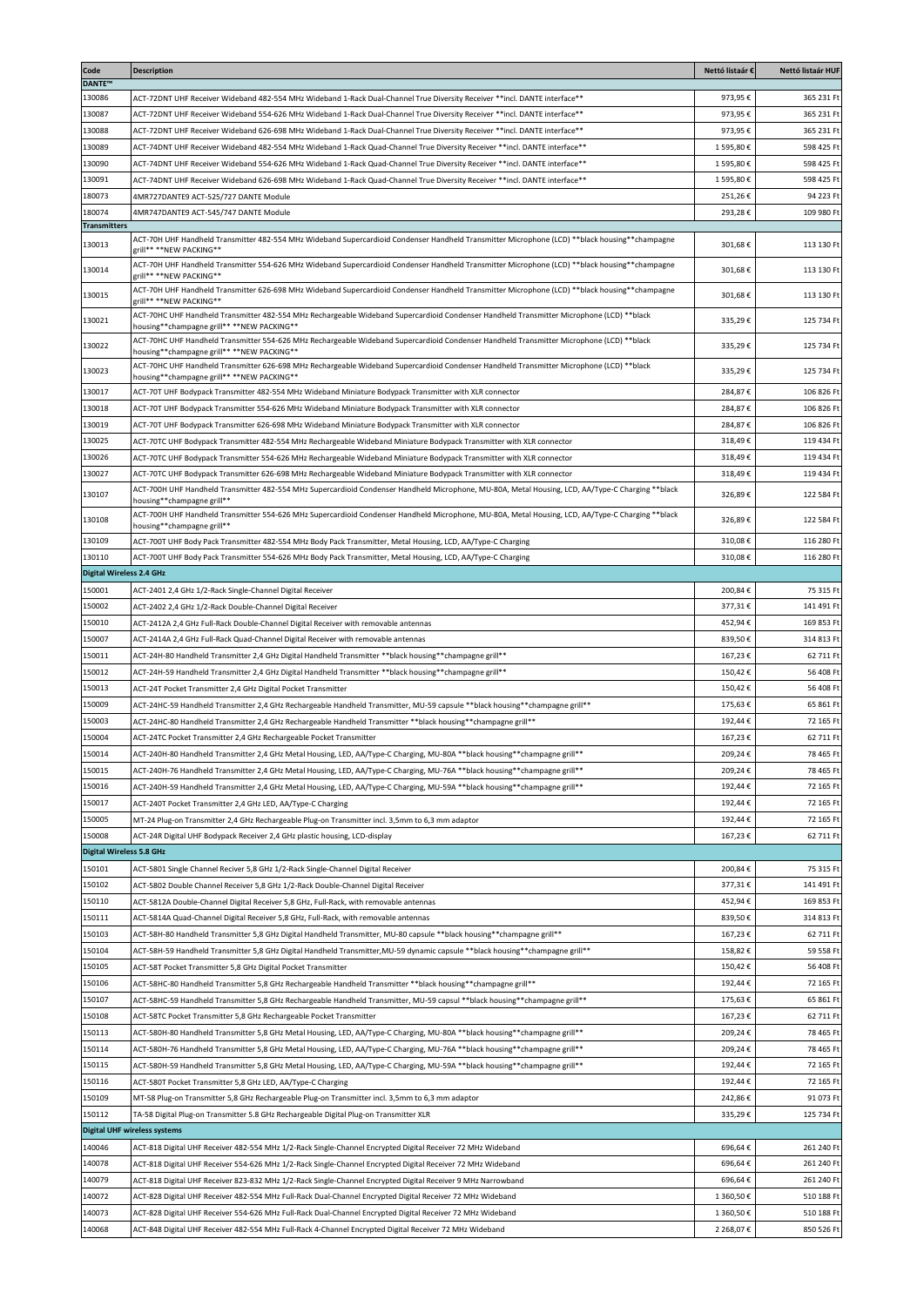| Code<br><b>DANTE™</b>           | <b>Description</b>                                                                                                                                                                                                                                        | Nettó listaár €    | Nettó listaár HUF        |
|---------------------------------|-----------------------------------------------------------------------------------------------------------------------------------------------------------------------------------------------------------------------------------------------------------|--------------------|--------------------------|
| 130086                          | ** ACT-72DNT UHF Receiver Wideband 482-554 MHz Wideband 1-Rack Dual-Channel True Diversity Receiver **incl. DANTE interface                                                                                                                               | 973,95€            | 365 231 Ft               |
| 130087                          | *** ACT-72DNT UHF Receiver Wideband 554-626 MHz Wideband 1-Rack Dual-Channel True Diversity Receiver **incl. DANTE interface                                                                                                                              | 973,95€            | 365 231 Ft               |
| 130088                          | ***ACT-72DNT UHF Receiver Wideband 626-698 MHz Wideband 1-Rack Dual-Channel True Diversity Receiver **incl. DANTE interface                                                                                                                               | 973,95€            | 365 231 Ft               |
| 130089                          | ACT-74DNT UHF Receiver Wideband 482-554 MHz Wideband 1-Rack Quad-Channel True Diversity Receiver **incl. DANTE interface**                                                                                                                                | 1595,80€           | 598 425 Ft               |
| 130090                          | ACT-74DNT UHF Receiver Wideband 554-626 MHz Wideband 1-Rack Quad-Channel True Diversity Receiver **incl. DANTE interface**                                                                                                                                | 1595,80€           | 598 425 Ft               |
| 130091                          | ACT-74DNT UHF Receiver Wideband 626-698 MHz Wideband 1-Rack Quad-Channel True Diversity Receiver **incl. DANTE interface**                                                                                                                                | 1595,80€           | 598 425 Ft               |
| 180073                          | 4MR727DANTE9 ACT-525/727 DANTE Module                                                                                                                                                                                                                     | 251,26€            | 94 223 Ft                |
| 180074<br><b>Transmitters</b>   | 4MR747DANTE9 ACT-545/747 DANTE Module                                                                                                                                                                                                                     | 293,28€            | 109 980 Ft               |
| 130013                          | ACT-70H UHF Handheld Transmitter 482-554 MHz Wideband Supercardioid Condenser Handheld Transmitter Microphone (LCD) **black housing**champagne<br>zrill** **NEW PACKING**                                                                                 | 301,68€            | 113 130 Ft               |
| 130014                          | ACT-70H UHF Handheld Transmitter 554-626 MHz Wideband Supercardioid Condenser Handheld Transmitter Microphone (LCD) **black housing**champagne<br>grill** **NEW PACKING**                                                                                 | 301,68€            | 113 130 Ft               |
| 130015                          | ACT-70H UHF Handheld Transmitter 626-698 MHz Wideband Supercardioid Condenser Handheld Transmitter Microphone (LCD) **black housing**champagne<br>zrill** **NEW PACKING**                                                                                 | 301,68€            | 113 130 Ft               |
| 130021                          | ACT-70HC UHF Handheld Transmitter 482-554 MHz Rechargeable Wideband Supercardioid Condenser Handheld Transmitter Microphone (LCD) **black<br>housing**champagne grill** **NEW PACKING**                                                                   | 335,29€            | 125 734 Ft               |
| 130022                          | ACT-70HC UHF Handheld Transmitter 554-626 MHz Rechargeable Wideband Supercardioid Condenser Handheld Transmitter Microphone (LCD) **black                                                                                                                 | 335,29€            | 125 734 Ft               |
| 130023                          | housing**champagne grill** **NEW PACKING**<br>ACT-70HC UHF Handheld Transmitter 626-698 MHz Rechargeable Wideband Supercardioid Condenser Handheld Transmitter Microphone (LCD) **black                                                                   | 335.29€            | 125 734 Ft               |
| 130017                          | housing**champagne grill** **NEW PACKING**<br>ACT-70T UHF Bodypack Transmitter 482-554 MHz Wideband Miniature Bodypack Transmitter with XLR connector                                                                                                     | 284.87€            | 106 826 Ft               |
| 130018                          | ACT-70T UHF Bodypack Transmitter 554-626 MHz Wideband Miniature Bodypack Transmitter with XLR connector                                                                                                                                                   | 284,87€            | 106 826 Ft               |
| 130019                          | ACT-70T UHF Bodypack Transmitter 626-698 MHz Wideband Miniature Bodypack Transmitter with XLR connector                                                                                                                                                   | 284,87€            | 106 826 Ft               |
| 130025                          | ACT-70TC UHF Bodypack Transmitter 482-554 MHz Rechargeable Wideband Miniature Bodypack Transmitter with XLR connector                                                                                                                                     | 318.49€            | 119 434 Ft               |
| 130026                          | ACT-70TC UHF Bodypack Transmitter 554-626 MHz Rechargeable Wideband Miniature Bodypack Transmitter with XLR connector                                                                                                                                     | 318.49€            | 119 434 Ft               |
| 130027                          | ACT-70TC UHF Bodypack Transmitter 626-698 MHz Rechargeable Wideband Miniature Bodypack Transmitter with XLR connector                                                                                                                                     | 318,49€            | 119 434 Ft               |
| 130107                          | ACT-700H UHF Handheld Transmitter 482-554 MHz Supercardioid Condenser Handheld Microphone, MU-80A, Metal Housing, LCD, AA/Type-C Charging **black<br>housing**champagne grill**                                                                           | 326,89€            | 122 584 Ft               |
| 130108                          | ACT-700H UHF Handheld Transmitter 554-626 MHz Supercardioid Condenser Handheld Microphone, MU-80A, Metal Housing, LCD, AA/Type-C Charging **black<br>housing**champagne grill**                                                                           | 326,89€            | 122 584 Ft               |
| 130109                          | ACT-700T UHF Body Pack Transmitter 482-554 MHz Body Pack Transmitter, Metal Housing, LCD, AA/Type-C Charging                                                                                                                                              | 310,08€            | 116 280 Ft               |
| 130110                          | ACT-700T UHF Body Pack Transmitter 554-626 MHz Body Pack Transmitter, Metal Housing, LCD, AA/Type-C Charging                                                                                                                                              | 310,08€            | 116 280 Ft               |
| <b>Digital Wireless 2.4 GHz</b> |                                                                                                                                                                                                                                                           |                    |                          |
| 150001                          | ACT-2401 2,4 GHz 1/2-Rack Single-Channel Digital Receiver                                                                                                                                                                                                 | 200,84€            | 75 315 Ft                |
| 150002                          | ACT-2402 2,4 GHz 1/2-Rack Double-Channel Digital Receiver                                                                                                                                                                                                 | 377,31€            | 141 491 Ft               |
| 150010                          | ACT-2412A 2,4 GHz Full-Rack Double-Channel Digital Receiver with removable antennas                                                                                                                                                                       | 452,94€            | 169 853 Ft               |
| 150007                          | ACT-2414A 2,4 GHz Full-Rack Quad-Channel Digital Receiver with removable antennas                                                                                                                                                                         | 839,50€            | 314 813 Ft               |
| 150011                          | ** ACT-24H-80 Handheld Transmitter 2,4 GHz Digital Handheld Transmitter **black housing**champagne grill **                                                                                                                                               | 167,23€            | 62 711 Ft                |
| 150012                          | **llack-D9 Handheld Transmitter 2,4 GHz Digital Handheld Transmitter **black housing**champagne grill                                                                                                                                                     | 150,42€            | 56 408 Ft                |
| 150013<br>150009                | ACT-24T Pocket Transmitter 2,4 GHz Digital Pocket Transmitter<br>**RCT-24HC-59 Handheld Transmitter 2,4 GHz Rechargeable Handheld Transmitter, MU-59 capsule **black housing**champagne grill**                                                           | 150,42€<br>175,63€ | 56 408 Ft<br>65 861 Ft   |
| 150003                          | 4** ACT-24HC-80 Handheld Transmitter 2,4 GHz Rechargeable Handheld Transmitter **black housing**champagne grill                                                                                                                                           | 192,44€            | 72 165 Ft                |
| 150004                          | ACT-24TC Pocket Transmitter 2,4 GHz Rechargeable Pocket Transmitter                                                                                                                                                                                       | 167,23€            | 62 711 Ft                |
| 150014                          | 4CT-240H-80 Handheld Transmitter 2,4 GHz Metal Housing, LED, AA/Type-C Charging, MU-80A **black housing**champagne grill**                                                                                                                                | 209,24€            | 78 465 Ft                |
| 150015                          | **Inference Handheld Transmitter 2,4 GHz Metal Housing, LED, AA/Type-C Charging, MU-76A **black housing**champagne grill**                                                                                                                                | 209,24€            | 78 465 Ft                |
| 150016                          | **IDE-240H-59 Handheld Transmitter 2,4 GHz Metal Housing, LED, AA/Type-C Charging, MU-59A **black housing**champagne grill**                                                                                                                              | 192,44€            | 72 165 Ft                |
| 150017                          | ACT-240T Pocket Transmitter 2,4 GHz LED, AA/Type-C Charging                                                                                                                                                                                               | 192,44€            | 72 165 Ft                |
| 150005                          | MT-24 Plug-on Transmitter 2,4 GHz Rechargeable Plug-on Transmitter incl. 3,5mm to 6,3 mm adaptor                                                                                                                                                          | 192,44€            | 72 165 Ft                |
| 150008                          | ACT-24R Digital UHF Bodypack Receiver 2,4 GHz plastic housing, LCD-display                                                                                                                                                                                | 167,23€            | 62 711 Ft                |
| <b>Digital Wireless 5.8 GHz</b> |                                                                                                                                                                                                                                                           |                    |                          |
| 150101                          | ACT-5801 Single Channel Reciver 5,8 GHz 1/2-Rack Single-Channel Digital Receiver                                                                                                                                                                          | 200,84€            | 75 315 Ft                |
| 150102                          | ACT-5802 Double Channel Receiver 5,8 GHz 1/2-Rack Double-Channel Digital Receiver                                                                                                                                                                         | 377,31€            | 141 491 Ft               |
| 150110                          | ACT-5812A Double-Channel Digital Receiver 5,8 GHz, Full-Rack, with removable antennas                                                                                                                                                                     | 452.94€            | 169 853 Ft               |
| 150111                          | ACT-5814A Quad-Channel Digital Receiver 5,8 GHz, Full-Rack, with removable antennas                                                                                                                                                                       | 839,50€<br>167.23€ | 314 813 Ft<br>62 711 Ft  |
| 150103<br>150104                | 4*ACT-58H-80 Handheld Transmitter 5,8 GHz Digital Handheld Transmitter, MU-80 capsule **black housing**champagne grill**<br>**lack-59 Handheld Transmitter 5,8 GHz Digital Handheld Transmitter, MU-59 dynamic capsule **black housing**champagne grill** | 158,82€            | 59 558 Ft                |
| 150105                          | ACT-58T Pocket Transmitter 5,8 GHz Digital Pocket Transmitter                                                                                                                                                                                             | 150,42€            | 56 408 Ft                |
| 150106                          | ACT-58HC-80 Handheld Transmitter 5,8 GHz Rechargeable Handheld Transmitter **black housing**champagne grill**                                                                                                                                             | 192,44€            | 72 165 Ft                |
| 150107                          | 4*Net-59 Handheld Transmitter 5,8 GHz Rechargeable Handheld Transmitter, MU-59 capsul **black housing**champagne grill**                                                                                                                                  | 175,63€            | 65 861 Ft                |
| 150108                          | ACT-58TC Pocket Transmitter 5,8 GHz Rechargeable Pocket Transmitter                                                                                                                                                                                       | 167,23€            | 62 711 Ft                |
| 150113                          | ACT-580H-80 Handheld Transmitter 5,8 GHz Metal Housing, LED, AA/Type-C Charging, MU-80A **black housing**champagne grill**                                                                                                                                | 209,24€            | 78 465 Ft                |
| 150114                          | **IDE-580H-76 Handheld Transmitter 5,8 GHz Metal Housing, LED, AA/Type-C Charging, MU-76A **black housing**champagne grill**                                                                                                                              | 209,24€            | 78 465 Ft                |
| 150115                          | **Inference of the S80H-59 Handmed Transmitter 5,8 GHz Metal Housing, LED, AA/Type-C Charging, MU-59A **black housing**champagne grill**                                                                                                                  | 192,44€            | 72 165 Ft                |
| 150116                          | ACT-580T Pocket Transmitter 5,8 GHz LED, AA/Type-C Charging                                                                                                                                                                                               | 192,44€            | 72 165 Ft                |
| 150109                          | MT-58 Plug-on Transmitter 5,8 GHz Rechargeable Plug-on Transmitter incl. 3,5mm to 6,3 mm adaptor                                                                                                                                                          | 242,86€            | 91 073 Ft                |
| 150112                          | TA-58 Digital Plug-on Transmitter 5.8 GHz Rechargeable Digital Plug-on Transmitter XLR                                                                                                                                                                    | 335,29€            | 125 734 Ft               |
|                                 | <b>Digital UHF wireless systems</b>                                                                                                                                                                                                                       |                    |                          |
| 140046                          | ACT-818 Digital UHF Receiver 482-554 MHz 1/2-Rack Single-Channel Encrypted Digital Receiver 72 MHz Wideband                                                                                                                                               | 696,64€            | 261 240 Ft               |
| 140078<br>140079                | ACT-818 Digital UHF Receiver 554-626 MHz 1/2-Rack Single-Channel Encrypted Digital Receiver 72 MHz Wideband                                                                                                                                               | 696,64€<br>696,64€ | 261 240 Ft<br>261 240 Ft |
| 140072                          | ACT-818 Digital UHF Receiver 823-832 MHz 1/2-Rack Single-Channel Encrypted Digital Receiver 9 MHz Narrowband<br>ACT-828 Digital UHF Receiver 482-554 MHz Full-Rack Dual-Channel Encrypted Digital Receiver 72 MHz Wideband                                | 1 360,50€          | 510 188 Ft               |
| 140073                          | ACT-828 Digital UHF Receiver 554-626 MHz Full-Rack Dual-Channel Encrypted Digital Receiver 72 MHz Wideband                                                                                                                                                | 1 360,50€          | 510 188 Ft               |
| 140068                          | ACT-848 Digital UHF Receiver 482-554 MHz Full-Rack 4-Channel Encrypted Digital Receiver 72 MHz Wideband                                                                                                                                                   | 2 268,07€          | 850 526 Ft               |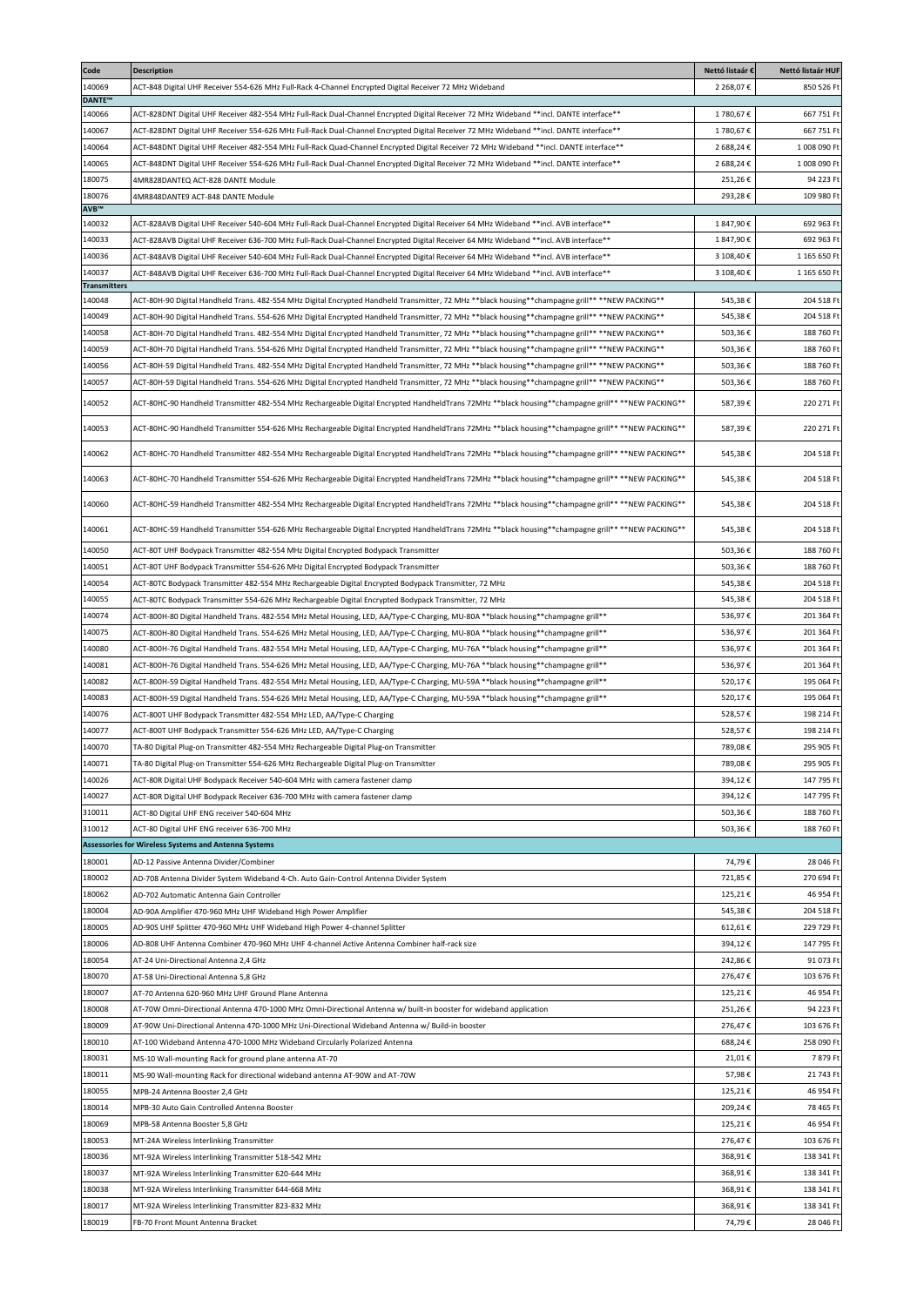| Code                          | <b>Description</b>                                                                                                                                                                                                                                                                 | Nettó listaár €      | Nettó listaár HUF         |
|-------------------------------|------------------------------------------------------------------------------------------------------------------------------------------------------------------------------------------------------------------------------------------------------------------------------------|----------------------|---------------------------|
| 140069                        | ACT-848 Digital UHF Receiver 554-626 MHz Full-Rack 4-Channel Encrypted Digital Receiver 72 MHz Wideband                                                                                                                                                                            | 2 268.07€            | 850 526 Ft                |
| <b>DANTE™</b>                 |                                                                                                                                                                                                                                                                                    |                      |                           |
| 140066                        | ACT-828DNT Digital UHF Receiver 482-554 MHz Full-Rack Dual-Channel Encrypted Digital Receiver 72 MHz Wideband **incl. DANTE interface**                                                                                                                                            | 1780,67€             | 667 751 Ft                |
| 140067<br>140064              | ACT-828DNT Digital UHF Receiver 554-626 MHz Full-Rack Dual-Channel Encrypted Digital Receiver 72 MHz Wideband **incl. DANTE interface**<br>ACT-848DNT Digital UHF Receiver 482-554 MHz Full-Rack Quad-Channel Encrypted Digital Receiver 72 MHz Wideband **incl. DANTE interface** | 1780,67€<br>2688.24€ | 667 751 Ft<br>1008 090 Ft |
| 140065                        |                                                                                                                                                                                                                                                                                    | 2688.24€             | 1 008 090 Ft              |
| 180075                        | **ACT-848DNT Digital UHF Receiver 554-626 MHz Full-Rack Dual-Channel Encrypted Digital Receiver 72 MHz Wideband **incl. DANTE interface<br>4MR828DANTEQ ACT-828 DANTE Module                                                                                                       | 251,26€              | 94 223 Ft                 |
| 180076                        | 4MR848DANTE9 ACT-848 DANTE Module                                                                                                                                                                                                                                                  | 293,28€              | 109 980 Ft                |
| AVB™                          |                                                                                                                                                                                                                                                                                    |                      |                           |
| 140032                        | ACT-828AVB Digital UHF Receiver 540-604 MHz Full-Rack Dual-Channel Encrypted Digital Receiver 64 MHz Wideband **incl. AVB interface**                                                                                                                                              | 1847,90€             | 692 963 Ft                |
| 140033                        | ACT-828AVB Digital UHF Receiver 636-700 MHz Full-Rack Dual-Channel Encrypted Digital Receiver 64 MHz Wideband **incl. AVB interface**                                                                                                                                              | 1847,90€             | 692 963 Ft                |
| 140036                        | ACT-848AVB Digital UHF Receiver 540-604 MHz Full-Rack Dual-Channel Encrypted Digital Receiver 64 MHz Wideband **incl. AVB interface**                                                                                                                                              | 3 108.40€            | 1 165 650 Ft              |
| 140037                        | *** ACT-848AVB Digital UHF Receiver 636-700 MHz Full-Rack Dual-Channel Encrypted Digital Receiver 64 MHz Wideband **incl. AVB interface                                                                                                                                            | 3 108.40€            | 1 165 650 Ft              |
| <b>Transmitters</b><br>140048 | ACT-80H-90 Digital Handheld Trans. 482-554 MHz Digital Encrypted Handheld Transmitter, 72 MHz **black housing**champagne grill** **NEW PACKING**                                                                                                                                   | 545,38€              | 204 518 Ft                |
| 140049                        | ACT-80H-90 Digital Handheld Trans. 554-626 MHz Digital Encrypted Handheld Transmitter, 72 MHz **black housing**champagne grill** **NEW PACKING**                                                                                                                                   | 545,38€              | 204 518 Ft                |
| 140058                        | ACT-80H-70 Digital Handheld Trans. 482-554 MHz Digital Encrypted Handheld Transmitter, 72 MHz **black housing**champagne grill** **NEW PACKING**                                                                                                                                   | 503,36€              | 188 760 Ft                |
| 140059                        | ACT-80H-70 Digital Handheld Trans. 554-626 MHz Digital Encrypted Handheld Transmitter, 72 MHz **black housing**champagne grill** **NEW PACKING**                                                                                                                                   | 503,36€              | 188 760 Ft                |
| 140056                        | **SOH-59 Digital Handheld Trans. 482-554 MHz Digital Encrypted Handheld Transmitter, 72 MHz **black housing**champagne grill** **NEW PACKING**                                                                                                                                     | 503,36€              | 188 760 Ft                |
| 140057                        | ACT-80H-59 Digital Handheld Trans. 554-626 MHz Digital Encrypted Handheld Transmitter, 72 MHz **black housing**champagne grill** **NEW PACKING**                                                                                                                                   | 503,36€              | 188 760 Ft                |
|                               |                                                                                                                                                                                                                                                                                    |                      |                           |
| 140052                        | ACT-80HC-90 Handheld Transmitter 482-554 MHz Rechargeable Digital Encrypted HandheldTrans 72MHz **black housing**champagne grill** **NEW PACKING**                                                                                                                                 | 587,39€              | 220 271 Ft                |
| 140053                        | ACT-80HC-90 Handheld Transmitter 554-626 MHz Rechargeable Digital Encrypted HandheldTrans 72MHz **black housing**champagne grill** **NEW PACKING**                                                                                                                                 | 587,39€              | 220 271 Ft                |
| 140062                        | ACT-80HC-70 Handheld Transmitter 482-554 MHz Rechargeable Digital Encrypted HandheldTrans 72MHz **black housing**champagne grill** **NEW PACKING**                                                                                                                                 | 545,38€              | 204 518 Ft                |
| 140063                        | ACT-80HC-70 Handheld Transmitter 554-626 MHz Rechargeable Digital Encrypted HandheldTrans 72MHz **black housing**champagne grill** **NEW PACKING**                                                                                                                                 | 545,38€              | 204 518 Ft                |
| 140060                        | ACT-80HC-59 Handheld Transmitter 482-554 MHz Rechargeable Digital Encrypted HandheldTrans 72MHz **black housing**champagne grill** **NEW PACKING**                                                                                                                                 | 545,38€              | 204 518 Ft                |
| 140061                        | ACT-80HC-59 Handheld Transmitter 554-626 MHz Rechargeable Digital Encrypted HandheldTrans 72MHz **black housing**champagne grill** **NEW PACKING**                                                                                                                                 | 545,38€              | 204 518 Ft                |
| 140050                        | ACT-80T UHF Bodypack Transmitter 482-554 MHz Digital Encrypted Bodypack Transmitter                                                                                                                                                                                                | 503,36€              | 188 760 Ft                |
| 140051                        | ACT-80T UHF Bodypack Transmitter 554-626 MHz Digital Encrypted Bodypack Transmitter                                                                                                                                                                                                | 503,36€              | 188 760 Ft                |
| 140054                        | ACT-80TC Bodypack Transmitter 482-554 MHz Rechargeable Digital Encrypted Bodypack Transmitter, 72 MHz                                                                                                                                                                              | 545,38€              | 204 518 Ft                |
| 140055                        | ACT-80TC Bodypack Transmitter 554-626 MHz Rechargeable Digital Encrypted Bodypack Transmitter, 72 MHz                                                                                                                                                                              | 545,38€              | 204 518 Ft                |
| 140074                        | ACT-800H-80 Digital Handheld Trans. 482-554 MHz Metal Housing, LED, AA/Type-C Charging, MU-80A **black housing**champagne grill**                                                                                                                                                  | 536,97€              | 201 364 Ft                |
| 140075                        | ** ACT-800H-80 Digital Handheld Trans. 554-626 MHz Metal Housing, LED, AA/Type-C Charging, MU-80A **black housing**champagne grill**                                                                                                                                               | 536,97€              | 201 364 Ft                |
| 140080                        | ** ACT-800H-76 Digital Handheld Trans. 482-554 MHz Metal Housing, LED, AA/Type-C Charging, MU-76A **black housing**champagne grill**                                                                                                                                               | 536,97€              | 201 364 Ft                |
| 140081                        | 4** ACT-800H-76 Digital Handheld Trans. 554-626 MHz Metal Housing, LED, AA/Type-C Charging, MU-76A **black housing**champagne grill                                                                                                                                                | 536,97€              | 201 364 Ft                |
| 140082                        | **Illet ACT-800H-59 Digital Handheld Trans. 482-554 MHz Metal Housing, LED, AA/Type-C Charging, MU-59A **black housing**champagne grill**                                                                                                                                          | 520,17€              | 195 064 Ft                |
| 140083                        | ACT-800H-59 Digital Handheld Trans. 554-626 MHz Metal Housing, LED, AA/Type-C Charging, MU-59A **black housing**champagne grill**                                                                                                                                                  | 520,17€              | 195 064 Ft                |
| 140076                        | ACT-800T UHF Bodypack Transmitter 482-554 MHz LED, AA/Type-C Charging                                                                                                                                                                                                              | 528,57€              | 198 214 Ft                |
| 140077                        | ACT-800T UHF Bodypack Transmitter 554-626 MHz LED, AA/Type-C Charging                                                                                                                                                                                                              | 528,57€              | 198 214 Ft                |
| 140070                        | TA-80 Digital Plug-on Transmitter 482-554 MHz Rechargeable Digital Plug-on Transmitter                                                                                                                                                                                             | 789,08€              | 295 905 Ft                |
| 140071                        | TA-80 Digital Plug-on Transmitter 554-626 MHz Rechargeable Digital Plug-on Transmitter                                                                                                                                                                                             | 789,08€              | 295 905 Ft                |
| 140026                        | ACT-80R Digital UHF Bodypack Receiver 540-604 MHz with camera fastener clamp                                                                                                                                                                                                       | 394,12€              | 147 795 Ft                |
| 140027                        | ACT-80R Digital UHF Bodypack Receiver 636-700 MHz with camera fastener clamp                                                                                                                                                                                                       | 394,12€              | 147 795 Ft                |
| 310011                        | ACT-80 Digital UHF ENG receiver 540-604 MHz                                                                                                                                                                                                                                        | 503,36€              | 188 760 Ft                |
| 310012                        | ACT-80 Digital UHF ENG receiver 636-700 MHz                                                                                                                                                                                                                                        | 503,36€              | 188 760 Ft                |
|                               | Assessories for Wireless Systems and Antenna Systems                                                                                                                                                                                                                               |                      |                           |
| 180001                        | AD-12 Passive Antenna Divider/Combiner                                                                                                                                                                                                                                             | 74,79€               | 28 046 Ft                 |
| 180002                        | AD-708 Antenna Divider System Wideband 4-Ch. Auto Gain-Control Antenna Divider System                                                                                                                                                                                              | 721,85€              | 270 694 Ft                |
| 180062                        | AD-702 Automatic Antenna Gain Controller                                                                                                                                                                                                                                           | 125,21€              | 46 954 Ft                 |
| 180004                        | AD-90A Amplifier 470-960 MHz UHF Wideband High Power Amplifier                                                                                                                                                                                                                     | 545,38€              | 204 518 Ft                |
| 180005                        | AD-90S UHF Splitter 470-960 MHz UHF Wideband High Power 4-channel Splitter                                                                                                                                                                                                         | 612,61€              | 229 729 Ft                |
| 180006                        | AD-808 UHF Antenna Combiner 470-960 MHz UHF 4-channel Active Antenna Combiner half-rack size                                                                                                                                                                                       | 394,12€              | 147 795 Ft                |
| 180054                        | AT-24 Uni-Directional Antenna 2,4 GHz                                                                                                                                                                                                                                              | 242,86€              | 91 073 Ft                 |
| 180070                        | AT-58 Uni-Directional Antenna 5,8 GHz                                                                                                                                                                                                                                              | 276,47€              | 103 676 Ft                |
| 180007                        | AT-70 Antenna 620-960 MHz UHF Ground Plane Antenna                                                                                                                                                                                                                                 | 125,21€              | 46 954 Ft                 |
| 180008                        | AT-70W Omni-Directional Antenna 470-1000 MHz Omni-Directional Antenna w/ built-in booster for wideband application                                                                                                                                                                 | 251,26€              | 94 223 Ft                 |
| 180009                        | AT-90W Uni-Directional Antenna 470-1000 MHz Uni-Directional Wideband Antenna w/ Build-in booster                                                                                                                                                                                   | 276,47€              | 103 676 Ft                |
| 180010                        | AT-100 Wideband Antenna 470-1000 MHz Wideband Circularly Polarized Antenna                                                                                                                                                                                                         | 688,24€              | 258 090 Ft                |
| 180031                        | MS-10 Wall-mounting Rack for ground plane antenna AT-70                                                                                                                                                                                                                            | 21,01€               | 7879Ft                    |
| 180011                        | MS-90 Wall-mounting Rack for directional wideband antenna AT-90W and AT-70W                                                                                                                                                                                                        | 57,98€               | 21 743 Ft                 |
| 180055                        | MPB-24 Antenna Booster 2,4 GHz                                                                                                                                                                                                                                                     | 125,21€              | 46 954 Ft                 |
| 180014                        | MPB-30 Auto Gain Controlled Antenna Booster                                                                                                                                                                                                                                        | 209,24€              | 78 465 Ft                 |
| 180069                        | MPB-58 Antenna Booster 5,8 GHz                                                                                                                                                                                                                                                     | 125,21€              | 46 954 Ft                 |
| 180053                        | MT-24A Wireless Interlinking Transmitter                                                                                                                                                                                                                                           | 276,47€              | 103 676 Ft                |
| 180036                        | MT-92A Wireless Interlinking Transmitter 518-542 MHz                                                                                                                                                                                                                               | 368,91€              | 138 341 Ft                |
| 180037                        | MT-92A Wireless Interlinking Transmitter 620-644 MHz                                                                                                                                                                                                                               | 368,91€              | 138 341 Ft                |
| 180038                        | MT-92A Wireless Interlinking Transmitter 644-668 MHz                                                                                                                                                                                                                               | 368,91€              | 138 341 Ft                |
| 180017                        | MT-92A Wireless Interlinking Transmitter 823-832 MHz                                                                                                                                                                                                                               | 368,91€              | 138 341 Ft                |
| 180019                        | FB-70 Front Mount Antenna Bracket                                                                                                                                                                                                                                                  | 74,79€               | 28 046 Ft                 |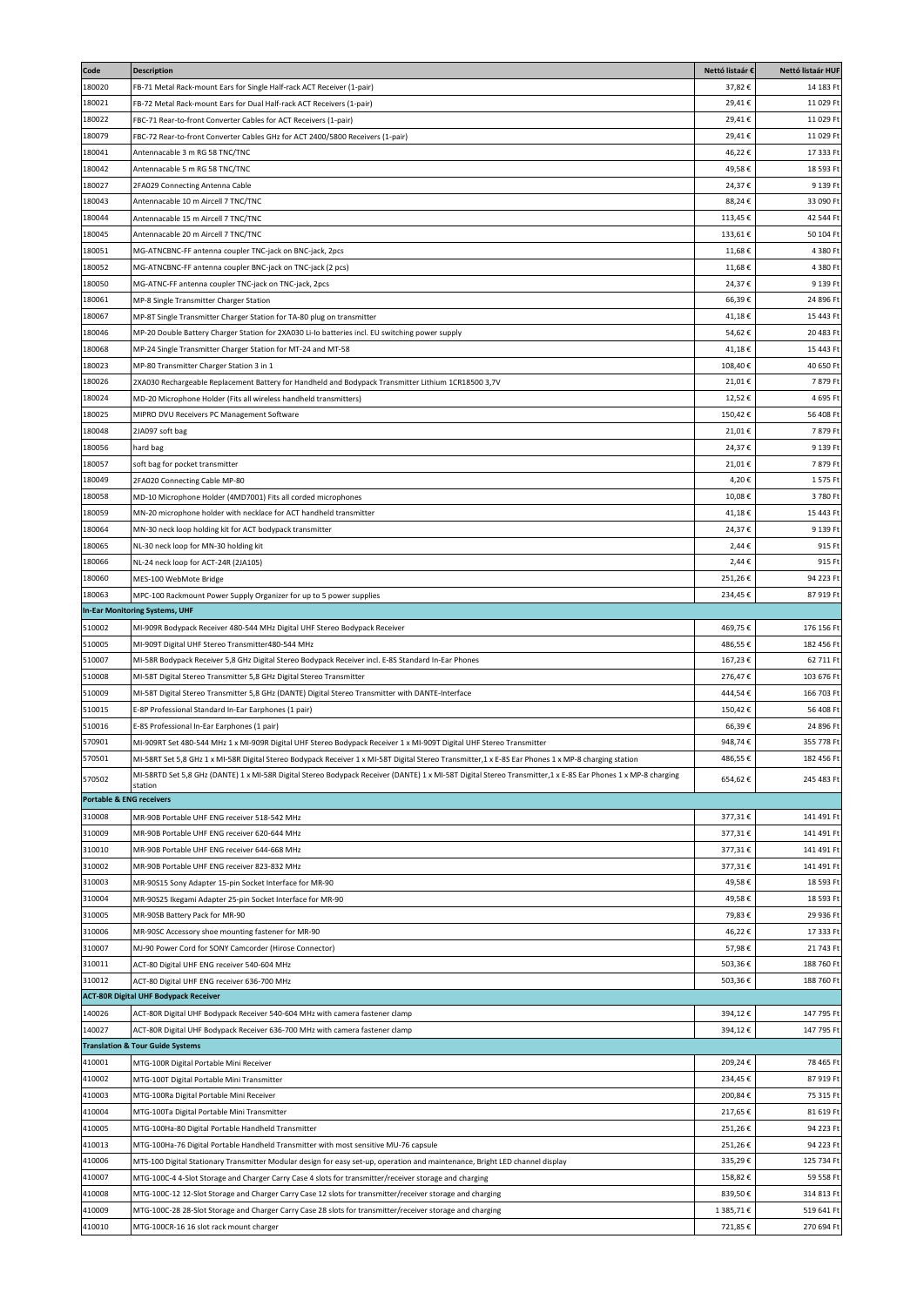| Code                                | <b>Description</b>                                                                                                                                            | Nettó listaár € | Nettó listaár HUF |
|-------------------------------------|---------------------------------------------------------------------------------------------------------------------------------------------------------------|-----------------|-------------------|
| 180020                              | B-71 Metal Rack-mount Ears for Single Half-rack ACT Receiver (1-pair)                                                                                         | 37,82€          | 14 183 Ft         |
| 180021                              | FB-72 Metal Rack-mount Ears for Dual Half-rack ACT Receivers (1-pair)                                                                                         | 29,41€          | 11 029 Ft         |
| 180022                              | FBC-71 Rear-to-front Converter Cables for ACT Receivers (1-pair)                                                                                              | 29,41€          | 11 029 Ft         |
| 180079                              | FBC-72 Rear-to-front Converter Cables GHz for ACT 2400/5800 Receivers (1-pair)                                                                                | 29,41€          | 11 029 Ft         |
| 180041                              | Antennacable 3 m RG 58 TNC/TNC                                                                                                                                | 46,22€          | 17 333 Ft         |
| 180042                              | Antennacable 5 m RG 58 TNC/TNC                                                                                                                                | 49,58€          | 18 593 Ft         |
| 180027                              | 2FA029 Connecting Antenna Cable                                                                                                                               | 24,37€          | 9 139 Ft          |
| 180043                              | Antennacable 10 m Aircell 7 TNC/TNC                                                                                                                           | 88,24€          | 33 090 Ft         |
| 180044                              | Antennacable 15 m Aircell 7 TNC/TNC                                                                                                                           | 113,45€         | 42 544 Ft         |
| 180045                              | Antennacable 20 m Aircell 7 TNC/TNC                                                                                                                           | 133,61€         | 50 104 Ft         |
| 180051                              | MG-ATNCBNC-FF antenna coupler TNC-jack on BNC-jack, 2pcs                                                                                                      | 11,68€          | 4 380 F           |
|                                     |                                                                                                                                                               |                 |                   |
| 180052                              | MG-ATNCBNC-FF antenna coupler BNC-jack on TNC-jack (2 pcs)                                                                                                    | 11,68€          | 4 380 Ft          |
| 180050                              | MG-ATNC-FF antenna coupler TNC-jack on TNC-jack, 2pcs                                                                                                         | 24,37€          | 9 139 Ft          |
| 180061                              | MP-8 Single Transmitter Charger Station                                                                                                                       | 66,39€          | 24 896 F          |
| 180067                              | MP-8T Single Transmitter Charger Station for TA-80 plug on transmitter                                                                                        | 41,18€          | 15 443 Ft         |
| 180046                              | MP-20 Double Battery Charger Station for 2XA030 Li-Io batteries incl. EU switching power supply                                                               | 54,62€          | 20 483 Ft         |
| 180068                              | MP-24 Single Transmitter Charger Station for MT-24 and MT-58                                                                                                  | 41,18€          | 15 443 Ft         |
| 180023                              | MP-80 Transmitter Charger Station 3 in 1                                                                                                                      | 108,40€         | 40 650 Ft         |
| 180026                              | 2XA030 Rechargeable Replacement Battery for Handheld and Bodypack Transmitter Lithium 1CR18500 3,7V                                                           | 21,01€          | 7879Ft            |
| 180024                              | MD-20 Microphone Holder (Fits all wireless handheld transmitters)                                                                                             | 12,52€          | 4 695 Ft          |
| 180025                              | MIPRO DVU Receivers PC Management Software                                                                                                                    | 150,42€         | 56 408 Ft         |
| 180048                              | 2JA097 soft bag                                                                                                                                               | 21,01€          | 7879F             |
| 180056                              | hard bag                                                                                                                                                      | 24,37€          | 9 139 Ft          |
| 180057                              | soft bag for pocket transmitter                                                                                                                               | 21,01€          | 7879F             |
| 180049                              | 2FA020 Connecting Cable MP-80                                                                                                                                 | 4,20€           | 1575F             |
| 180058                              | MD-10 Microphone Holder (4MD7001) Fits all corded microphones                                                                                                 | 10,08€          | 3780F             |
| 180059                              | MN-20 microphone holder with necklace for ACT handheld transmitter                                                                                            | 41,18€          | 15 443 F          |
| 180064                              | MN-30 neck loop holding kit for ACT bodypack transmitter                                                                                                      | 24,37€          | 9 139 F           |
| 180065                              | NL-30 neck loop for MN-30 holding kit                                                                                                                         | 2,44€           | 915 Ft            |
| 180066                              |                                                                                                                                                               | 2,44€           | 915 Ft            |
| 180060                              | NL-24 neck loop for ACT-24R (2JA105)                                                                                                                          | 251,26€         | 94 223 Ft         |
|                                     | MES-100 WebMote Bridge                                                                                                                                        |                 |                   |
| 180063                              | MPC-100 Rackmount Power Supply Organizer for up to 5 power supplies                                                                                           | 234,45€         | 87 919 Ft         |
|                                     | In-Ear Monitoring Systems, UHF                                                                                                                                |                 |                   |
| 510002                              | MI-909R Bodypack Receiver 480-544 MHz Digital UHF Stereo Bodypack Receiver                                                                                    | 469,75€         | 176 156 Ft        |
| 510005                              | MI-909T Digital UHF Stereo Transmitter480-544 MHz                                                                                                             | 486,55 €        | 182 456 Ft        |
| 510007                              | MI-58R Bodypack Receiver 5,8 GHz Digital Stereo Bodypack Receiver incl. E-8S Standard In-Ear Phones                                                           | 167,23€         | 62 711 Ft         |
| 510008                              | MI-58T Digital Stereo Transmitter 5,8 GHz Digital Stereo Transmitter                                                                                          | 276,47€         | 103 676 Ft        |
| 510009                              | MI-58T Digital Stereo Transmitter 5,8 GHz (DANTE) Digital Stereo Transmitter with DANTE-Interface                                                             | 444,54€         | 166 703 F         |
| 510015                              | E-8P Professional Standard In-Ear Earphones (1 pair)                                                                                                          | 150,42€         | 56 408 Ft         |
| 510016                              | E-8S Professional In-Ear Earphones (1 pair)                                                                                                                   | 66,39€          | 24 896 Ft         |
| 570901                              | MI-909RT Set 480-544 MHz 1 x MI-909R Digital UHF Stereo Bodypack Receiver 1 x MI-909T Digital UHF Stereo Transmitter                                          | 948,74€         | 355 778 Ft        |
| 570501                              | MI-58RT Set 5,8 GHz 1 x MI-58R Digital Stereo Bodypack Receiver 1 x MI-58T Digital Stereo Transmitter,1 x E-8S Ear Phones 1 x MP-8 charging station           | 486,55 €        | 182 456 Ft        |
| 570502                              | MI-58RTD Set 5,8 GHz (DANTE) 1 x MI-58R Digital Stereo Bodypack Receiver (DANTE) 1 x MI-58T Digital Stereo Transmitter, 1 x E-8S Ear Phones 1 x MP-8 charging | 654,62€         | 245 483 Ft        |
|                                     | station                                                                                                                                                       |                 |                   |
| <b>Portable &amp; ENG receivers</b> |                                                                                                                                                               |                 |                   |
| 310008                              | MR-90B Portable UHF ENG receiver 518-542 MHz                                                                                                                  | 377,31€         | 141 491 Ft        |
| 310009                              | MR-90B Portable UHF ENG receiver 620-644 MHz                                                                                                                  | 377,31€         | 141 491 Ft        |
| 310010                              | MR-90B Portable UHF ENG receiver 644-668 MHz                                                                                                                  | 377,31€         | 141 491 Ft        |
| 310002                              | MR-90B Portable UHF ENG receiver 823-832 MHz                                                                                                                  | 377,31€         | 141 491 Ft        |
| 310003                              | MR-90S15 Sony Adapter 15-pin Socket Interface for MR-90                                                                                                       | 49,58€          | 18 593 Ft         |
| 310004                              | MR-90S25 Ikegami Adapter 25-pin Socket Interface for MR-90                                                                                                    | 49,58€          | 18 593 Ft         |
| 310005                              | MR-90SB Battery Pack for MR-90                                                                                                                                | 79,83€          | 29 936 Ft         |
| 310006                              | MR-90SC Accessory shoe mounting fastener for MR-90                                                                                                            | 46,22€          | 17 333 Ft         |
| 310007                              | MJ-90 Power Cord for SONY Camcorder (Hirose Connector)                                                                                                        | 57,98€          | 21 743 Ft         |
| 310011                              | ACT-80 Digital UHF ENG receiver 540-604 MHz                                                                                                                   | 503,36€         | 188 760 Ft        |
| 310012                              | ACT-80 Digital UHF ENG receiver 636-700 MHz                                                                                                                   | 503,36€         | 188 760 Ft        |
|                                     | <b>ACT-80R Digital UHF Bodypack Receiver</b>                                                                                                                  |                 |                   |
| 140026                              |                                                                                                                                                               | 394,12€         | 147 795 Ft        |
| 140027                              | ACT-80R Digital UHF Bodypack Receiver 540-604 MHz with camera fastener clamp                                                                                  | 394,12€         |                   |
|                                     | ACT-80R Digital UHF Bodypack Receiver 636-700 MHz with camera fastener clamp<br><b>Translation &amp; Tour Guide Systems</b>                                   |                 | 147 795 Ft        |
|                                     |                                                                                                                                                               |                 |                   |
| 410001                              | MTG-100R Digital Portable Mini Receiver                                                                                                                       | 209,24€         | 78 465 Ft         |
| 410002                              | MTG-100T Digital Portable Mini Transmitter                                                                                                                    | 234,45€         | 87 919 Ft         |
| 410003                              | MTG-100Ra Digital Portable Mini Receiver                                                                                                                      | 200,84€         | 75 315 Ft         |
| 410004                              | MTG-100Ta Digital Portable Mini Transmitter                                                                                                                   | 217,65€         | 81 619 Ft         |
| 410005                              | MTG-100Ha-80 Digital Portable Handheld Transmitter                                                                                                            | 251,26€         | 94 223 Ft         |
| 410013                              | MTG-100Ha-76 Digital Portable Handheld Transmitter with most sensitive MU-76 capsule                                                                          | 251,26€         | 94 223 Ft         |
| 410006                              | MTS-100 Digital Stationary Transmitter Modular design for easy set-up, operation and maintenance, Bright LED channel display                                  | 335,29€         | 125 734 Ft        |
| 410007                              | MTG-100C-4 4-Slot Storage and Charger Carry Case 4 slots for transmitter/receiver storage and charging                                                        | 158,82€         | 59 558 Ft         |
| 410008                              | MTG-100C-12 12-Slot Storage and Charger Carry Case 12 slots for transmitter/receiver storage and charging                                                     | 839,50€         | 314 813 Ft        |
| 410009                              | MTG-100C-28 28-Slot Storage and Charger Carry Case 28 slots for transmitter/receiver storage and charging                                                     | 1 385,71 €      | 519 641 Ft        |
| 410010                              | MTG-100CR-16 16 slot rack mount charger                                                                                                                       | 721,85€         | 270 694 Ft        |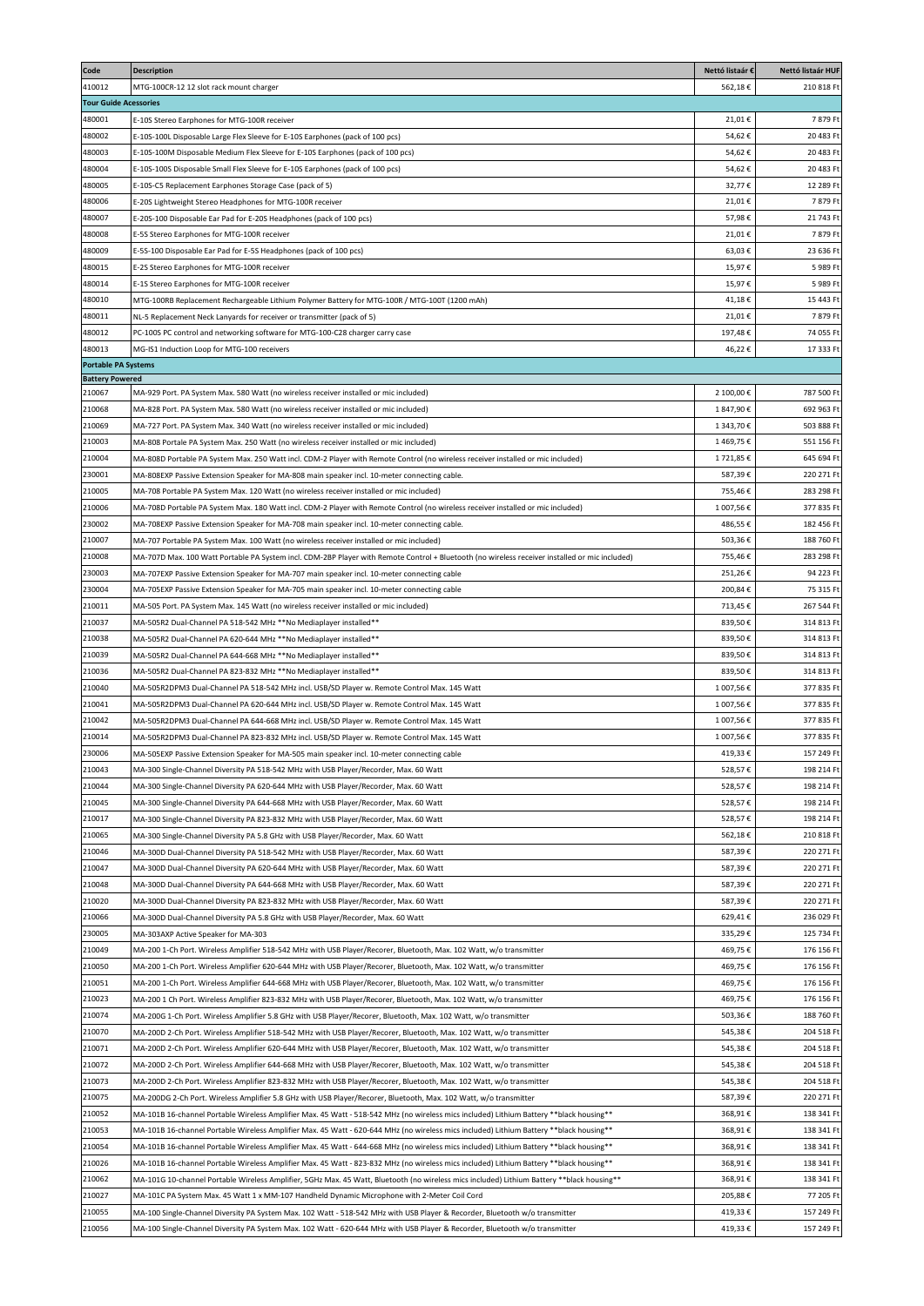| Code                         | <b>Description</b>                                                                                                                                                                                                                         | Nettó listaár €        | Nettó listaár HUF        |
|------------------------------|--------------------------------------------------------------------------------------------------------------------------------------------------------------------------------------------------------------------------------------------|------------------------|--------------------------|
| 410012                       | MTG-100CR-12 12 slot rack mount charger                                                                                                                                                                                                    | 562,18€                | 210 818 Ft               |
| <b>Tour Guide Acessories</b> |                                                                                                                                                                                                                                            |                        |                          |
| 480001                       | E-10S Stereo Earphones for MTG-100R receiver                                                                                                                                                                                               | 21,01€                 | 7879 Ft                  |
| 480002                       | E-10S-100L Disposable Large Flex Sleeve for E-10S Earphones (pack of 100 pcs)                                                                                                                                                              | 54,62€                 | 20 483 Ft                |
| 480003                       | E-10S-100M Disposable Medium Flex Sleeve for E-10S Earphones (pack of 100 pcs)                                                                                                                                                             | 54,62€                 | 20 483 Ft                |
| 480004                       | E-10S-100S Disposable Small Flex Sleeve for E-10S Earphones (pack of 100 pcs)                                                                                                                                                              | 54,62€                 | 20 483 Ft                |
| 480005                       | E-10S-C5 Replacement Earphones Storage Case (pack of 5)                                                                                                                                                                                    | 32,77€                 | 12 289 Ft                |
| 480006                       | E-20S Lightweight Stereo Headphones for MTG-100R receiver                                                                                                                                                                                  | 21,01€                 | 7879Ft                   |
| 480007<br>480008             | E-20S-100 Disposable Ear Pad for E-20S Headphones (pack of 100 pcs)<br>E-5S Stereo Earphones for MTG-100R receiver                                                                                                                         | 57,98€<br>21,01€       | 21 743 Ft<br>7 879 Ft    |
| 480009                       | E-5S-100 Disposable Ear Pad for E-5S Headphones (pack of 100 pcs)                                                                                                                                                                          | 63,03€                 | 23 636 Ft                |
| 480015                       | E-2S Stereo Earphones for MTG-100R receiver                                                                                                                                                                                                | 15,97€                 | 5 989 Ft                 |
| 480014                       | E-1S Stereo Earphones for MTG-100R receiver                                                                                                                                                                                                | 15,97€                 | 5989 Ft                  |
| 480010                       | MTG-100RB Replacement Rechargeable Lithium Polymer Battery for MTG-100R / MTG-100T (1200 mAh)                                                                                                                                              | 41,18€                 | 15 443 Ft                |
| 480011                       | NL-5 Replacement Neck Lanyards for receiver or transmitter (pack of 5)                                                                                                                                                                     | 21,01€                 | 7879F                    |
| 480012                       | PC-100S PC control and networking software for MTG-100-C28 charger carry case                                                                                                                                                              | 197,48€                | 74 055 Ft                |
| 480013                       | MG-IS1 Induction Loop for MTG-100 receivers                                                                                                                                                                                                | 46,22€                 | 17 333 Ft                |
| <b>Portable PA Systems</b>   |                                                                                                                                                                                                                                            |                        |                          |
| <b>Battery Powered</b>       |                                                                                                                                                                                                                                            |                        |                          |
| 210067<br>210068             | MA-929 Port. PA System Max. 580 Watt (no wireless receiver installed or mic included)<br>MA-828 Port. PA System Max. 580 Watt (no wireless receiver installed or mic included)                                                             | 2 100,00€<br>1847,90€  | 787 500 Ft<br>692 963 Ft |
| 210069                       | MA-727 Port. PA System Max. 340 Watt (no wireless receiver installed or mic included)                                                                                                                                                      | 1 343,70€              | 503 888 Ft               |
| 210003                       | MA-808 Portale PA System Max. 250 Watt (no wireless receiver installed or mic included)                                                                                                                                                    | 1469,75€               | 551 156 F                |
| 210004                       | MA-808D Portable PA System Max. 250 Watt incl. CDM-2 Player with Remote Control (no wireless receiver installed or mic included)                                                                                                           | 1721,85€               | 645 694 Ft               |
| 230001                       | MA-808EXP Passive Extension Speaker for MA-808 main speaker incl. 10-meter connecting cable.                                                                                                                                               | 587,39€                | 220 271 Ft               |
| 210005                       | MA-708 Portable PA System Max. 120 Watt (no wireless receiver installed or mic included)                                                                                                                                                   | 755,46€                | 283 298 Ft               |
| 210006                       | MA-708D Portable PA System Max. 180 Watt incl. CDM-2 Player with Remote Control (no wireless receiver installed or mic included)                                                                                                           | 1 007,56€              | 377 835 Ft               |
| 230002                       | MA-708EXP Passive Extension Speaker for MA-708 main speaker incl. 10-meter connecting cable.                                                                                                                                               | 486,55€                | 182 456 Ft               |
| 210007                       | MA-707 Portable PA System Max. 100 Watt (no wireless receiver installed or mic included)                                                                                                                                                   | 503,36€                | 188 760 Ft               |
| 210008                       | MA-707D Max. 100 Watt Portable PA System incl. CDM-2BP Player with Remote Control + Bluetooth (no wireless receiver installed or mic included)                                                                                             | 755,46€                | 283 298 Ft               |
| 230003                       | MA-707EXP Passive Extension Speaker for MA-707 main speaker incl. 10-meter connecting cable                                                                                                                                                | 251,26€                | 94 223 Ft                |
| 230004                       | MA-705EXP Passive Extension Speaker for MA-705 main speaker incl. 10-meter connecting cable                                                                                                                                                | 200,84€                | 75 315 Ft                |
| 210011                       | MA-505 Port. PA System Max. 145 Watt (no wireless receiver installed or mic included)                                                                                                                                                      | 713,45€                | 267 544 Ft               |
| 210037                       | MA-505R2 Dual-Channel PA 518-542 MHz **No Mediaplayer installed**                                                                                                                                                                          | 839,50€                | 314 813 Ft               |
| 210038                       | MA-505R2 Dual-Channel PA 620-644 MHz **No Mediaplayer installed**                                                                                                                                                                          | 839,50€                | 314 813 Ft               |
| 210039                       | MA-505R2 Dual-Channel PA 644-668 MHz **No Mediaplayer installed**                                                                                                                                                                          | 839,50€                | 314 813 Ft               |
| 210036                       | MA-505R2 Dual-Channel PA 823-832 MHz **No Mediaplayer installed**                                                                                                                                                                          | 839,50€                | 314 813 Ft               |
| 210040<br>210041             | MA-505R2DPM3 Dual-Channel PA 518-542 MHz incl. USB/SD Player w. Remote Control Max. 145 Watt<br>MA-505R2DPM3 Dual-Channel PA 620-644 MHz incl. USB/SD Player w. Remote Control Max. 145 Watt                                               | 1 007,56€<br>1 007,56€ | 377 835 Ft<br>377 835 Ft |
| 210042                       | MA-505R2DPM3 Dual-Channel PA 644-668 MHz incl. USB/SD Player w. Remote Control Max. 145 Watt                                                                                                                                               | 1 007,56€              | 377 835 Ft               |
| 210014                       | MA-505R2DPM3 Dual-Channel PA 823-832 MHz incl. USB/SD Player w. Remote Control Max. 145 Watt                                                                                                                                               | 1 007,56€              | 377 835 Ft               |
| 230006                       | MA-505EXP Passive Extension Speaker for MA-505 main speaker incl. 10-meter connecting cable                                                                                                                                                | 419.33€                | 157 249 Ft               |
| 210043                       | MA-300 Single-Channel Diversity PA 518-542 MHz with USB Player/Recorder, Max. 60 Watt                                                                                                                                                      | 528,57€                | 198 214 Ft               |
| 210044                       | MA-300 Single-Channel Diversity PA 620-644 MHz with USB Player/Recorder, Max. 60 Watt                                                                                                                                                      | 528,57€                | 198 214 Ft               |
| 210045                       | MA-300 Single-Channel Diversity PA 644-668 MHz with USB Player/Recorder, Max. 60 Watt                                                                                                                                                      | 528,57€                | 198 214 Ft               |
| 210017                       | MA-300 Single-Channel Diversity PA 823-832 MHz with USB Player/Recorder, Max. 60 Watt                                                                                                                                                      | 528,57€                | 198 214 Ft               |
| 210065                       | MA-300 Single-Channel Diversity PA 5.8 GHz with USB Player/Recorder, Max. 60 Watt                                                                                                                                                          | 562,18€                | 210 818 Ft               |
| 210046                       | MA-300D Dual-Channel Diversity PA 518-542 MHz with USB Player/Recorder, Max. 60 Watt                                                                                                                                                       | 587,39€                | 220 271 Ft               |
| 210047                       | MA-300D Dual-Channel Diversity PA 620-644 MHz with USB Player/Recorder, Max. 60 Watt                                                                                                                                                       | 587,39€                | 220 271 Ft               |
| 210048                       | MA-300D Dual-Channel Diversity PA 644-668 MHz with USB Player/Recorder, Max. 60 Watt                                                                                                                                                       | 587,39€                | 220 271 Ft               |
| 210020                       | MA-300D Dual-Channel Diversity PA 823-832 MHz with USB Player/Recorder, Max. 60 Watt                                                                                                                                                       | 587,39€                | 220 271 Ft               |
| 210066                       | MA-300D Dual-Channel Diversity PA 5.8 GHz with USB Player/Recorder, Max. 60 Watt                                                                                                                                                           | 629,41€                | 236 029 Ft               |
| 230005                       | MA-303AXP Active Speaker for MA-303                                                                                                                                                                                                        | 335,29€                | 125 734 Ft               |
| 210049<br>210050             | MA-200 1-Ch Port. Wireless Amplifier 518-542 MHz with USB Player/Recorer, Bluetooth, Max. 102 Watt, w/o transmitter                                                                                                                        | 469,75€                | 176 156 Ft               |
| 210051                       | MA-200 1-Ch Port. Wireless Amplifier 620-644 MHz with USB Player/Recorer, Bluetooth, Max. 102 Watt, w/o transmitter<br>MA-200 1-Ch Port. Wireless Amplifier 644-668 MHz with USB Player/Recorer, Bluetooth, Max. 102 Watt, w/o transmitter | 469,75€<br>469,75€     | 176 156 Ft<br>176 156 Ft |
| 210023                       | MA-200 1 Ch Port. Wireless Amplifier 823-832 MHz with USB Player/Recorer, Bluetooth, Max. 102 Watt, w/o transmitter                                                                                                                        | 469,75€                | 176 156 Ft               |
| 210074                       | MA-200G 1-Ch Port. Wireless Amplifier 5.8 GHz with USB Player/Recorer, Bluetooth, Max. 102 Watt, w/o transmitter                                                                                                                           | 503,36€                | 188 760 Ft               |
| 210070                       | MA-200D 2-Ch Port. Wireless Amplifier 518-542 MHz with USB Player/Recorer, Bluetooth, Max. 102 Watt, w/o transmitter                                                                                                                       | 545,38€                | 204 518 Ft               |
| 210071                       | MA-200D 2-Ch Port. Wireless Amplifier 620-644 MHz with USB Player/Recorer, Bluetooth, Max. 102 Watt, w/o transmitter                                                                                                                       | 545,38€                | 204 518 Ft               |
| 210072                       | MA-200D 2-Ch Port. Wireless Amplifier 644-668 MHz with USB Player/Recorer, Bluetooth, Max. 102 Watt, w/o transmitter                                                                                                                       | 545,38€                | 204 518 Ft               |
| 210073                       | MA-200D 2-Ch Port. Wireless Amplifier 823-832 MHz with USB Player/Recorer, Bluetooth, Max. 102 Watt, w/o transmitter                                                                                                                       | 545,38€                | 204 518 Ft               |
| 210075                       | MA-200DG 2-Ch Port. Wireless Amplifier 5.8 GHz with USB Player/Recorer, Bluetooth, Max. 102 Watt, w/o transmitter                                                                                                                          | 587,39€                | 220 271 Ft               |
| 210052                       | ** MA-101B 16-channel Portable Wireless Amplifier Max. 45 Watt - 518-542 MHz (no wireless mics included) Lithium Battery **black housing **                                                                                                | 368,91€                | 138 341 Ft               |
| 210053                       | MA-101B 16-channel Portable Wireless Amplifier Max. 45 Watt - 620-644 MHz (no wireless mics included) Lithium Battery **black housing**                                                                                                    | 368,91€                | 138 341 Ft               |
| 210054                       | ** MA-101B 16-channel Portable Wireless Amplifier Max. 45 Watt - 644-668 MHz (no wireless mics included) Lithium Battery **black housing **                                                                                                | 368,91€                | 138 341 Ft               |
| 210026                       | MA-101B 16-channel Portable Wireless Amplifier Max. 45 Watt - 823-832 MHz (no wireless mics included) Lithium Battery **black housing**                                                                                                    | 368,91€                | 138 341 Ft               |
| 210062                       | ** MA-101G 10-channel Portable Wireless Amplifier, 5GHz Max. 45 Watt, Bluetooth (no wireless mics included) Lithium Battery **black housing**                                                                                              | 368,91€                | 138 341 Ft               |
| 210027                       | MA-101C PA System Max. 45 Watt 1 x MM-107 Handheld Dynamic Microphone with 2-Meter Coil Cord                                                                                                                                               | 205,88€                | 77 205 Ft                |
| 210055                       | MA-100 Single-Channel Diversity PA System Max. 102 Watt - 518-542 MHz with USB Player & Recorder, Bluetooth w/o transmitter                                                                                                                | 419,33€                | 157 249 Ft               |
| 210056                       | MA-100 Single-Channel Diversity PA System Max. 102 Watt - 620-644 MHz with USB Player & Recorder, Bluetooth w/o transmitter                                                                                                                | 419,33€                | 157 249 Ft               |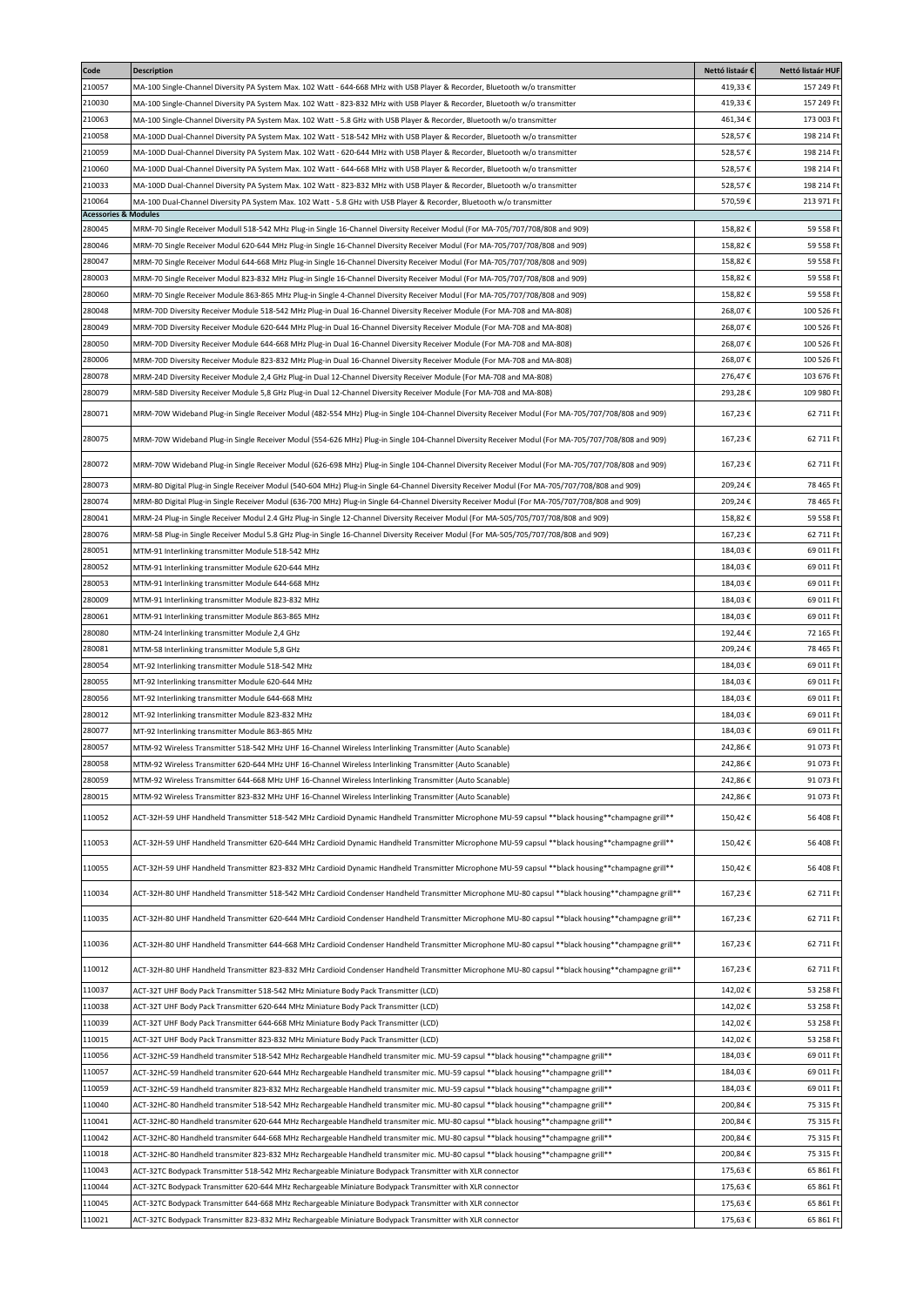| Code                            | <b>Description</b>                                                                                                                                  | Nettó listaár € | Nettó listaár HUF |
|---------------------------------|-----------------------------------------------------------------------------------------------------------------------------------------------------|-----------------|-------------------|
| 210057                          | MA-100 Single-Channel Diversity PA System Max. 102 Watt - 644-668 MHz with USB Player & Recorder, Bluetooth w/o transmitter                         | 419,33€         | 157 249 Ft        |
| 210030                          | MA-100 Single-Channel Diversity PA System Max. 102 Watt - 823-832 MHz with USB Player & Recorder, Bluetooth w/o transmitter                         | 419,33€         | 157 249 Ft        |
| 210063                          | MA-100 Single-Channel Diversity PA System Max. 102 Watt - 5.8 GHz with USB Player & Recorder, Bluetooth w/o transmitter                             | 461,34€         | 173 003 Ft        |
| 210058                          | MA-100D Dual-Channel Diversity PA System Max. 102 Watt - 518-542 MHz with USB Player & Recorder, Bluetooth w/o transmitter                          | 528,57€         | 198 214 Ft        |
| 210059                          | MA-100D Dual-Channel Diversity PA System Max. 102 Watt - 620-644 MHz with USB Player & Recorder, Bluetooth w/o transmitter                          | 528,57€         | 198 214 Ft        |
| 210060                          | MA-100D Dual-Channel Diversity PA System Max. 102 Watt - 644-668 MHz with USB Player & Recorder, Bluetooth w/o transmitter                          | 528,57€         | 198 214 Ft        |
| 210033                          | MA-100D Dual-Channel Diversity PA System Max. 102 Watt - 823-832 MHz with USB Player & Recorder, Bluetooth w/o transmitter                          | 528,57€         | 198 214 Ft        |
| 210064                          |                                                                                                                                                     | 570,59€         | 213 971 Ft        |
| <b>Acessories &amp; Modules</b> | MA-100 Dual-Channel Diversity PA System Max. 102 Watt - 5.8 GHz with USB Player & Recorder, Bluetooth w/o transmitter                               |                 |                   |
| 280045                          | MRM-70 Single Receiver Modull 518-542 MHz Plug-in Single 16-Channel Diversity Receiver Modul (For MA-705/707/708/808 and 909)                       | 158,82€         | 59 558 Ft         |
| 280046                          | MRM-70 Single Receiver Modul 620-644 MHz Plug-in Single 16-Channel Diversity Receiver Modul (For MA-705/707/708/808 and 909)                        | 158,82€         | 59 558 Ft         |
| 280047                          | MRM-70 Single Receiver Modul 644-668 MHz Plug-in Single 16-Channel Diversity Receiver Modul (For MA-705/707/708/808 and 909)                        | 158,82€         | 59 558 Ft         |
| 280003                          | MRM-70 Single Receiver Modul 823-832 MHz Plug-in Single 16-Channel Diversity Receiver Modul (For MA-705/707/708/808 and 909)                        | 158,82€         | 59 558 Ft         |
| 280060                          | MRM-70 Single Receiver Module 863-865 MHz Plug-in Single 4-Channel Diversity Receiver Modul (For MA-705/707/708/808 and 909)                        | 158,82€         | 59 558 Ft         |
| 280048                          | MRM-70D Diversity Receiver Module 518-542 MHz Plug-in Dual 16-Channel Diversity Receiver Module (For MA-708 and MA-808)                             | 268,07€         | 100 526 Ft        |
| 280049                          | MRM-70D Diversity Receiver Module 620-644 MHz Plug-in Dual 16-Channel Diversity Receiver Module (For MA-708 and MA-808)                             | 268,07€         | 100 526 Ft        |
| 280050                          | MRM-70D Diversity Receiver Module 644-668 MHz Plug-in Dual 16-Channel Diversity Receiver Module (For MA-708 and MA-808)                             | 268,07€         | 100 526 Ft        |
|                                 |                                                                                                                                                     |                 |                   |
| 280006                          | MRM-70D Diversity Receiver Module 823-832 MHz Plug-in Dual 16-Channel Diversity Receiver Module (For MA-708 and MA-808)                             | 268,07€         | 100 526 Ft        |
| 280078                          | MRM-24D Diversity Receiver Module 2,4 GHz Plug-in Dual 12-Channel Diversity Receiver Module (For MA-708 and MA-808)                                 | 276,47€         | 103 676 Ft        |
| 280079                          | MRM-58D Diversity Receiver Module 5,8 GHz Plug-in Dual 12-Channel Diversity Receiver Module (For MA-708 and MA-808)                                 | 293,28€         | 109 980 Ft        |
| 280071                          | MRM-70W Wideband Plug-in Single Receiver Modul (482-554 MHz) Plug-in Single 104-Channel Diversity Receiver Modul (For MA-705/707/708/808 and 909)   | 167,23€         | 62 711 Ft         |
| 280075                          | MRM-70W Wideband Plug-in Single Receiver Modul (554-626 MHz) Plug-in Single 104-Channel Diversity Receiver Modul (For MA-705/707/708/808 and 909)   | 167,23€         | 62 711 Ft         |
| 280072                          | MRM-70W Wideband Plug-in Single Receiver Modul (626-698 MHz) Plug-in Single 104-Channel Diversity Receiver Modul (For MA-705/707/708/808 and 909)   | 167,23€         | 62 711 Ft         |
| 280073                          | MRM-80 Digital Plug-in Single Receiver Modul (540-604 MHz) Plug-in Single 64-Channel Diversity Receiver Modul (For MA-705/707/708/808 and 909)      | 209,24€         | 78 465 Ft         |
| 280074                          | MRM-80 Digital Plug-in Single Receiver Modul (636-700 MHz) Plug-in Single 64-Channel Diversity Receiver Modul (For MA-705/707/708/808 and 909)      | 209,24€         | 78 465 Ft         |
| 280041                          | MRM-24 Plug-in Single Receiver Modul 2.4 GHz Plug-in Single 12-Channel Diversity Receiver Modul (For MA-505/705/707/708/808 and 909)                | 158,82€         | 59 558 Ft         |
| 280076                          | MRM-58 Plug-in Single Receiver Modul 5.8 GHz Plug-in Single 16-Channel Diversity Receiver Modul (For MA-505/705/707/708/808 and 909)                | 167,23€         | 62 711 Ft         |
| 280051                          | MTM-91 Interlinking transmitter Module 518-542 MHz                                                                                                  | 184,03€         | 69 011 Ft         |
| 280052                          | MTM-91 Interlinking transmitter Module 620-644 MHz                                                                                                  | 184,03€         | 69 011 Ft         |
| 280053                          | MTM-91 Interlinking transmitter Module 644-668 MHz                                                                                                  | 184,03€         | 69 011 Ft         |
| 280009                          | MTM-91 Interlinking transmitter Module 823-832 MHz                                                                                                  | 184,03€         | 69 011 Ft         |
| 280061                          | MTM-91 Interlinking transmitter Module 863-865 MHz                                                                                                  | 184,03€         | 69 011 Ft         |
| 280080                          | MTM-24 Interlinking transmitter Module 2,4 GHz                                                                                                      | 192,44€         | 72 165 Ft         |
| 280081                          | MTM-58 Interlinking transmitter Module 5,8 GHz                                                                                                      | 209,24€         | 78 465 Ft         |
| 280054                          | MT-92 Interlinking transmitter Module 518-542 MHz                                                                                                   | 184,03€         | 69 011 Ft         |
| 280055                          | MT-92 Interlinking transmitter Module 620-644 MHz                                                                                                   | 184,03€         | 69 011 Ft         |
| 280056                          | MT-92 Interlinking transmitter Module 644-668 MHz                                                                                                   | 184,03€         | 69 011 Ft         |
| 280012                          | MT-92 Interlinking transmitter Module 823-832 MHz                                                                                                   | 184,03€         | 69 011 Ft         |
| 280077                          | MT-92 Interlinking transmitter Module 863-865 MHz                                                                                                   | 184,03€         | 69 011 Ft         |
| 280057                          | MTM-92 Wireless Transmitter 518-542 MHz UHF 16-Channel Wireless Interlinking Transmitter (Auto Scanable)                                            | 242,86€         | 91 073 Ft         |
| 280058                          |                                                                                                                                                     | 242,86€         | 91 073 Ft         |
|                                 | MTM-92 Wireless Transmitter 620-644 MHz UHF 16-Channel Wireless Interlinking Transmitter (Auto Scanable)                                            |                 |                   |
| 280059                          | MTM-92 Wireless Transmitter 644-668 MHz UHF 16-Channel Wireless Interlinking Transmitter (Auto Scanable)                                            | 242,86€         | 91 073 Ft         |
| 280015                          | MTM-92 Wireless Transmitter 823-832 MHz UHF 16-Channel Wireless Interlinking Transmitter (Auto Scanable)                                            | 242,86€         | 91 073 Ft         |
| 110052                          | ACT-32H-59 UHF Handheld Transmitter 518-542 MHz Cardioid Dynamic Handheld Transmitter Microphone MU-59 capsul **black housing**champagne grill**    | 150,42€         | 56 408 Ft         |
| 110053                          | ** ACT-32H-59 UHF Handheld Transmitter 620-644 MHz Cardioid Dynamic Handheld Transmitter Microphone MU-59 capsul **black housing**champagne grill** | 150,42€         | 56 408 Ft         |
| 110055                          | ACT-32H-59 UHF Handheld Transmitter 823-832 MHz Cardioid Dynamic Handheld Transmitter Microphone MU-59 capsul **black housing**champagne grill**    | 150,42€         | 56 408 Ft         |
| 110034                          | ACT-32H-80 UHF Handheld Transmitter 518-542 MHz Cardioid Condenser Handheld Transmitter Microphone MU-80 capsul **black housing**champagne grill**  | 167,23€         | 62 711 Ft         |
| 110035                          | ACT-32H-80 UHF Handheld Transmitter 620-644 MHz Cardioid Condenser Handheld Transmitter Microphone MU-80 capsul **black housing**champagne grill**  | 167,23€         | 62 711 Ft         |
| 110036                          | ACT-32H-80 UHF Handheld Transmitter 644-668 MHz Cardioid Condenser Handheld Transmitter Microphone MU-80 capsul **black housing**champagne grill**  | 167,23€         | 62 711 Ft         |
| 110012                          | ACT-32H-80 UHF Handheld Transmitter 823-832 MHz Cardioid Condenser Handheld Transmitter Microphone MU-80 capsul **black housing**champagne grill**  | 167,23€         | 62 711 Ft         |
| 110037                          | ACT-32T UHF Body Pack Transmitter 518-542 MHz Miniature Body Pack Transmitter (LCD)                                                                 | 142,02€         | 53 258 Ft         |
| 110038                          | ACT-32T UHF Body Pack Transmitter 620-644 MHz Miniature Body Pack Transmitter (LCD)                                                                 | 142,02€         | 53 258 Ft         |
| 110039                          | ACT-32T UHF Body Pack Transmitter 644-668 MHz Miniature Body Pack Transmitter (LCD)                                                                 | 142,02€         | 53 258 Ft         |
| 110015                          | ACT-32T UHF Body Pack Transmitter 823-832 MHz Miniature Body Pack Transmitter (LCD)                                                                 | 142,02€         | 53 258 Ft         |
| 110056                          | ACT-32HC-59 Handheld transmiter 518-542 MHz Rechargeable Handheld transmiter mic. MU-59 capsul **black housing**champagne grill**                   | 184,03€         | 69 011 Ft         |
| 110057                          | ACT-32HC-59 Handheld transmiter 620-644 MHz Rechargeable Handheld transmiter mic. MU-59 capsul **black housing**champagne grill**                   | 184,03€         | 69 011 Ft         |
| 110059                          | ACT-32HC-59 Handheld transmiter 823-832 MHz Rechargeable Handheld transmiter mic. MU-59 capsul **black housing**champagne grill**                   | 184,03€         | 69 011 Ft         |
| 110040                          | ** ACT-32HC-80 Handheld transmiter 518-542 MHz Rechargeable Handheld transmiter mic. MU-80 capsul **black housing**champagne grill**                | 200,84€         | 75 315 Ft         |
| 110041                          | ACT-32HC-80 Handheld transmiter 620-644 MHz Rechargeable Handheld transmiter mic. MU-80 capsul **black housing**champagne grill**                   | 200,84€         | 75 315 Ft         |
| 110042                          | ACT-32HC-80 Handheld transmiter 644-668 MHz Rechargeable Handheld transmiter mic. MU-80 capsul **black housing**champagne grill**                   | 200,84€         | 75 315 Ft         |
| 110018                          | ACT-32HC-80 Handheld transmiter 823-832 MHz Rechargeable Handheld transmiter mic. MU-80 capsul **black housing**champagne grill**                   | 200,84€         | 75 315 Ft         |
| 110043                          |                                                                                                                                                     | 175,63€         | 65 861 Ft         |
| 110044                          | ACT-32TC Bodypack Transmitter 518-542 MHz Rechargeable Miniature Bodypack Transmitter with XLR connector                                            | 175,63€         | 65 861 Ft         |
| 110045                          | ACT-32TC Bodypack Transmitter 620-644 MHz Rechargeable Miniature Bodypack Transmitter with XLR connector                                            | 175,63€         | 65 861 Ft         |
|                                 | ACT-32TC Bodypack Transmitter 644-668 MHz Rechargeable Miniature Bodypack Transmitter with XLR connector                                            |                 |                   |
| 110021                          | ACT-32TC Bodypack Transmitter 823-832 MHz Rechargeable Miniature Bodypack Transmitter with XLR connector                                            | 175,63€         | 65 861 Ft         |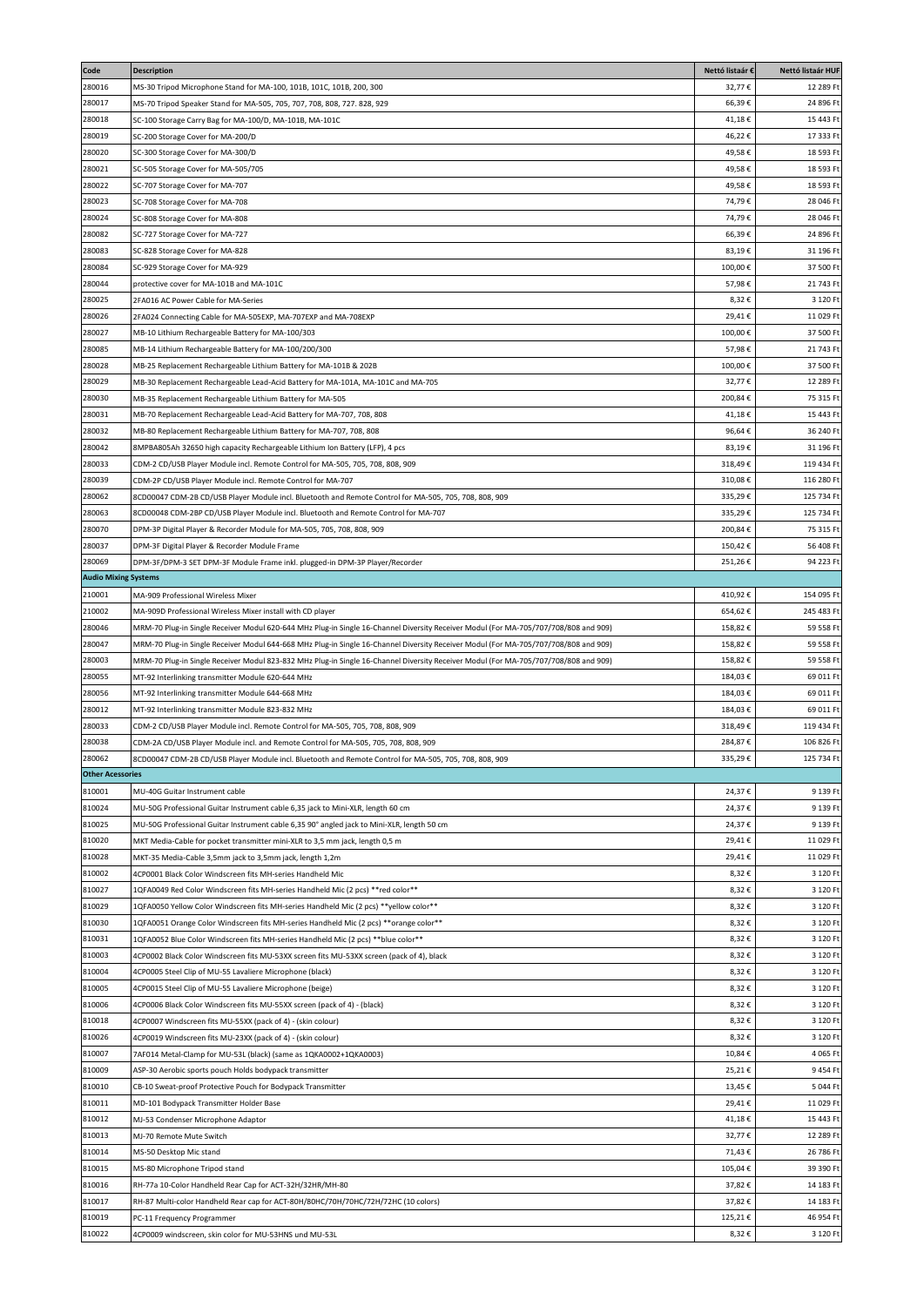| Code                        | <b>Description</b>                                                                                                                   | Nettó listaár €    | Nettó listaár HUF       |
|-----------------------------|--------------------------------------------------------------------------------------------------------------------------------------|--------------------|-------------------------|
| 280016                      | MS-30 Tripod Microphone Stand for MA-100, 101B, 101C, 101B, 200, 300                                                                 | 32,77€             | 12 289 Ft               |
| 280017                      | MS-70 Tripod Speaker Stand for MA-505, 705, 707, 708, 808, 727. 828, 929                                                             | 66,39€             | 24 896 Ft               |
| 280018                      | SC-100 Storage Carry Bag for MA-100/D, MA-101B, MA-101C                                                                              | 41,18€             | 15 443 Ft               |
| 280019                      | SC-200 Storage Cover for MA-200/D                                                                                                    | 46,22€             | 17 333 Ft               |
| 280020                      | SC-300 Storage Cover for MA-300/D                                                                                                    | 49,58€             | 18 593 Ft               |
| 280021                      | SC-505 Storage Cover for MA-505/705                                                                                                  | 49,58€             | 18 593 Ft               |
| 280022                      | SC-707 Storage Cover for MA-707                                                                                                      | 49,58€             | 18 593 Ft               |
| 280023                      | SC-708 Storage Cover for MA-708                                                                                                      | 74,79€             | 28 046 Ft               |
| 280024                      | SC-808 Storage Cover for MA-808                                                                                                      | 74,79€             | 28 046 Ft               |
| 280082                      | SC-727 Storage Cover for MA-727                                                                                                      | 66,39€             | 24 896 Ft               |
| 280083                      | SC-828 Storage Cover for MA-828                                                                                                      | 83,19€             | 31 196 Ft               |
| 280084                      | SC-929 Storage Cover for MA-929                                                                                                      | 100,00€            | 37 500 Ft               |
| 280044                      | protective cover for MA-101B and MA-101C                                                                                             | 57,98€             | 21 743 Ft               |
| 280025                      | 2FA016 AC Power Cable for MA-Series                                                                                                  | 8,32€              | 3 120 Ft                |
| 280026                      | 2FA024 Connecting Cable for MA-505EXP, MA-707EXP and MA-708EXP                                                                       | 29,41€             | 11 029 Ft               |
| 280027                      | MB-10 Lithium Rechargeable Battery for MA-100/303                                                                                    | 100,00€            | 37 500 Ft               |
| 280085                      | MB-14 Lithium Rechargeable Battery for MA-100/200/300                                                                                | 57,98€             | 21 743 Ft               |
| 280028                      | MB-25 Replacement Rechargeable Lithium Battery for MA-101B & 202B                                                                    | 100,00€            | 37 500 Ft               |
| 280029                      | MB-30 Replacement Rechargeable Lead-Acid Battery for MA-101A, MA-101C and MA-705                                                     | 32,77€             | 12 289 Ft               |
| 280030                      | MB-35 Replacement Rechargeable Lithium Battery for MA-505                                                                            | 200,84€            | 75 315 Ft               |
| 280031                      | MB-70 Replacement Rechargeable Lead-Acid Battery for MA-707, 708, 808                                                                | 41,18€             | 15 443 Ft               |
| 280032                      | MB-80 Replacement Rechargeable Lithium Battery for MA-707, 708, 808                                                                  | 96,64€             | 36 240 Ft               |
| 280042                      | 8MPBA805Ah 32650 high capacity Rechargeable Lithium Ion Battery (LFP), 4 pcs                                                         | 83,19€             | 31 196 Ft               |
| 280033                      | CDM-2 CD/USB Player Module incl. Remote Control for MA-505, 705, 708, 808, 909                                                       | 318,49€            | 119 434 Ft              |
| 280039                      | CDM-2P CD/USB Player Module incl. Remote Control for MA-707                                                                          | 310,08€            | 116 280 Ft              |
| 280062                      | 8CD00047 CDM-2B CD/USB Player Module incl. Bluetooth and Remote Control for MA-505, 705, 708, 808, 909                               | 335,29€            | 125 734 Ft              |
| 280063                      | 8CD00048 CDM-2BP CD/USB Player Module incl. Bluetooth and Remote Control for MA-707                                                  | 335,29€            | 125 734 Ft<br>75 315 Ft |
| 280070<br>280037            | DPM-3P Digital Player & Recorder Module for MA-505, 705, 708, 808, 909                                                               | 200,84€<br>150,42€ | 56 408 Ft               |
| 280069                      | DPM-3F Digital Player & Recorder Module Frame                                                                                        | 251,26€            | 94 223 Ft               |
| <b>Audio Mixing Systems</b> | DPM-3F/DPM-3 SET DPM-3F Module Frame inkl. plugged-in DPM-3P Player/Recorder                                                         |                    |                         |
| 210001                      | MA-909 Professional Wireless Mixer                                                                                                   | 410,92€            | 154 095 Ft              |
| 210002                      | MA-909D Professional Wireless Mixer install with CD player                                                                           | 654,62€            | 245 483 Ft              |
| 280046                      | MRM-70 Plug-in Single Receiver Modul 620-644 MHz Plug-in Single 16-Channel Diversity Receiver Modul (For MA-705/707/708/808 and 909) | 158,82€            | 59 558 Ft               |
| 280047                      | MRM-70 Plug-in Single Receiver Modul 644-668 MHz Plug-in Single 16-Channel Diversity Receiver Modul (For MA-705/707/708/808 and 909) | 158,82€            | 59 558 Ft               |
| 280003                      | MRM-70 Plug-in Single Receiver Modul 823-832 MHz Plug-in Single 16-Channel Diversity Receiver Modul (For MA-705/707/708/808 and 909) | 158,82€            | 59 558 Ft               |
| 280055                      | MT-92 Interlinking transmitter Module 620-644 MHz                                                                                    | 184,03€            | 69 011 Ft               |
| 280056                      | MT-92 Interlinking transmitter Module 644-668 MHz                                                                                    | 184,03€            | 69 011 Ft               |
| 280012                      | MT-92 Interlinking transmitter Module 823-832 MHz                                                                                    | 184,03€            | 69 011 Ft               |
| 280033                      | CDM-2 CD/USB Player Module incl. Remote Control for MA-505, 705, 708, 808, 909                                                       | 318,49€            | 119 434 Ft              |
| 280038                      | CDM-2A CD/USB Player Module incl. and Remote Control for MA-505, 705, 708, 808, 909                                                  | 284,87€            | 106 826 Ft              |
| 280062                      | 8CD00047 CDM-2B CD/USB Player Module incl. Bluetooth and Remote Control for MA-505, 705, 708, 808, 909                               | 335,29€            | 125 734 Ft              |
| <b>Other Acessories</b>     |                                                                                                                                      |                    |                         |
| 810001                      | MU-40G Guitar Instrument cable                                                                                                       | 24,37€             | 9 139 Ft                |
| 810024                      | MU-50G Professional Guitar Instrument cable 6,35 jack to Mini-XLR, length 60 cm                                                      | 24,37€             | 9 139 Ft                |
| 810025                      | MU-50G Professional Guitar Instrument cable 6,35 90° angled jack to Mini-XLR, length 50 cm                                           | 24,37€             | 9 139 Ft                |
| 810020                      | MKT Media-Cable for pocket transmitter mini-XLR to 3,5 mm jack, length 0,5 m                                                         | 29,41€             | 11 029 Ft               |
| 810028                      | MKT-35 Media-Cable 3,5mm jack to 3,5mm jack, length 1,2m                                                                             | 29,41€             | 11 029 Ft               |
| 810002                      | 4CP0001 Black Color Windscreen fits MH-series Handheld Mic                                                                           | 8,32€              | 3 120 Ft                |
| 810027                      | 1QFA0049 Red Color Windscreen fits MH-series Handheld Mic (2 pcs) **red color**                                                      | 8,32€              | 3 120 Ft                |
| 810029                      | 1QFA0050 Yellow Color Windscreen fits MH-series Handheld Mic (2 pcs) **yellow color**                                                | 8,32€              | 3 120 Ft                |
| 810030                      | 1QFA0051 Orange Color Windscreen fits MH-series Handheld Mic (2 pcs) **orange color**                                                | 8,32€              | 3 120 Ft                |
| 810031                      | 1QFA0052 Blue Color Windscreen fits MH-series Handheld Mic (2 pcs) **blue color**                                                    | 8,32€              | 3 120 Ft                |
| 810003                      | 4CP0002 Black Color Windscreen fits MU-53XX screen fits MU-53XX screen (pack of 4), black                                            | 8,32€              | 3 120 Ft                |
| 810004                      | 4CP0005 Steel Clip of MU-55 Lavaliere Microphone (black)                                                                             | 8,32€              | 3 120 Ft                |
| 810005                      | 4CP0015 Steel Clip of MU-55 Lavaliere Microphone (beige)                                                                             | 8,32€              | 3 120 Ft                |
| 810006                      | 4CP0006 Black Color Windscreen fits MU-55XX screen (pack of 4) - (black)                                                             | 8,32€              | 3 120 Ft                |
| 810018                      | 4CP0007 Windscreen fits MU-55XX (pack of 4) - (skin colour)                                                                          | 8,32€              | 3 120 Ft                |
| 810026                      | 4CP0019 Windscreen fits MU-23XX (pack of 4) - (skin colour)                                                                          | 8,32€              | 3 120 Ft                |
| 810007                      | 7AF014 Metal-Clamp for MU-53L (black) (same as 1QKA0002+1QKA0003)                                                                    | 10,84€             | 4 065 Ft                |
| 810009                      | ASP-30 Aerobic sports pouch Holds bodypack transmitter                                                                               | 25,21€             | 9 454 Ft                |
| 810010                      | CB-10 Sweat-proof Protective Pouch for Bodypack Transmitter                                                                          | 13,45€             | 5 044 Ft                |
| 810011                      | MD-101 Bodypack Transmitter Holder Base                                                                                              | 29,41€             | 11 029 Ft               |
| 810012                      | MJ-53 Condenser Microphone Adaptor                                                                                                   | 41,18€             | 15 443 Ft               |
| 810013<br>810014            | MJ-70 Remote Mute Switch                                                                                                             | 32,77€             | 12 289 Ft<br>26 786 Ft  |
|                             | MS-50 Desktop Mic stand                                                                                                              | 71,43€             |                         |
| 810015<br>810016            | MS-80 Microphone Tripod stand<br>RH-77a 10-Color Handheld Rear Cap for ACT-32H/32HR/MH-80                                            | 105,04€<br>37,82€  | 39 390 Ft<br>14 183 Ft  |
| 810017                      | RH-87 Multi-color Handheld Rear cap for ACT-80H/80HC/70H/70HC/72H/72HC (10 colors)                                                   | 37,82€             | 14 183 Ft               |
| 810019                      | PC-11 Frequency Programmer                                                                                                           | 125,21€            | 46 954 Ft               |
| 810022                      | 4CP0009 windscreen, skin color for MU-53HNS und MU-53L                                                                               | 8,32€              | 3 120 Ft                |
|                             |                                                                                                                                      |                    |                         |